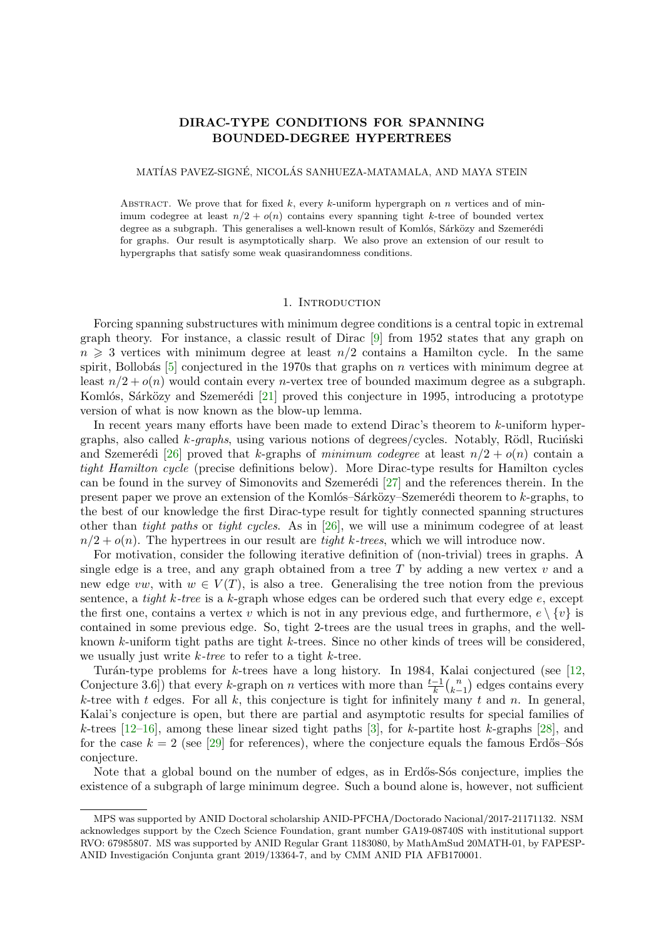# **DIRAC-TYPE CONDITIONS FOR SPANNING BOUNDED-DEGREE HYPERTREES**

# <span id="page-0-0"></span>MATÍAS PAVEZ-SIGNÉ, NICOLÁS SANHUEZA-MATAMALA, AND MAYA STEIN

ABSTRACT. We prove that for fixed  $k$ , every  $k$ -uniform hypergraph on  $n$  vertices and of minimum codegree at least  $n/2 + o(n)$  contains every spanning tight k-tree of bounded vertex degree as a subgraph. This generalises a well-known result of Komlós, Sárközy and Szemerédi for graphs. Our result is asymptotically sharp. We also prove an extension of our result to hypergraphs that satisfy some weak quasirandomness conditions.

### 1. INTRODUCTION

Forcing spanning substructures with minimum degree conditions is a central topic in extremal graph theory. For instance, a classic result of Dirac [9] from 1952 states that any graph on  $n \geq 3$  vertices with minimum degree at least  $n/2$  contains a Hamilton cycle. In the same spirit, Bollobás  $[5]$  conjectured in the 1970s that graphs on *n* vertices with minimum degree at least  $n/2 + o(n)$  would contain every *n*-vertex tree of bounded maximum degree as a subgraph. Komlós, Sárközy and Szemerédi [21] proved this conj[ect](#page-25-0)ure in 1995, introducing a prototype version of what is now known as the blow-up lemma.

In recent year[s](#page-25-1) many efforts have been made to extend Dirac's theorem to *k*-uniform hypergraphs, also called *k*-graphs, using various notions of degrees/cycles. Notably, Rödl, Ruciński and Szemerédi [26] proved that *k*[-gr](#page-25-2)aphs of *minimum codegree* at least  $n/2 + o(n)$  contain a *tight Hamilton cycle* (precise definitions below). More Dirac-type results for Hamilton cycles can be found in the survey of Simonovits and Szemerédi  $[27]$  and the references therein. In the present paper we prove an extension of the Komlós–Sárközy–Szemerédi theorem to *k*-graphs, to the best of our [kno](#page-25-3)wledge the first Dirac-type result for tightly connected spanning structures other than *tight paths* or *tight cycles*. As in [26], we will use a minimum codegree of at least  $n/2 + o(n)$ . The hypertrees in our result are *tight k-trees*[, w](#page-25-4)hich we will introduce now.

For motivation, consider the following iterative definition of (non-trivial) trees in graphs. A single edge is a tree, and any graph obtained from a tree *T* by adding a new vertex *v* and a new edge *vw*, with  $w \in V(T)$ , is also a tree. [G](#page-25-3)eneralising the tree notion from the previous sentence, a *tight k-tree* is a *k*-graph whose edges can be ordered such that every edge *e*, except the first one, contains a vertex *v* which is not in any previous edge, and furthermore,  $e \setminus \{v\}$  is contained in some previous edge. So, tight 2-trees are the usual trees in graphs, and the wellknown *k*-uniform tight paths are tight *k*-trees. Since no other kinds of trees will be considered, we usually just write *k-tree* to refer to a tight *k*-tree.

Tur´an-type problems for *k*-trees have a long history. In 1984, Kalai conjectured (see [12, Conjecture 3.6]) that every *k*-graph on *n* vertices with more than  $\frac{t-1}{k} {n \choose k-1}$ *k−*1 ) edges contains every *k*-tree with *t* edges. For all *k*, this conjecture is tight for infinitely many *t* and *n*. In general, Kalai's conjecture is open, but there are partial and asymptotic results for special families of *k*-trees [12–16], among these linear sized tight paths [3], for *k*-partite host *k*-graphs [28], [and](#page-25-5) for the case  $k = 2$  (see [29] for references), where the conjecture equals the famous Erdős–Sós conjecture.

Note that a global bound on the number of edges, as in Erdős-Sós conjecture, implies the existenc[e o](#page-25-5)f [a s](#page-25-6)ubgraph of large minimum degree. Such [a](#page-25-7) bound alone is, however, not [suffi](#page-25-8)cient

MPS was supported by ANID Doctoral scholarship ANID-PFCHA/Doctorado Nacional/2017-21171132. NSM acknowledges support by the Czech Science Foundation, grant number GA19-08740S with institutional support RVO: 67985807. MS was supported by ANID Regular Grant 1183080, by MathAmSud 20MATH-01, by FAPESP-ANID Investigación Conjunta grant 2019/13364-7, and by CMM ANID PIA AFB170001.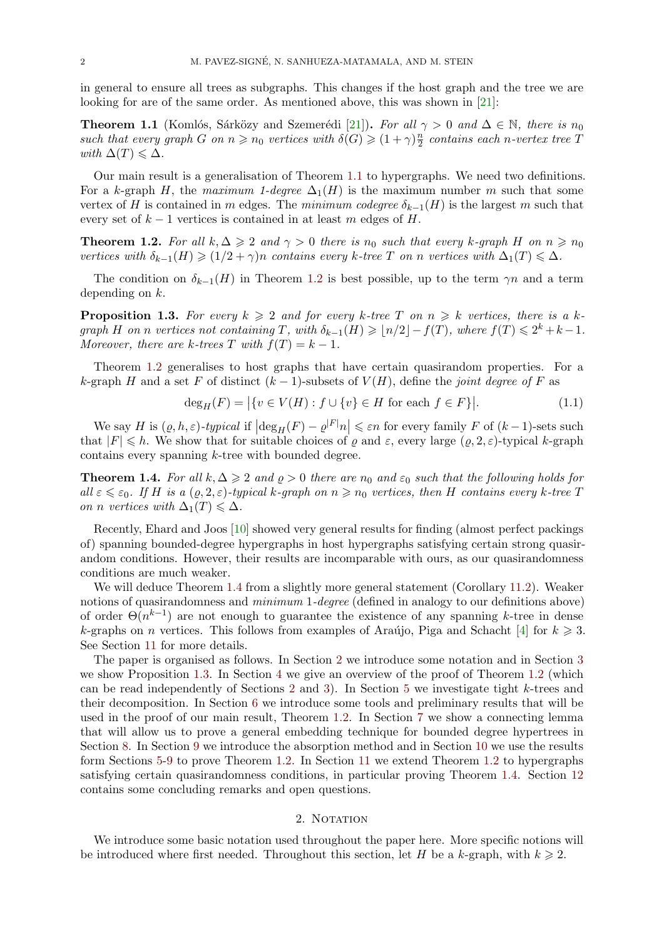in general to ensure all trees as subgraphs. This changes if the host graph and the tree we are looking for are of the same order. As mentioned above, this was shown in [21]:

<span id="page-1-6"></span>**Theorem 1.1** (Komlós, Sárközy and Szemerédi [21]). For all  $\gamma > 0$  and  $\Delta \in \mathbb{N}$ , there is  $n_0$ *such that every graph G on*  $n \geq n_0$  *vertices with*  $\delta(G) \geq (1 + \gamma) \frac{n_0}{2}$  $\frac{n}{2}$  *contains each n-vertex tree*  $T$ *with*  $\Delta(T) \leq \Delta$ *.* 

<span id="page-1-5"></span>Our main result is a generalisation of Theorem [1.1](#page-25-2) to hypergraphs. We need two definitions. For a *k*-graph *H*, the *maximum 1-degree*  $\Delta_1(H)$  is the maximum number *m* such that some vertex of *H* is contained in *m* edges. The *minimum codegree*  $\delta_{k-1}(H)$  is the largest *m* such that every set of  $k-1$  vertices is contained in at least  $m$  edges of  $H$ .

**Theorem 1.2.** For all  $k, \Delta \geqslant 2$  and  $\gamma > 0$  there is  $n_0$  such that every k-graph H on  $n \geqslant n_0$ *vertices with*  $\delta_{k-1}(H) \geq (1/2 + \gamma)n$  *contains every k*-tree *T on n vertices with*  $\Delta_1(T) \leq \Delta$ *.* 

<span id="page-1-0"></span>The condition on  $\delta_{k-1}(H)$  in Theorem 1.2 is best possible, up to the term  $\gamma n$  and a term depending on *k*.

**Proposition 1.3.** For every  $k \geq 2$  and for every k-tree T on  $n \geq k$  vertices, there is a kgraph H on n vertices not containing  $T$ , wi[th](#page-1-0)  $\delta_{k-1}(H) \geqslant \lfloor n/2 \rfloor - f(T)$ , where  $f(T) \leqslant 2^k + k - 1$ . *Moreover, there are k-trees*  $T$  *with*  $f(T) = k - 1$ *.* 

<span id="page-1-3"></span>Theorem 1.2 generalises to host graphs that have certain quasirandom properties. For a *k*-graph *H* and a set *F* of distinct  $(k-1)$ -subsets of  $V(H)$ , define the *joint degree of F* as

<span id="page-1-4"></span>
$$
\deg_H(F) = |\{v \in V(H) : f \cup \{v\} \in H \text{ for each } f \in F\}|. \tag{1.1}
$$

We say *H* is  $(\varrho, h, \varepsilon)$ -typical if  $\left|\deg_H(F) - \varrho^{|F|}n\right| \leq \varepsilon n$  for every family *F* of  $(k-1)$ -sets such that  $|F| \leq h$ . We show that for suitable choices of  $\rho$  and  $\varepsilon$ , every large  $(\rho, 2, \varepsilon)$ -typical *k*-graph contains every spanning *k*-tree with bounded degree.

**Theorem 1.4.** *For all*  $k, \Delta \geqslant 2$  *and*  $\varrho > 0$  *there are*  $n_0$  *and*  $\varepsilon_0$  *such that the following holds for* all  $\varepsilon \leq \varepsilon_0$ . If H is a  $(\varrho, 2, \varepsilon)$ -typical k-graph on  $n \geq n_0$  vertices, then H contains every k-tree T *on n vertices* with  $\Delta_1(T) \leq \Delta$ *.* 

<span id="page-1-1"></span>Recently, Ehard and Joos [10] showed very general results for finding (almost perfect packings of) spanning bounded-degree hypergraphs in host hypergraphs satisfying certain strong quasirandom conditions. However, their results are incomparable with ours, as our quasirandomness conditions are much weaker.

We will deduce Theorem 1[.4](#page-25-9) from a slightly more general statement (Corollary 11.2). Weaker notions of quasirandomness and *minimum* 1*-degree* (defined in analogy to our definitions above) of order Θ(*n k−*1 ) are not enough to guarantee the existence of any spanning *k*-tree in dense *k*-graphs on *n* vertices. This follows from examples of Araújo, Piga and Schacht [4] for  $k \geq 3$ . See Section 11 for more de[tails](#page-1-1).

The paper is organised as follows. In Section 2 we introduce some notation and in Section 3 we show Proposition 1.3. In Section 4 we give an overview of the proof of Theorem 1.2 (which can be read independently of Sections 2 and 3). In Section 5 we investigate tight *[k](#page-25-10)*-trees and their decom[po](#page-23-0)sition. In Section 6 we introduce some tools and preliminary results that will be used in the proof of our main result, Theorem [1.](#page-1-2)2. In Section 7 we show a connecting lemm[a](#page-3-0) that will allow us to [pro](#page-1-3)ve a gener[al](#page-3-1) embedding technique for bounded degree hy[pert](#page-1-0)rees in Section 8. In Section 9 we introduce th[e a](#page-1-2)bsor[pt](#page-3-0)ion method a[n](#page-4-0)d in Section 10 we use the results form Sections 5-9 to prove Theo[re](#page-7-0)m 1.2. In Section 11 we extend Theorem 1.2 to hypergraphs satisfying certain quasirandomness conditions, [in p](#page-1-0)articular pr[ov](#page-9-0)ing Theorem 1.4. Section 12 contains some concluding remarks and open questions.

# 2. NOTATION

<span id="page-1-2"></span>We introduce some basic notation used throughout the paper here. More spe[cific](#page-1-1) notions [will](#page-24-0) be introduced where first needed. Throughout this section, let *H* be a *k*-graph, with  $k \geq 2$ .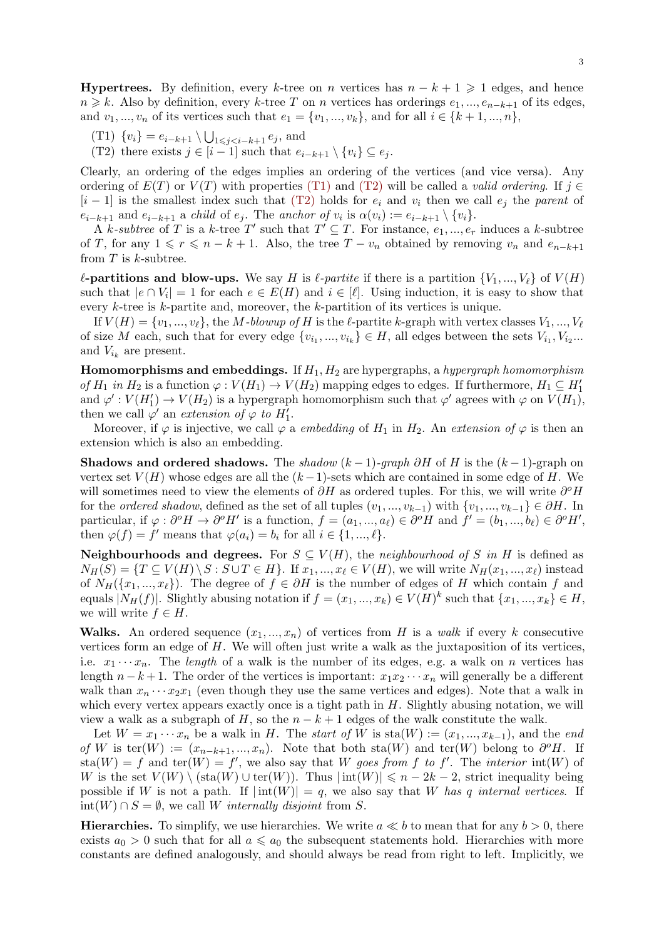**Hypertrees.** By definition, every *k*-tree on *n* vertices has  $n - k + 1 \geq 1$  edges, and hence *n* ≥ *k*. Also by definition, every *k*-tree *T* on *n* vertices has orderings  $e_1, ..., e_{n-k+1}$  of its edges, and  $v_1, ..., v_n$  of its vertices such that  $e_1 = \{v_1, ..., v_k\}$ , and for all  $i \in \{k+1, ..., n\}$ ,

- $(T1) \{v_i\} = e_{i-k+1} \setminus \bigcup_{1 \leq j \leq i-k+1} e_j$ , and
- (T2) there exists  $j \in [i-1]$  such that  $e_{i-k+1} \setminus \{v_i\} \subseteq e_j$ .

<span id="page-2-0"></span>Clearly, an ordering of the edges implies an ordering of the vertices (and vice versa). Any ordering of  $E(T)$  or  $V(T)$  with properties (T1) and (T2) will be called a *valid ordering*. If  $j \in$  $[i - 1]$  is the smallest index such that (T2) holds for  $e_i$  and  $v_i$  then we call  $e_j$  the *parent* of  $e_{i-k+1}$  and  $e_{i-k+1}$  a child of  $e_j$ . The anchor of  $v_i$  is  $\alpha(v_i) := e_{i-k+1} \setminus \{v_i\}.$ 

<span id="page-2-1"></span>A *k*-subtree of T is a *k*-tree T' such that  $T' \subseteq T$ . For instance,  $e_1, ..., e_r$  induces a *k*-subtree of *T*, for any  $1 \le r \le n - k + 1$ . Also, t[he tre](#page-2-0)e  $T - v_n$  $T - v_n$  $T - v_n$  obtained by removing  $v_n$  and  $e_{n-k+1}$ from *T* is *k*-subtree.

 $\ell$ **-partitions and blow-ups.** We say *H* is  $\ell$ -partite if there is a partition  $\{V_1, ..., V_\ell\}$  of  $V(H)$ such that  $|e \cap V_i| = 1$  for each  $e \in E(H)$  and  $i \in [\ell]$ . Using induction, it is easy to show that every *k*-tree is *k*-partite and, moreover, the *k*-partition of its vertices is unique.

If  $V(H) = \{v_1, ..., v_\ell\}$ , the *M-blowup of H* is the  $\ell$ -partite *k*-graph with vertex classes  $V_1, ..., V_\ell$ of size *M* each, such that for every edge  $\{v_{i_1},...,v_{i_k}\} \in H$ , all edges between the sets  $V_{i_1}, V_{i_2}...$ and  $V_{i_k}$  are present.

**Homomorphisms and embeddings.** If *H*1*, H*<sup>2</sup> are hypergraphs, a *hypergraph homomorphism of*  $H_1$  *in*  $H_2$  is a function  $\varphi: V(H_1) \to V(H_2)$  mapping edges to edges. If furthermore,  $H_1 \subseteq H'_1$ and  $\varphi': V(H_1') \to V(H_2)$  is a hypergraph homomorphism such that  $\varphi'$  agrees with  $\varphi$  on  $V(H_1)$ , then we call  $\varphi'$  an *extension of*  $\varphi$  *to*  $H'_1$ .

Moreover, if  $\varphi$  is injective, we call  $\varphi$  a *embedding* of  $H_1$  in  $H_2$ . An *extension of*  $\varphi$  is then an extension which is also an embedding.

**Shadows and ordered shadows.** The *shadow*  $(k-1)$ -graph  $\partial H$  of *H* is the  $(k-1)$ -graph on vertex set  $V(H)$  whose edges are all the  $(k-1)$ -sets which are contained in some edge of *H*. We will sometimes need to view the elements of  $\partial H$  as ordered tuples. For this, we will write  $\partial^o H$ for the *ordered shadow*, defined as the set of all tuples  $(v_1, ..., v_{k-1})$  with  $\{v_1, ..., v_{k-1}\} \in \partial H$ . In particular, if  $\varphi : \partial^{\circ} H \to \partial^{\circ} H'$  is a function,  $f = (a_1, ..., a_\ell) \in \partial^{\circ} H$  and  $f' = (b_1, ..., b_\ell) \in \partial^{\circ} H'$ , then  $\varphi(f) = f'$  means that  $\varphi(a_i) = b_i$  for all  $i \in \{1, ..., \ell\}$ .

**Neighbourhoods and degrees.** For  $S \subseteq V(H)$ , the *neighbourhood of S in H* is defined as  $N_H(S) = \{T \subseteq V(H) \setminus S : S \cup T \in H\}.$  If  $x_1, ..., x_\ell \in V(H)$ , we will write  $N_H(x_1, ..., x_\ell)$  instead of  $N_H({x_1,...,x_\ell})$ . The degree of  $f \in \partial H$  is the number of edges of *H* which contain *f* and equals  $|N_H(f)|$ . Slightly abusing notation if  $f = (x_1, ..., x_k) \in V(H)^k$  such that  $\{x_1, ..., x_k\} \in H$ , we will write  $f \in H$ .

**Walks.** An ordered sequence  $(x_1, ..., x_n)$  of vertices from *H* is a *walk* if every *k* consecutive vertices form an edge of *H*. We will often just write a walk as the juxtaposition of its vertices, i.e.  $x_1 \cdots x_n$ . The *length* of a walk is the number of its edges, e.g. a walk on *n* vertices has length  $n-k+1$ . The order of the vertices is important:  $x_1x_2 \cdots x_n$  will generally be a different walk than  $x_n \cdots x_2 x_1$  (even though they use the same vertices and edges). Note that a walk in which every vertex appears exactly once is a tight path in *H*. Slightly abusing notation, we will view a walk as a subgraph of *H*, so the  $n - k + 1$  edges of the walk constitute the walk.

Let  $W = x_1 \cdots x_n$  be a walk in *H*. The *start of*  $W$  is  $sta(W) := (x_1, ..., x_{k-1})$ , and the *end*  $of$  *W* is ter(*W*) := ( $x_{n-k+1},...,x_n$ ). Note that both sta(*W*) and ter(*W*) belong to  $\partial^o H$ . If  $\text{sta}(W) = f$  and  $\text{ter}(W) = f'$ , we also say that *W* goes from f to f'. The *interior*  $\text{int}(W)$  of *W* is the set  $V(W) \setminus (\text{sta}(W) \cup \text{ter}(W))$ . Thus  $|\text{int}(W)| \leq n - 2k - 2$ , strict inequality being possible if *W* is not a path. If  $|\text{int}(W)| = q$ , we also say that *W* has *q* internal vertices. If int(*W*) ∩  $S = ∅$ , we call *W internally disjoint* from  $S$ .

**Hierarchies.** To simplify, we use hierarchies. We write  $a \ll b$  to mean that for any  $b > 0$ , there exists  $a_0 > 0$  such that for all  $a \leq a_0$  the subsequent statements hold. Hierarchies with more constants are defined analogously, and should always be read from right to left. Implicitly, we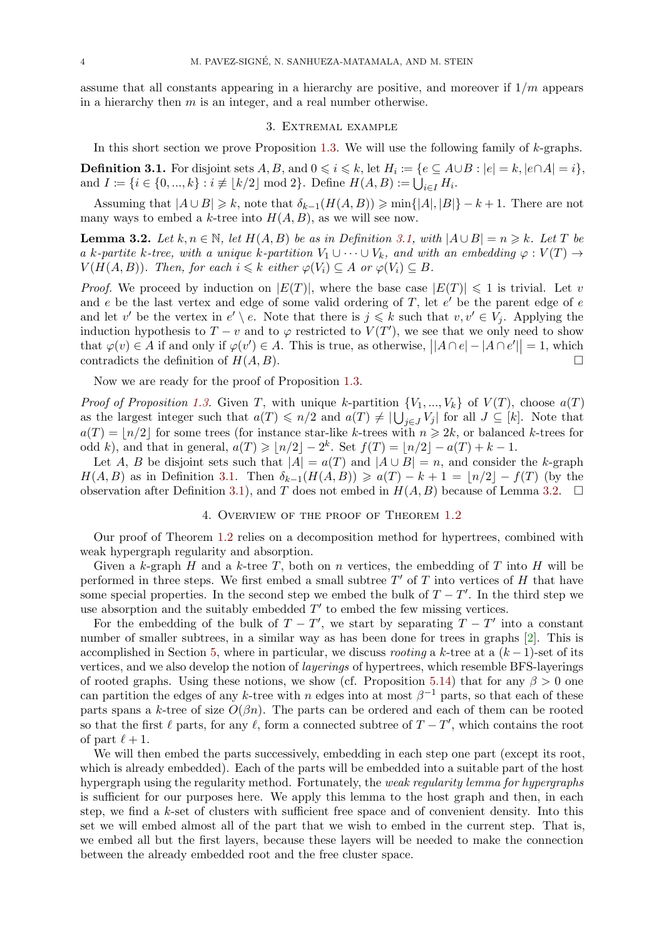assume that all constants appearing in a hierarchy are positive, and moreover if 1*/m* appears in a hierarchy then *m* is an integer, and a real number otherwise.

## 3. Extremal example

In this short section we prove Proposition 1.3. We will use the following family of *k*-graphs.

<span id="page-3-0"></span>**Definition 3.1.** For disjoint sets  $A, B$ , and  $0 \leq i \leq k$ , let  $H_i \coloneqq \{e \subseteq A \cup B : |e| = k, |e \cap A| = i\},$ and  $I := \{i \in \{0, ..., k\} : i \not\equiv \lfloor k/2 \rfloor \text{ mod } 2\}$ . Define  $H(A, B) := \bigcup_{i \in I} H_i$ .

<span id="page-3-2"></span>Assuming that  $|A \cup B| \geq k$ , note that  $\delta_{k-1}(H(A, B)) \geq \min\{|A|, |B|\} - k + 1$  $\delta_{k-1}(H(A, B)) \geq \min\{|A|, |B|\} - k + 1$  $\delta_{k-1}(H(A, B)) \geq \min\{|A|, |B|\} - k + 1$ . There are not many ways to embed a *k*-tree into  $H(A, B)$ , as we will see now.

**Lemma 3.2.** Let  $k, n \in \mathbb{N}$ , let  $H(A, B)$  be as in Definition 3.1, with  $|A \cup B| = n \geq k$ . Let T be *a k*-partite *k*-tree, with a unique *k*-partition  $V_1 \cup \cdots \cup V_k$ , and with an embedding  $\varphi : V(T) \rightarrow$  $V(H(A, B))$ *. Then, for each*  $i \leq k$  *either*  $\varphi(V_i) \subseteq A$  *or*  $\varphi(V_i) \subseteq B$ *.* 

<span id="page-3-3"></span>*Proof.* We proceed by induction on  $|E(T)|$ , where the bas[e ca](#page-3-2)se  $|E(T)| \leq 1$  is trivial. Let *v* and *e* be the last vertex and edge of some valid ordering of *T*, let *e ′* be the parent edge of *e* and let *v'* be the vertex in  $e' \setminus e$ . Note that there is  $j \leq k$  such that  $v, v' \in V_j$ . Applying the induction hypothesis to  $T - v$  and to  $\varphi$  restricted to  $V(T')$ , we see that we only need to show that  $\varphi(v) \in A$  if and only if  $\varphi(v') \in A$ . This is true, as otherwise,  $||A \cap e| - |A \cap e'|| = 1$ , which contradicts the definition of  $H(A, B)$ .

Now we are ready for the proof of Proposition 1.3.

*Proof of Proposition* 1.3. Given *T*, with unique *k*-partition  $\{V_1, ..., V_k\}$  of  $V(T)$ , choose  $a(T)$ as the largest integer such that  $a(T) \leq n/2$  and  $a(T) \neq |\bigcup_{j\in J} V_j|$  for all  $J \subseteq [k]$ . Note that  $a(T) = |n/2|$  for some trees (for instance star-li[k](#page-1-3)e *k*-trees with  $n \geq 2k$ , or balanced *k*-trees for odd *k*), and that in general,  $a(T) \geq (n/2 - 2^k)$ . Set  $f(T) = (n/2 - a(T) + k - 1$ .

Let *A*, *B* be disjo[int s](#page-1-3)ets such that  $|A| = a(T)$  and  $|A \cup B| = n$ , and consider the *k*-graph *H*(*A, B*) as in Definition 3.1. Then  $\delta_{k-1}(H(A, B)) \geq a(T) - k + 1 = \lfloor n/2 \rfloor - f(T)$  (by the observation after Definition 3.1), and *T* does not embed in  $H(A, B)$  because of Lemma 3.2.  $\Box$ 

# 4. Overview of the proof of Theorem 1.2

Our proof of Theorem [1.2](#page-3-2) relies on a decomposition method for hypertrees, combin[ed](#page-3-3) with weak hypergraph regularity [and](#page-3-2) absorption.

<span id="page-3-1"></span>Given a *k*-graph *H* and a *k*-tree *T*, both on *n* vertices, the emb[eddin](#page-1-0)g of *T* into *H* will be performed in three steps. We first embed a small subtree *T ′* of *T* into vertices of *H* that have some special properties. I[n th](#page-1-0)e second step we embed the bulk of  $T - T'$ . In the third step we use absorption and the suitably embedded *T ′* to embed the few missing vertices.

For the embedding of the bulk of  $T - T'$ , we start by separating  $T - T'$  into a constant number of smaller subtrees, in a similar way as has been done for trees in graphs [2]. This is accomplished in Section 5, where in particular, we discuss *rooting* a  $k$ -tree at a  $(k-1)$ -set of its vertices, and we also develop the notion of *layerings* of hypertrees, which resemble BFS-layerings of rooted graphs. Using these notions, we show (cf. Proposition 5.14) that for any  $\beta > 0$  one can partition the edges of any *k*-tree with *n* edges into at most  $\beta^{-1}$  parts, so that ea[ch](#page-25-11) of these parts spans a *k*-tree of s[iz](#page-4-0)e  $O(\beta n)$ . The parts can be ordered and each of them can be rooted so that the first  $\ell$  parts, for any  $\ell$ , form a connected subtree of  $T - T'$ , which contains the root of part  $\ell + 1$ .

We will then embed the parts successively, embedding in each step one part (except its root, which is already embedded). Each of the parts will be embedded into a suitable part of the host hypergraph using the regularity method. Fortunately, the *weak regularity lemma for hypergraphs* is sufficient for our purposes here. We apply this lemma to the host graph and then, in each step, we find a *k*-set of clusters with sufficient free space and of convenient density. Into this set we will embed almost all of the part that we wish to embed in the current step. That is, we embed all but the first layers, because these layers will be needed to make the connection between the already embedded root and the free cluster space.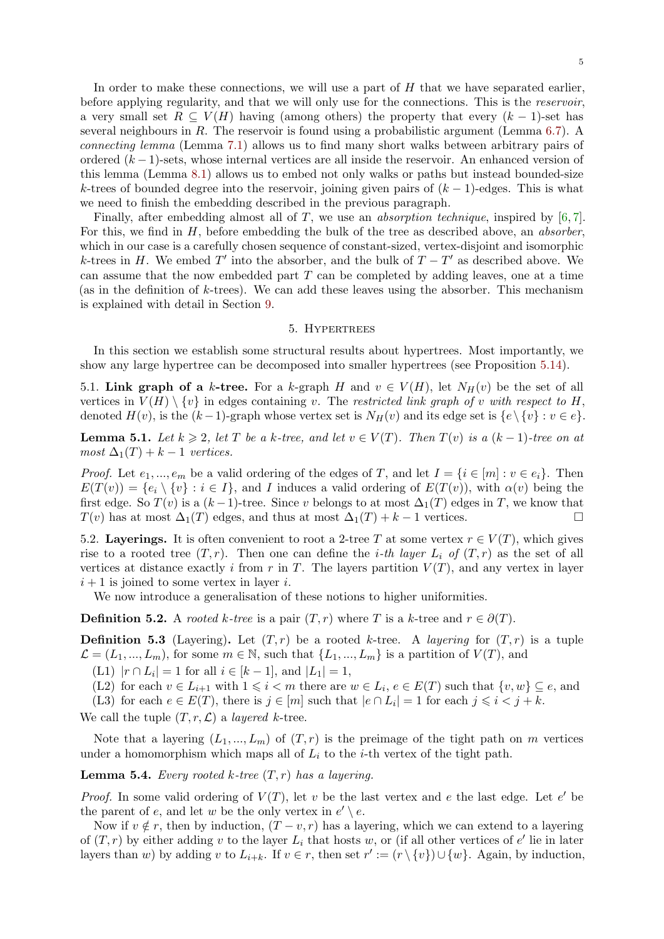<span id="page-4-5"></span>In order to make these connections, we will use a part of *H* that we have separated earlier, before applying regularity, and that we will only use for the connections. This is the *reservoir*, a very small set  $R \subseteq V(H)$  having (among others) the property that every  $(k-1)$ -set has several neighbours in *R*. The reservoir is found using a probabilistic argument (Lemma 6.7). A *connecting lemma* (Lemma 7.1) allows us to find many short walks between arbitrary pairs of ordered (*k −* 1)-sets, whose internal vertices are all inside the reservoir. An enhanced version of this lemma (Lemma 8.1) allows us to embed not only walks or paths but instead bounded-size *k*-trees of bounded degree into the reservoir, joining given pairs of  $(k-1)$ -edges. This [is w](#page-9-1)hat we need to finish the embe[ddin](#page-10-0)g described in the previous paragraph.

Finally, after embedding almost all of *T*, we use an *absorption technique*, inspired by [6, 7]. For this, we find in *H*[, b](#page-11-0)efore embedding the bulk of the tree as described above, an *absorber*, which in our case is a carefully chosen sequence of constant-sized, vertex-disjoint and isomorphic *k*-trees in *H*. We embed *T*<sup> $\prime$ </sup> into the absorber, and the bulk of  $T - T'$  as described above. We can assume that the now embedded part *T* can be completed by adding leaves, one at a [ti](#page-25-12)[me](#page-25-13) (as in the definition of *k*-trees). We can add these leaves using the absorber. This mechanism is explained with detail in Section 9.

#### 5. Hypertrees

In this section we establish some structural results about hypertrees. Most importantly, we show any large hypertree can be d[ec](#page-15-0)omposed into smaller hypertrees (see Proposition 5.14).

<span id="page-4-0"></span>5.1. **Link graph of a** *k***-tree.** For a *k*-graph *H* and  $v \in V(H)$ , let  $N_H(v)$  be the set of all vertices in  $V(H) \setminus \{v\}$  in edges containing *v*. The *restricted link graph of v with respect to H*, denoted  $H(v)$  $H(v)$  $H(v)$ , is the  $(k-1)$ -graph whose vertex set is  $N_H(v)$  and its edge set is  $\{e \setminus \{v\} : v \in e\}$ .

**Lemma 5.1.** Let  $k \geq 2$ , let T be a k-tree, and let  $v \in V(T)$ . Then  $T(v)$  is a  $(k-1)$ -tree on at  $most \Delta_1(T) + k - 1 \ vertices.$ 

*Proof.* Let  $e_1, ..., e_m$  be a valid ordering of the edges of *T*, and let  $I = \{i \in [m] : v \in e_i\}$ . Then  $E(T(v)) = \{e_i \setminus \{v\} : i \in I\}$ , and I induces a valid ordering of  $E(T(v))$ , with  $\alpha(v)$  being the first edge. So  $T(v)$  is a  $(k-1)$ -tree. Since *v* belongs to at most  $\Delta_1(T)$  edges in *T*, we know that *T*(*v*) has at most  $\Delta_1(T)$  edges, and thus at most  $\Delta_1(T) + k - 1$  vertices. □

5.2. **Layerings.** It is often convenient to root a 2-tree *T* at some vertex  $r \in V(T)$ , which gives rise to a rooted tree  $(T, r)$ . Then one can define the *i*-th layer  $L_i$  of  $(T, r)$  as the set of all vertices at distance exactly *i* from *r* in *T*. The layers partition  $V(T)$ , and any vertex in layer  $i+1$  is joined to some vertex in layer *i*.

We now introduce a generalisation of these notions to higher uniformities.

**Definition 5.2.** A *rooted k*-tree is a pair  $(T, r)$  where *T* is a *k*-tree and  $r \in \partial(T)$ .

**Definition 5.3** (Layering). Let  $(T, r)$  be a rooted *k*-tree. A *layering* for  $(T, r)$  is a tuple  $\mathcal{L} = (L_1, ..., L_m)$ , for some  $m \in \mathbb{N}$ , such that  $\{L_1, ..., L_m\}$  is a partition of  $V(T)$ , and

 $(L1)$   $|r \cap L_i| = 1$  for all  $i \in [k-1]$ , and  $|L_1| = 1$ ,

(L2) for each  $v \in L_{i+1}$  with  $1 \leq i < m$  there are  $w \in L_i$ ,  $e \in E(T)$  such that  $\{v, w\} \subseteq e$ , and

(L3) for each  $e \in E(T)$ , there is  $j \in [m]$  such that  $|e \cap L_i| = 1$  for each  $j \leq i < j + k$ .

<span id="page-4-1"></span>We call the tuple  $(T, r, \mathcal{L})$  a *layered k*-tree.

<span id="page-4-3"></span><span id="page-4-2"></span>Note that a layering  $(L_1, ..., L_m)$  of  $(T, r)$  is the preimage of the tight path on *m* vertices under a homomorphism which maps all of  $L_i$  to the *i*-th vertex of the tight path.

**Lemma 5.4.** *Every rooted*  $k$ *-tree*  $(T, r)$  *has a layering.* 

*Proof.* In some valid ordering of  $V(T)$ , let *v* be the last vertex and *e* the last edge. Let *e'* be the parent of *e*, and let *w* be the only vertex in  $e' \setminus e$ .

<span id="page-4-4"></span>Now if  $v \notin r$ , then by induction,  $(T - v, r)$  has a layering, which we can extend to a layering of  $(T, r)$  by either adding  $v$  to the layer  $L_i$  that hosts  $w$ , or (if all other vertices of  $e'$  lie in later layers than *w*) by adding *v* to  $L_{i+k}$ . If  $v \in r$ , then set  $r' := (r \setminus \{v\}) \cup \{w\}$ . Again, by induction,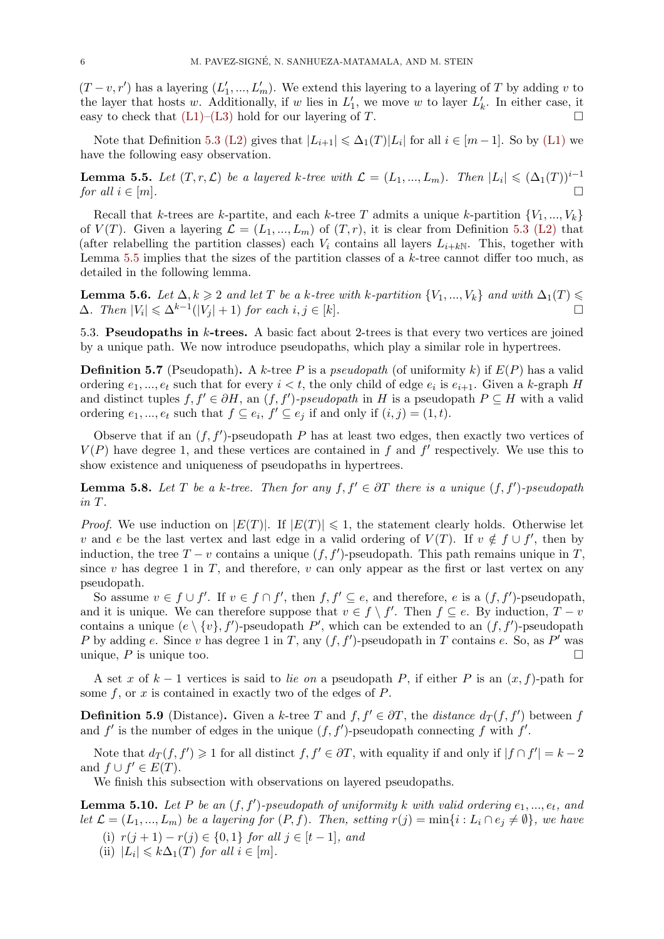$(T - v, r')$  has a layering  $(L'_1, ..., L'_m)$ . We extend this layering to a layering of *T* by adding *v* to the layer that hosts *w*. Additionally, if *w* lies in  $L'_{1}$ , we move *w* to layer  $L'_{k}$ . In either case, it easy to check that  $(L1)$ – $(L3)$  hold for our layering of *T*.

Note that Definition 5.3 (L2) gives that  $|L_{i+1}| \leq \Delta_1(T)|L_i|$  for all  $i \in [m-1]$ . So by (L1) we have the following easy observation.

**Lemma 5.5.** Let  $(T, r, \mathcal{L})$  $(T, r, \mathcal{L})$  $(T, r, \mathcal{L})$  [be](#page-4-2) a layered k-tree with  $\mathcal{L} = (L_1, ..., L_m)$ . Then  $|L_i| \leqslant (\Delta_1(T))^{i-1}$ *for all*  $i \in [m]$ .

<span id="page-5-0"></span>Recall that *k*-trees are *k*-partite, and each *k*-tree *T* admits a unique *k*-partition  $\{V_1, ..., V_k\}$ of  $V(T)$ . Given a layering  $\mathcal{L} = (L_1, ..., L_m)$  of  $(T, r)$ , it is clear from Definition 5.3 (L2) that (after relabelling the partition classes) each  $V_i$  contains all layers  $L_{i+kN}$ . This, together with Lemma 5.5 implies that the sizes of the partition classes of a *k*-tree cannot differ too much, as detailed in the following lemma.

**Lemma 5.6.** *Let*  $\Delta, k \geqslant 2$  *and let*  $T$  *be a*  $k$ *-tree with*  $k$ *-partition*  $\{V_1, ..., V_k\}$  *and with*  $\Delta_1(T) \leqslant$  $\Delta$ *. Then*  $|V_i| \leq \Delta^{k-1}(|V_j| + 1)$  $|V_i| \leq \Delta^{k-1}(|V_j| + 1)$  $|V_i| \leq \Delta^{k-1}(|V_j| + 1)$  *for each*  $i, j \in [k]$ *.* □

5.3. **Pseudopaths in** *k***-trees.** A basic fact about 2-trees is that every two vertices are joined by a unique path. We now introduce pseudopaths, which play a similar role in hypertrees.

**Definition 5.7** (Pseudopath). A *k*-tree *P* is a *pseudopath* (of uniformity *k*) if  $E(P)$  has a valid ordering  $e_1, ..., e_t$  such that for every  $i < t$ , the only child of edge  $e_i$  is  $e_{i+1}$ . Given a *k*-graph *H* and distinct tuples  $f, f' \in \partial H$ , an  $(f, f')$ -pseudopath in *H* is a pseudopath  $P \subseteq H$  with a valid ordering  $e_1, ..., e_t$  such that  $f \subseteq e_i, f' \subseteq e_j$  if and only if  $(i, j) = (1, t)$ .

Observe that if an  $(f, f')$ -pseudopath *P* has at least two edges, then exactly two vertices of  $V(P)$  have degree 1, and these vertices are contained in  $f$  and  $f'$  respectively. We use this to show existence and uniqueness of pseudopaths in hypertrees.

**Lemma 5.8.** Let  $T$  be a  $k$ -tree. Then for any  $f, f' \in \partial T$  there is a unique  $(f, f')$ -pseudopath *in T.*

*Proof.* We use induction on  $|E(T)|$ . If  $|E(T)| \leq 1$ , the statement clearly holds. Otherwise let *v* and *e* be the last vertex and last edge in a valid ordering of  $V(T)$ . If  $v \notin f \cup f'$ , then by induction, the tree  $T - v$  contains a unique  $(f, f')$ -pseudopath. This path remains unique in  $T$ , since  $v$  has degree 1 in  $T$ , and therefore,  $v$  can only appear as the first or last vertex on any pseudopath.

So assume  $v \in f \cup f'$ . If  $v \in f \cap f'$ , then  $f, f' \subseteq e$ , and therefore, e is a  $(f, f')$ -pseudopath, and it is unique. We can therefore suppose that  $v \in f \setminus f'$ . Then  $f \subseteq e$ . By induction,  $T - v$ contains a unique  $(e \setminus \{v\}, f')$ -pseudopath  $P'$ , which can be extended to an  $(f, f')$ -pseudopath *P* by adding *e*. Since *v* has degree 1 in *T*, any (*f, f′* )-pseudopath in *T* contains *e*. So, as *P ′* was unique,  $P$  is unique too.  $\Box$ 

A set *x* of *k −* 1 vertices is said to *lie on* a pseudopath *P*, if either *P* is an (*x, f*)-path for some *f*, or *x* is contained in exactly two of the edges of *P*.

**Definition 5.9** (Distance). Given a *k*-tree *T* and  $f, f' \in \partial T$ , the *distance*  $d_T(f, f')$  between *f* and  $f'$  is the number of edges in the unique  $(f, f')$ -pseudopath connecting  $f$  with  $f'$ .

<span id="page-5-3"></span>Note that  $d_T(f, f') \geq 1$  for all distinct  $f, f' \in \partial T$ , with equality if and only if  $|f \cap f'| = k - 2$ and  $f \cup f' \in E(T)$ .

We finish this subsection with observations on layered pseudopaths.

**Lemma 5.10.** *Let P be an* (*f, f′* )*-pseudopath of uniformity k with valid ordering e*1*, ..., et, and* let  $\mathcal{L} = (L_1, ..., L_m)$  be a layering for  $(P, f)$ . Then, setting  $r(j) = \min\{i : L_i \cap e_j \neq \emptyset\}$ , we have

- (i) *r*(*j* + 1) *− r*(*j*) *∈ {*0*,* 1*} for all j ∈* [*t −* 1]*, and*
- <span id="page-5-4"></span><span id="page-5-2"></span><span id="page-5-1"></span>(ii)  $|L_i| \leq k\Delta_1(T)$  *for all*  $i \in [m]$ *.*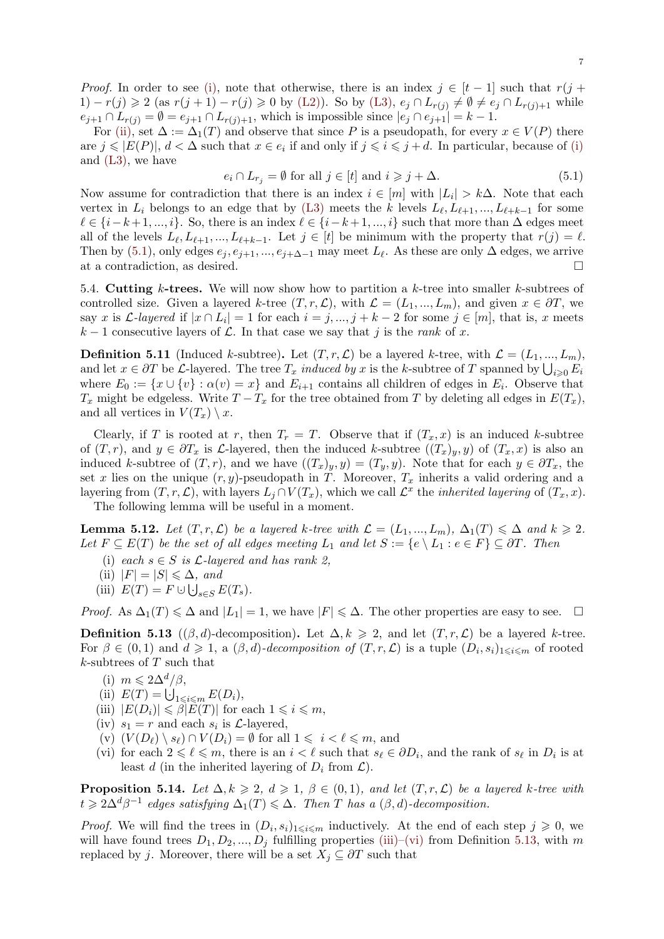*Proof.* In order to see (i), note that otherwise, there is an index  $j \in [t-1]$  such that  $r(j+1)$  $(1) - r(j) \geq 2$  (as  $r(j + 1) - r(j) \geq 0$  by (L2)). So by (L3),  $e_j \cap L_{r(j)} \neq \emptyset \neq e_j \cap L_{r(j)+1}$  while  $e_{j+1} \cap L_{r(j)} = \emptyset = e_{j+1} \cap L_{r(j)+1}$ , which is impossible since  $|e_j \cap e_{j+1}| = k - 1$ .

For (ii), set  $\Delta := \Delta_1(T)$  and observe that since P is a pseudopath, for every  $x \in V(P)$  there are  $j \leq |E(P)|$ ,  $d < \Delta$  [suc](#page-5-1)h that  $x \in e_i$  if [and](#page-4-3) only if  $j \leq i \leq j+d$ . In particular, because of (i) and (L3), we have

<span id="page-6-1"></span>
$$
e_i \cap L_{r_j} = \emptyset \text{ for all } j \in [t] \text{ and } i \geq j + \Delta. \tag{5.1}
$$

Now a[ssum](#page-5-2)e for contradiction that there is an index  $i \in [m]$  with  $|L_i| > k\Delta$ . Note that each vert[ex in](#page-4-2)  $L_i$  belongs to an edge that by (L3) [me](#page-5-1)ets the *k* levels  $L_\ell, L_{\ell+1}, ..., L_{\ell+k-1}$  for some  $\ell \in \{i-k+1,\ldots,i\}$ . So, there is an index  $\ell \in \{i-k+1,\ldots,i\}$  such that more than ∆ edges meet all of the levels  $L_{\ell}, L_{\ell+1}, ..., L_{\ell+k-1}$ . Let  $j \in [t]$  be minimum with the property that  $r(j) = \ell$ . Then by (5.1), only edges  $e_j, e_{j+1}, ..., e_{j+\Delta-1}$  may meet  $L_\ell$ . As these are only  $\Delta$  edges, we arrive at a contradiction, as desired. □

5.4. **Cutting** *k***-trees.** We will now show how to partition a *k*-tree into smaller *k*-subtrees of controlle[d siz](#page-6-1)e. Given a layered *k*-tree  $(T, r, \mathcal{L})$ , with  $\mathcal{L} = (L_1, ..., L_m)$ , and given  $x \in \partial T$ , we say *x* is *L*-layered if  $|x \cap L_i| = 1$  for each  $i = j, ..., j + k - 2$  for some  $j \in [m]$ , that is, *x* meets  $k-1$  consecutive layers of  $\mathcal{L}$ . In that case we say that *j* is the *rank* of *x*.

**Definition 5.11** (Induced *k*-subtree). Let  $(T, r, \mathcal{L})$  be a layered *k*-tree, with  $\mathcal{L} = (L_1, ..., L_m)$ , and let  $x \in \partial T$  be *L*-layered. The tree  $T_x$  *induced by*  $x$  is the *k*-subtree of  $T$  spanned by  $\bigcup_{i \geq 0} E_i$ where  $E_0 := \{x \cup \{v\} : \alpha(v) = x\}$  and  $E_{i+1}$  contains all children of edges in  $E_i$ . Observe that *T*<sub>*x*</sub> might be edgeless. Write  $T - T_x$  for the tree obtained from *T* by deleting all edges in  $E(T_x)$ , and all vertices in  $V(T_x) \setminus x$ .

Clearly, if *T* is rooted at *r*, then  $T_r = T$ . Observe that if  $(T_x, x)$  is an induced *k*-subtree of  $(T, r)$ , and  $y \in \partial T_x$  is L-layered, then the induced k-subtree  $((T_x)_y, y)$  of  $(T_x, x)$  is also an induced *k*-subtree of  $(T, r)$ , and we have  $((T_x)_y, y) = (T_y, y)$ . Note that for each  $y \in \partial T_x$ , the set *x* lies on the unique  $(r, y)$ -pseudopath in *T*. Moreover,  $T_x$  inherits a valid ordering and a layering from  $(T, r, \mathcal{L})$ , with layers  $L_j \cap V(T_x)$ , which we call  $\mathcal{L}^x$  the *inherited layering* of  $(T_x, x)$ . The following lemma will be useful in a moment.

**Lemma 5.12.** *Let*  $(T, r, \mathcal{L})$  *be a layered k-tree with*  $\mathcal{L} = (L_1, ..., L_m), \Delta_1(T) \leq \Delta$  *and*  $k \geq 2$ *. Let*  $F \subseteq E(T)$  *be the set of all edges meeting*  $L_1$  *and let*  $S := \{e \setminus L_1 : e \in F\} \subseteq \partial T$ *. Then* 

- (i) *each*  $s \in S$  *is*  $\mathcal{L}$ *-layered and has rank 2.*
- <span id="page-6-4"></span> $\langle$ ii)  $|F| = |S| \leq \Delta$ *, and*
- (iii)  $E(T) = F \cup \bigcup_{s \in S} E(T_s)$ .

*Proof.* As  $\Delta_1(T) \leq \Delta$  and  $|L_1| = 1$ , we have  $|F| \leq \Delta$ . The other properties are easy to see. □

**Definition 5.13** (( $\beta$ , *d*)-decomposition). Let  $\Delta$ ,  $k \geq 2$ , and let  $(T, r, \mathcal{L})$  be a layered *k*-tree. For  $\beta \in (0,1)$  and  $d \geq 1$ , a  $(\beta, d)$ -decomposition of  $(T, r, \mathcal{L})$  is a tuple  $(D_i, s_i)_{1 \leq i \leq m}$  of rooted *k*-subtrees of *T* such that

- (i)  $m \leqslant 2\Delta^d/\beta$ ,
- <span id="page-6-7"></span>(ii)  $E(T) = \bigcup_{1 \leq i \leq m} E(D_i),$
- $(|iii)$   $|E(D_i)| \leq \beta |E(T)|$  for each  $1 \leq i \leq m$ ,
- <span id="page-6-2"></span>(iv)  $s_1 = r$  and each  $s_i$  is  $\mathcal{L}$ -layered,
- $(v)$   $(V(D_{\ell}) \setminus s_{\ell}) \cap V(D_{i}) = \emptyset$  for all  $1 \leq i \leq \ell \leq m$ , and
- <span id="page-6-5"></span><span id="page-6-3"></span>(vi) for each  $2 \leq \ell \leq m$ , there is an  $i < \ell$  such that  $s_{\ell} \in \partial D_i$ , and the rank of  $s_{\ell}$  in  $D_i$  is at least *d* (in the inherited layering of  $D_i$  from  $\mathcal{L}$ ).

<span id="page-6-6"></span>**Proposition 5.14.** *Let*  $\Delta, k \geq 2$ ,  $d \geq 1$ ,  $\beta \in (0,1)$ , and let  $(T, r, \mathcal{L})$  be a layered k-tree with  $t \geqslant 2\Delta^d\beta^{-1}$  edges satisfying  $\Delta_1(T) \leqslant \Delta$ . Then *T* has a  $(\beta, d)$ -decomposition.

<span id="page-6-0"></span>*Proof.* We will find the trees in  $(D_i, s_i)_{1 \leq i \leq m}$  inductively. At the end of each step  $j \geq 0$ , we will have found trees  $D_1, D_2, ..., D_j$  fulfilling properties (iii)–(vi) from Definition 5.13, with *m* replaced by *j*. Moreover, there will be a set  $X_j \subseteq \partial T$  such that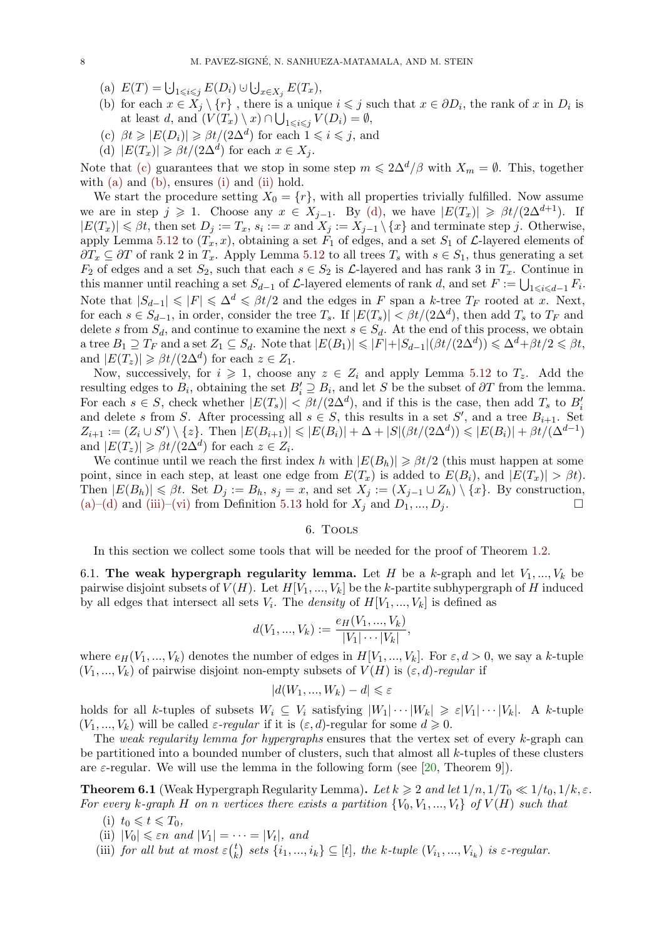- $E(T) = \bigcup_{1 \le i \le j} E(D_i) \cup \bigcup_{x \in X_j} E(T_x),$
- <span id="page-7-8"></span>(b) for each  $x \in X_j \setminus \{r\}$ , there is a unique  $i \leq j$  such that  $x \in \partial D_i$ , the rank of  $x$  in  $D_i$  is at least *d*, and  $(V(T_x) \setminus x) \cap \bigcup_{1 \leq i \leq j} V(D_i) = \emptyset$ ,
- $\langle \text{c} \rangle$   $\beta t \geq |E(D_i)| \geq \beta t/(2\Delta^d)$  for each  $1 \leq i \leq j$ , and
- <span id="page-7-2"></span>(d)  $|E(T_x)| \ge \beta t/(2\Delta^d)$  for each  $x \in X_j$ .

<span id="page-7-3"></span>Note that (c) guarantees that we stop in some step  $m \leq 2\Delta^d/\beta$  with  $X_m = \emptyset$ . This, together with (a) and (b), ensures (i) and (ii) hold.

<span id="page-7-4"></span><span id="page-7-1"></span>We start the procedure setting  $X_0 = \{r\}$ , with all properties trivially fulfilled. Now assume we are in step  $j \geq 1$ . Choose any  $x \in X_{j-1}$ . By (d), we have  $|E(T_x)| \geq \beta t/(2\Delta^{d+1})$ . If  $|E(T_x)| \leq \beta t$ , then set  $D_j := T_x$ ,  $s_i := x$  and  $X_j := X_{j-1} \setminus \{x\}$  and terminate step j. Otherwise, appl[y Le](#page-7-2)mma [5.1](#page-7-3)2 to  $(T_x, x)$  $(T_x, x)$  $(T_x, x)$ , obt[aini](#page-6-3)ng a set  $F_1$  of edges, and a set  $S_1$  of  $\mathcal{L}$ -layered elements of  $∂T_x ⊆ ∂T$  of rank 2 in  $T_x$ . Apply Lemma 5.12 to all trees  $T_s$  with  $s ∈ S_1$ , thus generating a set *F*<sub>2</sub> of edges and a set *S*<sub>2</sub>, such that each  $s \in S_2$  is *L*-l[ayer](#page-7-4)ed and has rank 3 in  $T_x$ . Continue in this manner until reaching a set  $S_{d-1}$  of  $\mathcal{L}$ -layered elements of rank *d*, and set  $F := \bigcup_{1 \leq i \leq d-1} F_i$ . Note that  $|S_{d-1}|$  ≤  $|F|$  ≤  $\Delta^d$  ≤  $\beta t/2$  and the edges in *F* span a *k*-tree  $T_F$  rooted at *x*. Next, for each  $s \in S_{d-1}$ , in order, consider the t[ree](#page-6-4)  $T_s$ . If  $|E(T_s)| < \beta t/(2\Delta^d)$ , then add  $T_s$  to  $T_F$  and delete *s* from  $S_d$ , and continue to examine the next  $s \in S_d$ . At the end of this process, we obtain a tree  $B_1 \supseteq T_F$  and a set  $Z_1 \subseteq S_d$ . Note that  $|E(B_1)| \leqslant |F| + |S_{d-1}|(\beta t/(2\Delta^d)) \leqslant \Delta^d + \beta t/2 \leqslant \beta t$ , and  $|E(T_z)| \ge \beta t/(2\Delta^d)$  for each  $z \in Z_1$ .

Now, successively, for  $i \geq 1$ , choose any  $z \in Z_i$  and apply Lemma 5.12 to  $T_z$ . Add the resulting edges to  $B_i$ , obtaining the set  $B'_i \supseteq B_i$ , and let *S* be the subset of  $\partial T$  from the lemma. For each  $s \in S$ , check whether  $|E(T_s)| < \beta t/(2\Delta^d)$ , and if this is the case, then add  $T_s$  to  $B'_i$ and delete *s* from *S*. After processing all  $s \in S$ , this results in a set  $S'$ , and a tree  $B_{i+1}$ . Set  $Z_{i+1} := (Z_i \cup S') \setminus \{z\}.$  Then  $|E(B_{i+1})| \leq |E(B_i)| + \Delta + |S|(\beta t/(2\Delta^d)) \leq |E(B_i)| + \beta t/(\Delta^{d-1})$  $|E(B_{i+1})| \leq |E(B_i)| + \Delta + |S|(\beta t/(2\Delta^d)) \leq |E(B_i)| + \beta t/(\Delta^{d-1})$  $|E(B_{i+1})| \leq |E(B_i)| + \Delta + |S|(\beta t/(2\Delta^d)) \leq |E(B_i)| + \beta t/(\Delta^{d-1})$ and  $|E(T_z)| \ge \beta t/(2\Delta^d)$  for each  $z \in Z_i$ .

We continue until we reach the first index *h* with  $|E(B_h)| \geq \beta t/2$  (this must happen at some point, since in each step, at least one edge from  $E(T_x)$  is added to  $E(B_i)$ , and  $|E(T_x)| > \beta t$ . Then  $|E(B_h)| \le \beta t$ . Set  $D_j := B_h$ ,  $s_j = x$ , and set  $X_j := (X_{j-1} \cup Z_h) \setminus \{x\}$ . By construction,<br>(a)–(d) and (iii)–(vi) from Definition 5.13 hold for  $X_i$  and  $D_1, ..., D_i$ . (a)–(d) and (iii)–(vi) from Definition 5.13 hold for  $X_j$  and  $D_1, ..., D_j$ .

### 6. Tools

[I](#page-7-2)[n th](#page-7-4)is se[ction](#page-6-5) [we](#page-6-6) collect some tool[s tha](#page-6-7)t will be needed for the proof of Theorem 1.2.

<span id="page-7-0"></span>6.1. **The weak hypergraph regularity lemma.** Let *H* be a *k*-graph and let  $V_1, ..., V_k$  be pairwise disjoint subsets of  $V(H)$ . Let  $H[V_1, ..., V_k]$  be the *k*-partite subhypergraph of *H* induced by all edges that intersect all sets  $V_i$ . The *density* of  $H[V_1, ..., V_k]$  is defined as

$$
d(V_1, ..., V_k) := \frac{e_H(V_1, ..., V_k)}{|V_1| \cdots |V_k|},
$$

where  $e_H(V_1, ..., V_k)$  denotes the number of edges in  $H[V_1, ..., V_k]$ . For  $\varepsilon, d > 0$ , we say a *k*-tuple  $(V_1, ..., V_k)$  of pairwise disjoint non-empty subsets of  $V(H)$  is  $(\varepsilon, d)$ *-regular* if

$$
|d(W_1, ..., W_k) - d| \leq \varepsilon
$$

holds for all k-tuples of subsets  $W_i \subseteq V_i$  satisfying  $|W_1| \cdots |W_k| \geq \varepsilon |V_1| \cdots |V_k|$ . A k-tuple  $(V_1, ..., V_k)$  will be called  $\varepsilon$ -regular if it is  $(\varepsilon, d)$ -regular for some  $d \geq 0$ .

The *weak regularity lemma for hypergraphs* ensures that the vertex set of every *k*-graph can be partitioned into a bounded number of clusters, such that almost all *k*-tuples of these clusters are  $\varepsilon$ -regular. We will use the lemma in the following form (see [20, Theorem 9]).

**Theorem 6.1** (Weak Hypergraph Regularity Lemma). Let  $k \geq 2$  and let  $1/n$ ,  $1/T_0 \ll 1/t_0$ ,  $1/k$ ,  $\varepsilon$ . *For every k*-graph *H on n vertices there exists a partition*  $\{V_0, V_1, ..., V_t\}$  *of*  $V(H)$  *such that* 

- $(i)$   $t_0 \leq t \leq T_0$ ,
- $\langle$ ii)  $|V_0| \leq \varepsilon n$  *and*  $|V_1| = \cdots = |V_t|$ *, and*
- <span id="page-7-7"></span><span id="page-7-6"></span><span id="page-7-5"></span>(iii) *for all but at most*  $\varepsilon$ <sup>(*t*</sup><sub>*k*</sub>)  $\{k\}$  *sets*  $\{i_1, ..., i_k\} \subseteq [t]$ , the *k*-tuple  $(V_{i_1}, ..., V_{i_k})$  is  $\varepsilon$ -regular.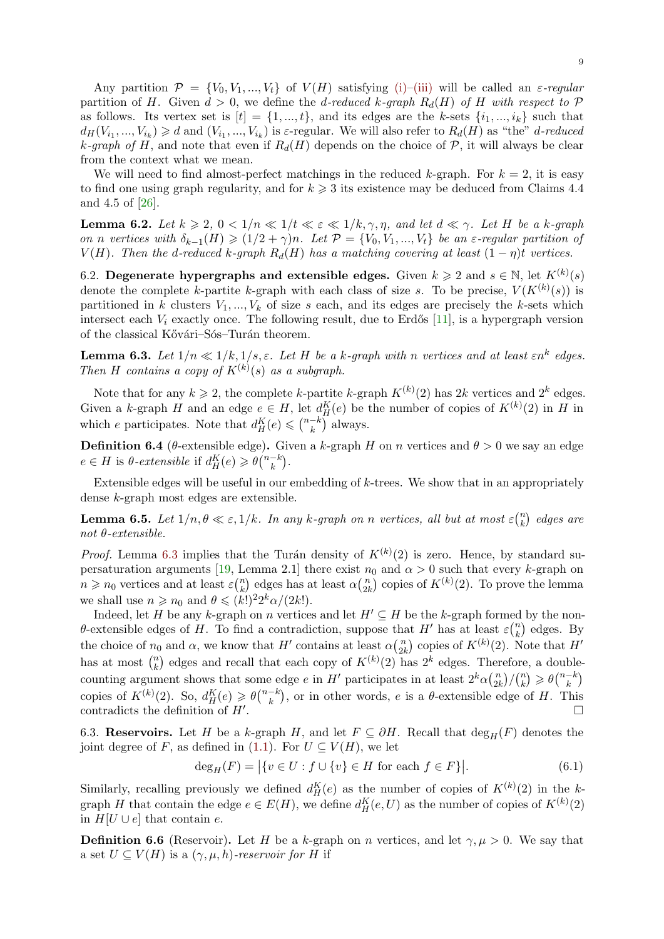<span id="page-8-3"></span>Any partition  $\mathcal{P} = \{V_0, V_1, ..., V_t\}$  of  $V(H)$  satisfying (i)–(iii) will be called an  $\varepsilon$ -regular partition of *H*. Given  $d > 0$ , we define the *d*-reduced *k*-graph  $R_d(H)$  of *H* with respect to  $P$ as follows. Its vertex set is  $[t] = \{1, ..., t\}$ , and its edges are the *k*-sets  $\{i_1, ..., i_k\}$  such that  $d_H(V_{i_1},...,V_{i_k}) \geq d$  and  $(V_{i_1},...,V_{i_k})$  is  $\varepsilon$ -regular. We will also refer to  $R_d(H)$  as "the" d-reduced *k*-graph of *H*, and note that even if  $R_d(H)$  depends on th[e ch](#page-7-5)[oice](#page-7-6) of  $P$ , it will always be clear from the context what we mean.

We will need to find almost-perfect matchings in the reduced *k*-graph. For  $k = 2$ , it is easy to find one using graph regularity, and for  $k \geqslant 3$  its existence may be deduced from Claims 4.4 and 4.5 of [26].

**Lemma 6.2.** Let  $k \ge 2$ ,  $0 < 1/n \ll 1/t \ll \varepsilon \ll 1/k, \gamma, \eta$ , and let  $d \ll \gamma$ . Let H be a k-graph on n vertices with  $\delta_{k-1}(H) \geq (1/2 + \gamma)n$ . Let  $\mathcal{P} = \{V_0, V_1, ..., V_t\}$  be an  $\varepsilon$ -regular partition of *V*(*H*). The[n t](#page-25-3)he *d*-reduced *k*-graph  $R_d(H)$  has a matching covering at least  $(1 - \eta)t$  vertices.

<span id="page-8-2"></span>6.2. **Degenerate hypergraphs and extensible edges.** Given  $k \geq 2$  and  $s \in \mathbb{N}$ , let  $K^{(k)}(s)$ denote the complete *k*-partite *k*-graph with each class of size *s*. To be precise,  $V(K^{(k)}(s))$  is partitioned in *k* clusters  $V_1, ..., V_k$  of size *s* each, and its edges are precisely the *k*-sets which intersect each  $V_i$  exactly once. The following result, due to Erdős [11], is a hypergraph version of the classical Kővári–Sós–Turán theorem.

**Lemma 6.3.** Let  $1/n \ll 1/k, 1/s, \varepsilon$ . Let H be a *k-graph with n vertices* and at least  $\varepsilon n^k$  edges. *Then H contains a copy of*  $K^{(k)}(s)$  *as a subgraph.* 

<span id="page-8-0"></span>Note that for any  $k \geq 2$ , the complete *k*-partite *k*-graph  $K^{(k)}(2)$  has 2*k* vertices and 2<sup>*k*</sup> edges. Given a *k*-graph *H* and an edge  $e \in H$ , let  $d_H^K(e)$  be the number of copies of  $K^{(k)}(2)$  in *H* in which *e* participates. Note that  $d_H^K(e) \leq \binom{n-k}{k}$  always.

**Definition 6.4** (*θ*-extensible edge). Given a *k*-graph *H* on *n* vertices and  $\theta > 0$  we say an edge  $e \in H$  is  $\theta$ -extensible if  $d_H^K(e) \geqslant \theta {n-k \choose k}$ .

Extensible edges will be useful in our embedding of *k*-trees. We show that in an appropriately dense *k*-graph most edges are extensible.

**Lemma 6.5.** *Let*  $1/n, \theta \ll \varepsilon, 1/k$ *. In any k*-graph on *n vertices, all but at most*  $\varepsilon \binom{n}{k}$ *k* ) *edges are not θ-extensible.*

<span id="page-8-1"></span>*Proof.* Lemma 6.3 implies that the Turán density of  $K^{(k)}(2)$  is zero. Hence, by standard supersaturation arguments [19, Lemma 2.1] there exist  $n_0$  and  $\alpha > 0$  such that every *k*-graph on  $n \geq n_0$  vertices and at least  $\varepsilon \binom{n}{k}$  $\binom{n}{k}$  edges has at least  $\alpha \binom{n}{2k}$  $\binom{n}{2k}$  copies of  $K^{(k)}(2)$ . To prove the lemma we shall use  $n \ge n_0$  and  $\theta \le (k!)^2 2^k \alpha/(2k!)$ .

Indeed, let *H* [be](#page-8-0) any *k*-graph on *n* vertices and let  $H' \subseteq H$  be the *k*-graph formed by the non*θ*-extensible edges of *H*. [To](#page-25-14) find a contradiction, suppose that *H'* has at least  $\varepsilon \binom{n}{k}$  $\binom{n}{k}$  edges. By the choice of  $n_0$  and  $\alpha$ , we know that  $H'$  contains at least  $\alpha\binom{n}{2k}$  $\binom{n}{2k}$  copies of  $K^{(k)}(2)$ . Note that  $H'$ has at most  $\binom{n}{k}$  $k$ ) edges and recall that each copy of  $K^{(k)}(2)$  has  $2^k$  edges. Therefore, a doublecounting argument shows that some edge *e* in *H'* participates in at least  $2^k \alpha \binom{n}{2k}$  $\binom{n}{2k}/\binom{n}{k}$  $\binom{n}{k} \geqslant \theta\binom{n-k}{k}$ copies of  $K^{(k)}(2)$ . So,  $d_H^K(e) \geq \theta\binom{n-k}{k}$ , or in other words, *e* is a  $\theta$ -extensible edge of *H*. This contradicts the definition of *H′* . □

6.3. **Reservoirs.** Let *H* be a *k*-graph *H*, and let  $F \subseteq \partial H$ . Recall that  $\deg_H(F)$  denotes the joint degree of *F*, as defined in (1.1). For  $U \subseteq V(H)$ , we let

$$
\deg_H(F) = |\{v \in U : f \cup \{v\} \in H \text{ for each } f \in F\}|. \tag{6.1}
$$

Similarly, recalling previously we defined  $d_H^K(e)$  as the number of copies of  $K^{(k)}(2)$  in the *k*graph *H* that contain the edge  $e \in E(H)$ , we define  $d_H^K(e, U)$  as the number of copies of  $K^{(k)}(2)$ in  $H[U ∪ e]$  that contain *e*.

**Definition 6.6** (Reservoir). Let *H* be a *k*-graph on *n* vertices, and let  $\gamma, \mu > 0$ . We say that a set  $U \subseteq V(H)$  is a  $(\gamma, \mu, h)$ *-reservoir for H* if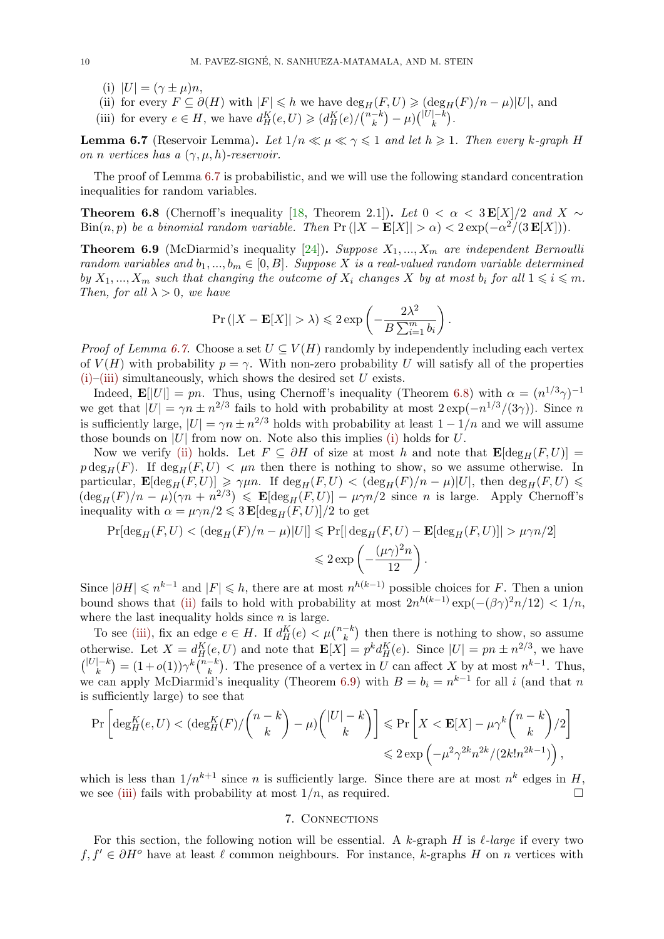- (i)  $|U| = (\gamma \pm \mu)n$ ,
- (ii) for every  $F \subseteq \partial(H)$  with  $|F| \leq h$  we have  $\deg_H(F, U) \geqslant (\deg_H(F)/n \mu)|U|$ , and
- <span id="page-9-7"></span>(iii) for every  $e \in H$ , we have  $d_H^K(e, U) \geq (d_H^K(e)/\binom{n-k}{k} - \mu)\binom{|U|-k}{k}$ .

<span id="page-9-5"></span><span id="page-9-2"></span>**Lemma 6.7** (Reservoir Lemma). Let  $1/n \ll \mu \ll \gamma \leq 1$  and let  $h \geq 1$ . Then every *k*-graph *H on n vertices has a* (*γ, µ, h*)*-reservoir.*

<span id="page-9-3"></span><span id="page-9-1"></span>The proof of Lemma 6.7 is probabilistic, and we will use the following standard concentration inequalities for random variables.

**Theorem 6.8** (Chernoff's inequality [18, Theorem 2.1]). Let  $0 < \alpha < 3E[X]/2$  and  $X \sim$  $\text{Bin}(n, p)$  *be a binomial [ran](#page-9-1)dom variable. Then*  $\text{Pr}(|X - \mathbf{E}[X]| > \alpha) < 2 \exp(-\alpha^2/(3 \mathbf{E}[X]))$ .

<span id="page-9-4"></span>**Theorem 6.9** (McDiarmid's inequality [24])**.** *Suppose X*1*, ..., X<sup>m</sup> are independent Bernoulli random variables and*  $b_1, ..., b_m \in [0, B]$ *. [Su](#page-25-15)ppose X is a real-valued random variable determined by*  $X_1, ..., X_m$  *such that changing the outcome of*  $X_i$  *changes*  $X$  *by at most*  $b_i$  *for all*  $1 \leq i \leq m$ *. Then, for all*  $\lambda > 0$ *, we have* 

$$
\Pr(|X - \mathbf{E}[X]| > \lambda) \leq 2 \exp\left(-\frac{2\lambda^2}{B\sum_{i=1}^m b_i}\right).
$$

<span id="page-9-6"></span>*Proof of Lemma 6.7.* Choose a set  $U \subseteq V(H)$  randomly by independently including each vertex of  $V(H)$  with probability  $p = \gamma$ . With non-zero probability *U* will satisfy all of the properties  $(i)$ –(iii) simultaneously, which shows the desired set  $U$  exists.

Indeed,  $\mathbf{E}[[U]] = pn$ . Thus, using Chernoff's inequality (Theorem 6.8) with  $\alpha = (n^{1/3}\gamma)^{-1}$ we get that  $|U| = \gamma n \pm n^{2/3}$  fails to hold with probability at most  $2 \exp(-n^{1/3}/(3\gamma))$ . Since *n* is sufficiently large,  $|U| = \gamma n \pm n^{2/3}$  holds with probability at least  $1 - 1/n$  and we will assume [tho](#page-9-2)[se bo](#page-9-3)unds on  $|U|$  from now on. Note also this implies (i) holds for  $U$ .

Now we verify (ii) holds. Let  $F \subseteq \partial H$  of size at most *h* and no[te t](#page-9-4)hat  $\mathbf{E}[\deg_H(F, U)] =$  $p \deg_H(F)$ . If  $\deg_H(F, U) < \mu n$  then there is nothing to show, so we assume otherwise. In particular,  $\mathbf{E}[\deg_H(F, U)] \geq \gamma \mu n$ . If  $\deg_H(F, U) < (\deg_H(F)/n - \mu)|U|$ , then  $\deg_H(F, U) \leq$  $(\deg_H(F)/n - \mu)(\gamma n + n^{2/3}) \leq \mathbf{E}[\deg_H(F, U)] - \mu \gamma n/2$  [si](#page-9-2)nce *n* is large. Apply Chernoff's inequality with  $\alpha = \mu \gamma n/2 \leq 3 \mathbf{E} [\deg_H(F, U)]/2$  $\alpha = \mu \gamma n/2 \leq 3 \mathbf{E} [\deg_H(F, U)]/2$  $\alpha = \mu \gamma n/2 \leq 3 \mathbf{E} [\deg_H(F, U)]/2$  to get

$$
\Pr[\deg_H(F, U) < (\deg_H(F)/n - \mu)|U|\le \Pr[\deg_H(F, U) - \mathbf{E}[\deg_H(F, U)]| > \mu\gamma n/2]
$$
\n
$$
\le 2\exp\left(-\frac{(\mu\gamma)^2 n}{12}\right).
$$

Since  $|\partial H| \leqslant n^{k-1}$  and  $|F| \leqslant h$ , there are at most  $n^{h(k-1)}$  possible choices for *F*. Then a union bound shows that (ii) fails to hold with probability at most  $2n^{h(k-1)} \exp(-(\beta \gamma)^2 n/12) < 1/n$ , where the last inequality holds since *n* is large.

To see (iii), fix an edge  $e \in H$ . If  $d_H^K(e) < \mu \binom{n-k}{k}$  then there is nothing to show, so assume otherwise. Let  $X = d_H^K(e, U)$  and note that  $\mathbf{E}[X] = p^k d_H^K(e)$ . Since  $|U| = pn \pm n^{2/3}$ , we have  $\binom{|U|-k}{k} = (1+o(1))\gamma^k \binom{n-k}{k}$  $\binom{|U|-k}{k} = (1+o(1))\gamma^k \binom{n-k}{k}$  $\binom{|U|-k}{k} = (1+o(1))\gamma^k \binom{n-k}{k}$ . The presence of a vertex in U can affect X by at most  $n^{k-1}$ . Thus, we can a[pply](#page-9-3) McDiarmid's inequality (Theorem 6.9) with  $B = b_i = n^{k-1}$  for all *i* (and that *n* is sufficiently large) to see that

$$
\Pr\left[\deg_H^K(e, U) < (\deg_H^K(F) / \binom{n-k}{k} - \mu) \binom{|U|-k}{k} \right] \leqslant \Pr\left[X < \mathbf{E}[X] - \mu \gamma^k \binom{n-k}{k} / 2\right] \leqslant 2 \exp\left(-\mu^2 \gamma^{2k} n^{2k} / (2k! n^{2k-1})\right),
$$

which is less than  $1/n^{k+1}$  since *n* is sufficiently large. Since there are at most  $n^k$  edges in *H*, we see (iii) fails with probability at most  $1/n$ , as required. □

# 7. Connections

<span id="page-9-0"></span>For this section, the following notion will be essential. A  $k$ -graph  $H$  is  $\ell$ -large if every two  $f, f' \in \partial H^o$  have at least  $\ell$  common neighbours. For instance, *k*-graphs *H* on *n* vertices with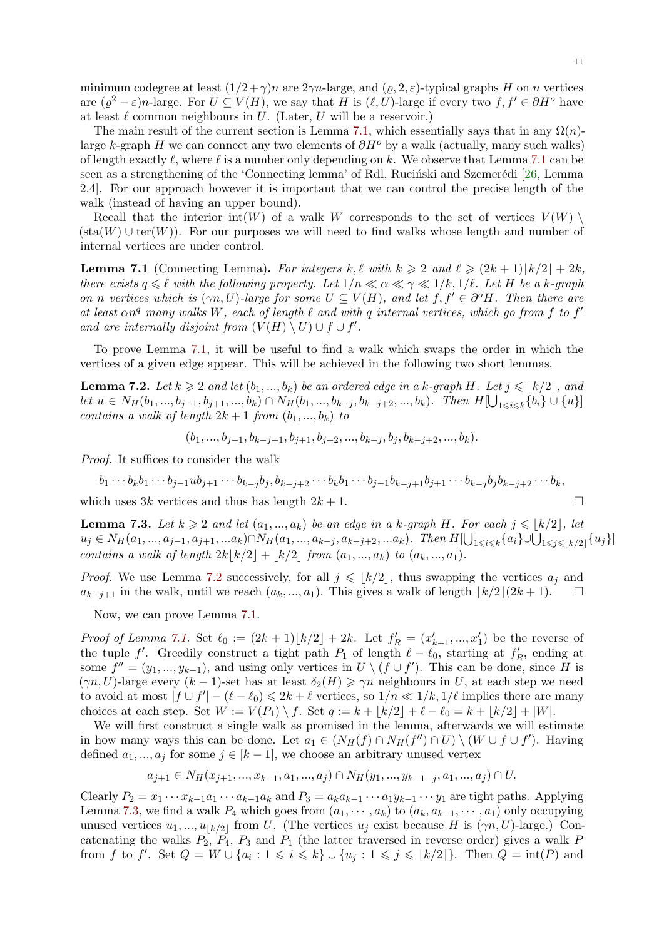minimum codegree at least  $(1/2 + \gamma)n$  are  $2\gamma n$ -large, and  $(\rho, 2, \varepsilon)$ -typical graphs *H* on *n* vertices are  $(\varrho^2 - \varepsilon)n$ -large. For  $U \subseteq V(H)$ , we say that *H* is  $(\ell, U)$ -large if every two  $f, f' \in \partial H^o$  have at least  $\ell$  common neighbours in  $U$ . (Later,  $U$  will be a reservoir.)

<span id="page-10-2"></span>The main result of the current section is Lemma 7.1, which essentially says that in any  $\Omega(n)$ large *k*-graph *H* we can connect any two elements of *∂H<sup>o</sup>* by a walk (actually, many such walks) of length exactly *ℓ*, where *ℓ* is a number only depending on *k*. We observe that Lemma 7.1 can be seen as a strengthening of the 'Connecting lemma' of Rdl, Ruciński and Szemerédi [26, Lemma 2.4]. For our approach however it is important th[at w](#page-10-0)e can control the precise length of the walk (instead of having an upper bound).

Recall that the interior  $int(W)$  of a walk *W* corresponds to the set of vertices  $V(W)$  $V(W)$  $(\text{sta}(W) \cup \text{ter}(W))$ . For our purposes we will need to find walks whose length and [nu](#page-25-3)mber of internal vertices are under control.

**Lemma 7.1** (Connecting Lemma). For integers  $k, \ell$  with  $k \geqslant 2$  and  $\ell \geqslant (2k+1)|k/2| + 2k$ , *there exists*  $q \leq \ell$  *with the following property. Let*  $1/n \leq \alpha \leq \gamma \leq 1/k, 1/\ell$ *. Let H be a k-graph on n vertices which is*  $(\gamma n, U)$ *-large for some*  $U \subseteq V(H)$ *, and let*  $f, f' \in \partial^o H$ *. Then there are at least αn<sup>q</sup> many walks W, each of length ℓ and with q internal vertices, which go from f to f ′ and are internally disjoint from*  $(V(H) \setminus U) \cup f \cup f'$ .

<span id="page-10-0"></span>To prove Lemma 7.1, it will be useful to find a walk which swaps the order in which the vertices of a given edge appear. This will be achieved in the following two short lemmas.

**Lemma 7.2.** Let  $k \geq 2$  and let  $(b_1, ..., b_k)$  be an ordered edge in a  $k$ -graph  $H$ *. Let*  $j \leqslant |k/2|$ *, and* let  $u \in N_H(b_1, ..., b_{j-1}, b_{j+1}, ..., b_k) \cap N_H(b_1, ..., b_{k-j}, b_{k-j+2}, ..., b_k)$  $u \in N_H(b_1, ..., b_{j-1}, b_{j+1}, ..., b_k) \cap N_H(b_1, ..., b_{k-j}, b_{k-j+2}, ..., b_k)$  $u \in N_H(b_1, ..., b_{j-1}, b_{j+1}, ..., b_k) \cap N_H(b_1, ..., b_{k-j}, b_{k-j+2}, ..., b_k)$ . Then  $H[\bigcup_{1 \leq i \leq k} \{b_i\} \cup \{u\}]$ *contains a walk of length*  $2k + 1$  *from*  $(b_1, ..., b_k)$  *to* 

 $(b_1, ..., b_{j-1}, b_{k-j+1}, b_{j+1}, b_{j+2}, ..., b_{k-j}, b_j, b_{k-j+2}, ..., b_k).$ 

<span id="page-10-1"></span>*Proof.* It suffices to consider the walk

$$
b_1 \cdots b_k b_1 \cdots b_{j-1} u b_{j+1} \cdots b_{k-j} b_j, b_{k-j+2} \cdots b_k b_1 \cdots b_{j-1} b_{k-j+1} b_{j+1} \cdots b_{k-j} b_j b_{k-j+2} \cdots b_k,
$$

which uses  $3k$  vertices and thus has length  $2k + 1$ . □

**Lemma 7.3.** *Let*  $k \geq 2$  *and let*  $(a_1, ..., a_k)$  *be an edge in a k-graph H. For each*  $j \leq |k/2|$ *, let*  $u_j \in N_H(a_1, ..., a_{j-1}, a_{j+1}, ..., a_k) \cap N_H(a_1, ..., a_{k-j}, a_{k-j+2}, ... a_k)$ . Then  $H[\bigcup_{1 \leq i \leq k} \{a_i\} \cup \bigcup_{1 \leq j \leq \lfloor k/2 \rfloor} \{u_j\}]$ *contains a walk of length*  $2k|k/2| + |k/2|$  *from*  $(a_1, ..., a_k)$  *to*  $(a_k, ..., a_1)$ *.* 

*Proof.* We use Lemma 7.2 successively, for all  $j \leq k/2$ , thus swapping the vertices  $a_j$  and *a*<sub>*k*−*j*+1</sub> in the walk, until we reach  $(a_k, ..., a_1)$ . This gives a walk of length  $\lfloor k/2 \rfloor (2k+1)$ . □

Now, we can prove Lemma 7.1.

*Proof of Lemma 7.1.* S[et](#page-10-1)  $\ell_0 := (2k+1)[k/2] + 2k$ . Let  $f'_R = (x'_{k-1},...,x'_1)$  be the reverse of the tuple *f'*. Greedily construct a tight path  $P_1$  of length  $\ell - \ell_0$ , starting at  $f'_R$ , ending at some  $f'' = (y_1, ..., y_{k-1})$ , and [usin](#page-10-0)g only vertices in  $U \setminus (f \cup f')$ . This can be done, since *H* is  $(\gamma n, U)$ -large every  $(k-1)$ -set has at least  $\delta_2(H) \geq \gamma n$  neighbours in *U*, at each step we need to avoid at most  $|f \cup f'| - (\ell - \ell_0) \leq 2k + \ell$  $|f \cup f'| - (\ell - \ell_0) \leq 2k + \ell$  $|f \cup f'| - (\ell - \ell_0) \leq 2k + \ell$  vertices, so  $1/n \ll 1/k, 1/\ell$  implies there are many choices at each step. Set  $W := V(P_1) \setminus f$ . Set  $q := k + |k/2| + \ell - \ell_0 = k + |k/2| + |W|$ .

We will first construct a single walk as promised in the lemma, afterwards we will estimate in how many ways this can be done. Let  $a_1 \in (N_H(f) \cap N_H(f'') \cap U) \setminus (W \cup f \cup f')$ . Having defined  $a_1, ..., a_j$  for some  $j \in [k-1]$ , we choose an arbitrary unused vertex

$$
a_{j+1} \in N_H(x_{j+1},...,x_{k-1},a_1,...,a_j) \cap N_H(y_1,...,y_{k-1-j},a_1,...,a_j) \cap U.
$$

Clearly  $P_2 = x_1 \cdots x_{k-1} a_1 \cdots a_{k-1} a_k$  and  $P_3 = a_k a_{k-1} \cdots a_1 y_{k-1} \cdots y_1$  are tight paths. Applying Lemma 7.3, we find a walk  $P_4$  which goes from  $(a_1, \dots, a_k)$  to  $(a_k, a_{k-1}, \dots, a_1)$  only occupying unused vertices  $u_1, ..., u_{\lfloor k/2 \rfloor}$  from *U*. (The vertices  $u_j$  exist because *H* is  $(\gamma n, U)$ -large.) Concatenating the walks  $P_2$ ,  $P_4$ ,  $P_3$  and  $P_1$  (the latter traversed in reverse order) gives a walk  $P$ from *f* to *f'*. Set  $Q = W \cup \{a_i : 1 \leqslant i \leqslant k\} \cup \{u_j : 1 \leqslant j \leqslant \lfloor k/2 \rfloor\}$ . Then  $Q = \text{int}(P)$  and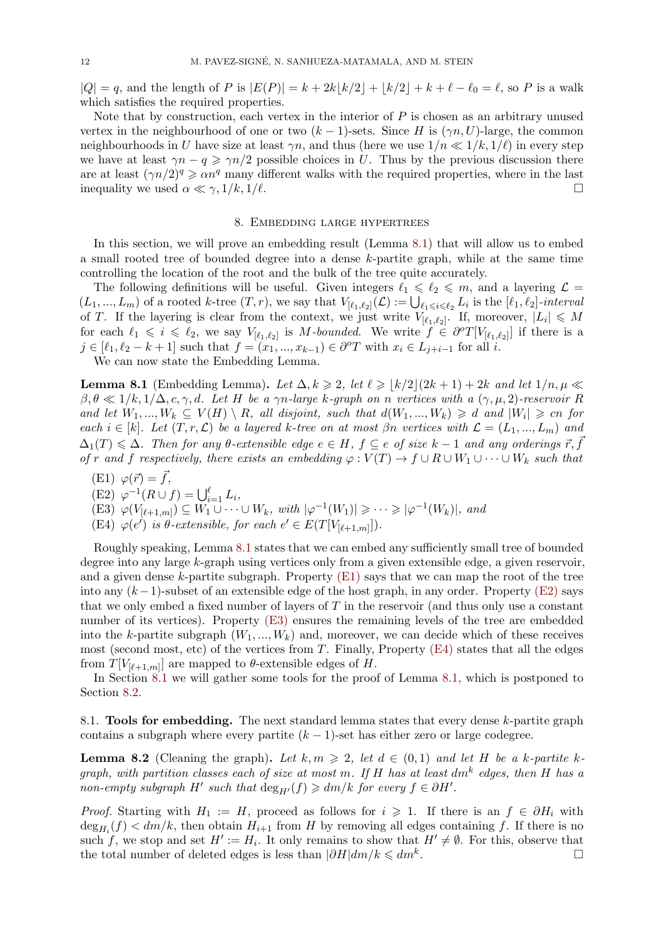$|Q| = q$ , and the length of P is  $|E(P)| = k + 2k|k/2| + |k/2| + k + \ell - \ell_0 = \ell$ , so P is a walk which satisfies the required properties.

Note that by construction, each vertex in the interior of *P* is chosen as an arbitrary unused vertex in the neighbourhood of one or two  $(k-1)$ -sets. Since *H* is  $(\gamma n, U)$ -large, the common neighbourhoods in *U* have size at least  $\gamma n$ , and thus (here we use  $1/n \ll 1/k$ ,  $1/\ell$ ) in every step we have at least  $\gamma n - q \ge \gamma n/2$  possible choices in *U*. Thus by the previous discussion there are at least  $(\gamma n/2)^q \geq \alpha n^q$  many different walks with the required properties, where in the last inequality we used  $\alpha \ll \gamma$ ,  $1/k$ ,  $1/\ell$ . □

### 8. Embedding large hypertrees

In this section, we will prove an embedding result (Lemma 8.1) that will allow us to embed a small rooted tree of bounded degree into a dense *k*-partite graph, while at the same time controlling the location of the root and the bulk of the tree quite accurately.

The following definitions will be useful. Given integers  $\ell_1 \leq \ell_2 \leq m$ , and a layering  $\mathcal{L} =$  $(L_1,...,L_m)$  of a rooted k-tree  $(T,r)$ , we say that  $V_{[\ell_1,\ell_2]}(\mathcal{L}) := \bigcup_{\ell_1 \leqslant i \leqslant \ell_2} L_i$  is the  $[\ell_1,\ell_2]$ -interval of *T*. If the layering is clear from the context, we just write  $V_{[\ell_1,\ell_2]}$ . If, moreover,  $|L_i| \leqslant M$ for each  $\ell_1 \leq i \leq \ell_2$ , we say  $V_{\lbrack \ell_1,\ell_2 \rbrack}$  is *M-bounded*. We write  $f \in \partial^o T[V_{\lbrack \ell_1,\ell_2 \rbrack}]$  if there is a  $j\in [\ell_1,\ell_2-k+1]$  such that  $f=(x_1,...,x_{k-1})\in \partial^o T$  with  $x_i\in L_{j+i-1}$  for all i.

We can now state the Embedding Lemma.

<span id="page-11-0"></span>**Lemma 8.1** (Embedding Lemma). Let  $\Delta, k \geq 2$ , let  $\ell \geq |k/2|(2k+1) + 2k$  and let  $1/n, \mu \ll 2$  $\beta, \theta \ll 1/k, 1/\Delta, c, \gamma, d$ *. Let H be a*  $\gamma n$ *-large k-graph on n vertices with a*  $(\gamma, \mu, 2)$ *-reservoir R* and let  $W_1, ..., W_k \subseteq V(H) \setminus R$ , all disjoint, such that  $d(W_1, ..., W_k) \ge d$  and  $|W_i| \ge cn$  for  $\mathcal{L} = (k)$ . Let  $(T, r, \mathcal{L})$  be a layered *k*-tree on at most  $\beta n$  vertices with  $\mathcal{L} = (L_1, ..., L_m)$  and  $\Delta_1(T) \leq \Delta$ . Then for any  $\theta$ -extensible edge  $e \in H$ ,  $f \subseteq e$  of size  $k-1$  and any orderings  $\vec{r}, \vec{f}$ *of r* and *f* respectively, there exists an embedding  $\varphi : V(T) \to f \cup R \cup W_1 \cup \cdots \cup W_k$  such that

- $(E1) \varphi(\vec{r}) = \vec{f}$ ,
- $(E2) \varphi^{-1}(R \cup f) = \bigcup_{i=1}^{\ell} L_i,$
- (E3)  $\varphi(V_{[\ell+1,m]}) \subseteq W_1 \cup \cdots \cup W_k$ , with  $|\varphi^{-1}(W_1)| \geq \cdots \geq |\varphi^{-1}(W_k)|$ , and
- <span id="page-11-1"></span>(E4)  $\varphi(e')$  *is*  $\theta$ -extensible, for each  $e' \in E(T[V_{[\ell+1,m]}]).$

<span id="page-11-6"></span><span id="page-11-3"></span><span id="page-11-2"></span>Roughly speaking, Lemma 8.1 states that we can embed any sufficiently small tree of bounded degree into any large *k*-graph using vertices only from a given extensible edge, a given reservoir, and a given dense *k*-partite subgraph. Property (E1) says that we can map the root of the tree into any (*k−*1)-subset of an extensible edge of the host graph, in any order. Property (E2) says that we only embed a fixed n[umb](#page-11-0)er of layers of *T* in the reservoir (and thus only use a constant number of its vertices). Property (E3) ensures the remaining levels of the tree are embedded into the *k*-partite subgraph  $(W_1, ..., W_k)$  and, [moreov](#page-11-1)er, we can decide which of these receives most (second most, etc) of the vertices from *T*. Finally, Property (E4) states that all [the e](#page-11-2)dges from  $T[V_{\lbrack \ell+1,m]}]$  are mapped to  $\theta$ -extensible edges of  $H$ .

In Section 8.1 we will gather so[me to](#page-11-3)ols for the proof of Lemma 8.1, which is postponed to Section 8.2.

8.1. **Tools for embedding.** The next standard lemma states that every dense *k*-partite graph contains a su[bgra](#page-11-4)ph where every partite  $(k-1)$ -set has either zero [or l](#page-11-0)arge codegree.

<span id="page-11-4"></span>**Lemma 8.2** (Cleaning the graph). Let  $k, m \geq 2$ , let  $d \in (0,1)$  and let H be a k-partite k*graph, with partition classes each of size at most m. If H has at least dm<sup>k</sup> edges, then H has a non-empty subgraph*  $H'$  *such that*  $\deg_{H'}(f) \geqslant dm/k$  *for every*  $f \in \partial H'$ .

<span id="page-11-5"></span>*Proof.* Starting with  $H_1 := H$ , proceed as follows for  $i \geq 1$ . If there is an  $f \in \partial H_i$  with  $\deg_{H_i}(f) < dm/k$ , then obtain  $H_{i+1}$  from *H* by removing all edges containing *f*. If there is no such *f*, we stop and set  $H' := H_i$ . It only remains to show that  $H' \neq \emptyset$ . For this, observe that the total number of deleted edges is less than  $|\partial H| dm/k \leq dm^k$ . . □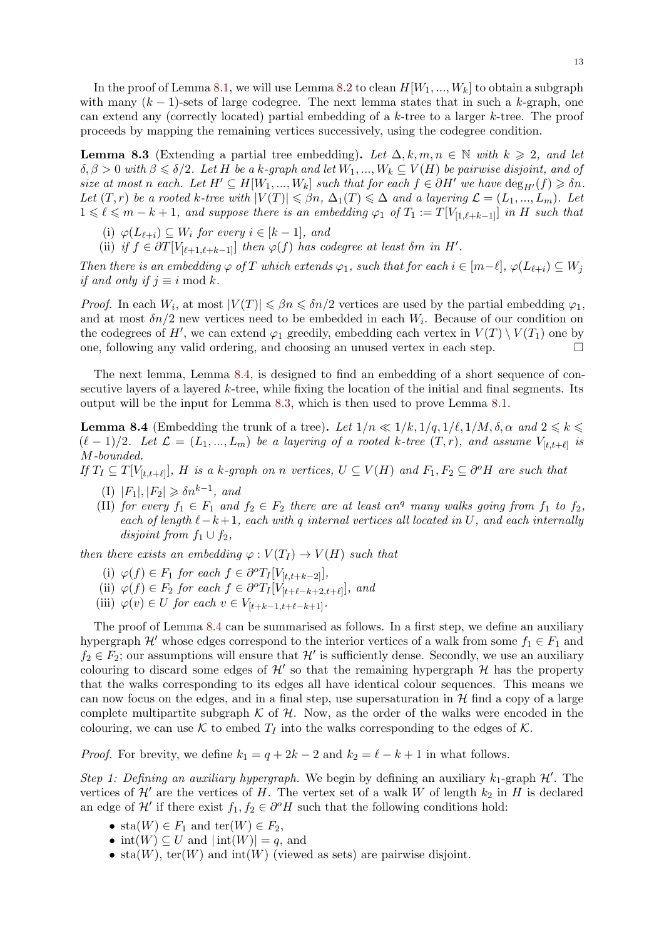In the proof of Lemma 8.1, we will use Lemma 8.2 to clean  $H[W_1, ..., W_k]$  to obtain a subgraph with many (*k −* 1)-sets of large codegree. The next lemma states that in such a *k*-graph, one can extend any (correctly located) partial embedding of a *k*-tree to a larger *k*-tree. The proof proceeds by mapping the remaining vertices successively, using the codegree condition.

**Lemma 8.3** (Extending a partial tree embedding). Let  $\Delta, k, m, n \in \mathbb{N}$  with  $k \geq 2$ , and let  $\delta, \beta > 0$  with  $\beta \leq \delta/2$ . Let *H* be a *k*-graph and let  $W_1, ..., W_k \subseteq V(H)$  be pairwise disjoint, and of size at most n each. Let  $H' \subseteq H[W_1, ..., W_k]$  such that for each  $f \in \partial H'$  we have  $\deg_{H'}(f) \geq \delta n$ . *Let*  $(T, r)$  *be a rooted k-tree with*  $|V(T)| \leq \beta n$ ,  $\Delta_1(T) \leq \Delta$  *and a layering*  $\mathcal{L} = (L_1, ..., L_m)$ *. Let*  $1 \leq \ell \leq m - k + 1$ , and suppose there is an embedding  $\varphi_1$  of  $T_1 := T[V_{[1,\ell+k-1]}]$  in *H* such that

- <span id="page-12-3"></span>(i)  $\varphi(L_{\ell+i}) \subseteq W_i$  *for every*  $i \in [k-1]$ *, and*
- (ii) *if*  $f \in \partial T[V_{[\ell+1,\ell+k-1]}]$  *then*  $\varphi(f)$  *has codegree at least*  $\delta m$  *in*  $H'$ .

Then there is an embedding  $\varphi$  of T which extends  $\varphi_1$ , such that for each  $i \in [m-\ell], \varphi(L_{\ell+i}) \subseteq W_i$ *if and only if*  $j \equiv i \mod k$ *.* 

*Proof.* In each  $W_i$ , at most  $|V(T)| \le \beta n \le \delta n/2$  vertices are used by the partial embedding  $\varphi_1$ , and at most  $\delta n/2$  new vertices need to be embedded in each  $W_i$ . Because of our condition on the codegrees of  $H'$ , we can extend  $\varphi_1$  greedily, embedding each vertex in  $V(T) \setminus V(T_1)$  one by one, following any valid ordering, and choosing an unused vertex in each step.  $\Box$ 

The next lemma, Lemma 8.4, is designed to find an embedding of a short sequence of consecutive layers of a layered *k*-tree, while fixing the location of the initial and final segments. Its output will be the input for Lemma 8.3, which is then used to prove Lemma 8.1.

**Lemma 8.4** (Embedding th[e tr](#page-12-0)unk of a tree). Let  $1/n \ll 1/k, 1/q, 1/\ell, 1/M, \delta, \alpha$  and  $2 \leq k \leq \epsilon$  $(\ell-1)/2$ *. Let*  $\mathcal{L} = (L_1, ..., L_m)$  be a layering of a rooted k-tree  $(T, r)$ *, and assume*  $V_{[t,t+\ell]}$  is *M-bounded.*

<span id="page-12-0"></span>If  $T_I \subseteq T[V_{[t,t+\ell]}], H$  is a k-graph on n vertices,  $U \subseteq V(H)$  and  $F_1, F_2 \subseteq \partial^o H$  are such that

- $(I)$   $|F_1|, |F_2| \geq \delta n^{k-1}$ , and
- (II) *for every*  $f_1 \in F_1$  *and*  $f_2 \in F_2$  *there are at least*  $\alpha n^q$  *many walks going from*  $f_1$  *to*  $f_2$ *, each of length*  $\ell - k + 1$ *, each with q internal vertices all located in*  $U$ *, and each internally disjoint from*  $f_1 \cup f_2$ *,*

<span id="page-12-2"></span><span id="page-12-1"></span>*then there exists an embedding*  $\varphi : V(T_I) \to V(H)$  *such that* 

- $(i) \varphi(f) \in F_1$  *for each*  $f \in \partial^o T_I[V_{[t,t+k-2]}],$
- $(\text{ii}) \varphi(f) \in F_2$  *for each*  $f \in \partial^o T_I[V_{[t+\ell-k+2,t+\ell]}],$  and
- (iii)  $\varphi(v) \in U$  *for each*  $v \in V_{[t+k-1,t+\ell-k+1]}$ *.*

The proof of Lemma 8.4 can be summarised as follows. In a first step, we define an auxiliary hypergraph  $\mathcal{H}'$  whose edges correspond to the interior vertices of a walk from some  $f_1 \in F_1$  and  $f_2 \in F_2$ ; our assumptions will ensure that  $\mathcal{H}'$  is sufficiently dense. Secondly, we use an auxiliary colouring to discard some edges of  $\mathcal{H}'$  so that the remaining hypergraph  $\mathcal{H}$  has the property that the walks corresp[ondi](#page-12-0)ng to its edges all have identical colour sequences. This means we can now focus on the edges, and in a final step, use supersaturation in  $H$  find a copy of a large complete multipartite subgraph  $K$  of  $H$ . Now, as the order of the walks were encoded in the colouring, we can use  $K$  to embed  $T_I$  into the walks corresponding to the edges of  $K$ .

*Proof.* For brevity, we define  $k_1 = q + 2k - 2$  and  $k_2 = \ell - k + 1$  in what follows.

*Step 1: Defining an auxiliary hypergraph.* We begin by defining an auxiliary  $k_1$ -graph  $\mathcal{H}'$ . The vertices of  $\mathcal{H}'$  are the vertices of *H*. The vertex set of a walk *W* of length  $k_2$  in *H* is declared an edge of  $\mathcal{H}'$  if there exist  $f_1, f_2 \in \partial^o H$  such that the following conditions hold:

- sta $(W) \in F_1$  and ter $(W) \in F_2$ ,
- $\text{int}(W) \subseteq U$  and  $|\text{int}(W)| = q$ , and
- sta $(W)$ , ter $(W)$  and int $(W)$  (viewed as sets) are pairwise disjoint.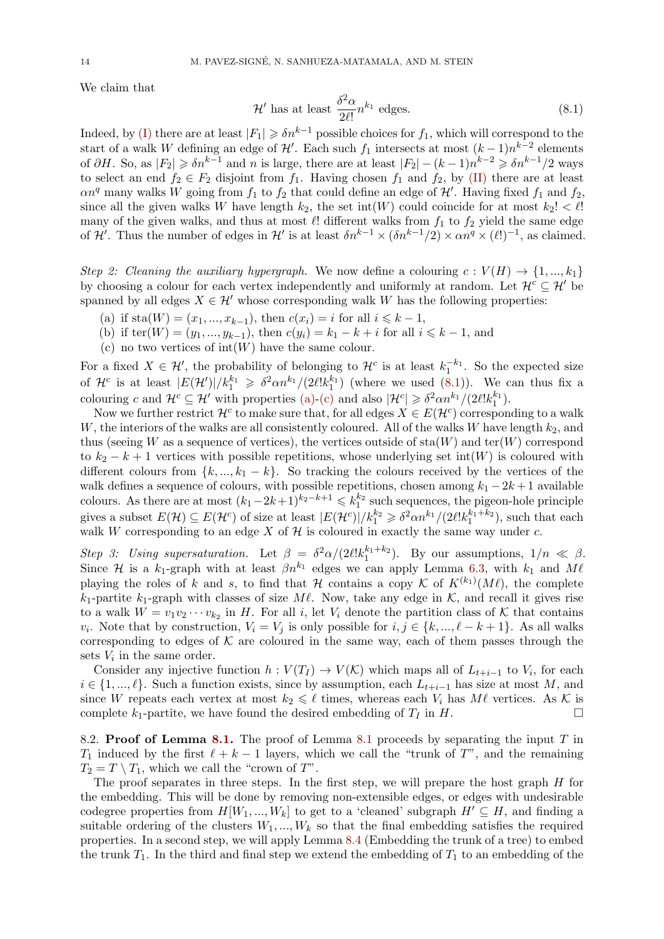We claim that

<span id="page-13-0"></span>
$$
\mathcal{H}' \text{ has at least } \frac{\delta^2 \alpha}{2\ell!} n^{k_1} \text{ edges.} \tag{8.1}
$$

Indeed, by (I) there are at least  $|F_1| \geq \delta n^{k-1}$  possible choices for  $f_1$ , which will correspond to the start of a walk *W* defining an edge of  $\mathcal{H}'$ . Each such  $f_1$  intersects at most  $(k-1)n^{k-2}$  elements of  $\partial H$ . So, as  $|F_2| \geq \delta n^{k-1}$  and n is large, there are at least  $|F_2| - (k-1)n^{k-2} \geq \delta n^{k-1}/2$  ways to select an end  $f_2 \in F_2$  disjoint from  $f_1$ . Having chosen  $f_1$  and  $f_2$ , by (II) there are at least  $\alpha n^q$  many [wal](#page-12-1)ks *W* going from  $f_1$  to  $f_2$  that could define an edge of  $\mathcal{H}'$ . Having fixed  $f_1$  and  $f_2$ , since all the given walks *W* have length  $k_2$ , the set int(*W*) could coincide for at most  $k_2$ !  $\lt \ell$ ! many of the given walks, and thus at most *ℓ*! different walks from *f*<sup>1</sup> to *f*<sup>2</sup> yield the same edge of *H'*. Thus the number of edges in *H'* is at least  $\delta n^{k-1} \times (\delta n^{k-1}/2) \times \alpha n^q \times (\ell!)^{-1}$ , as claimed.

*Step 2: Cleaning the auxiliary hypergraph.* We now define a colouring  $c: V(H) \rightarrow \{1, ..., k_1\}$ by choosing a colour for each vertex independently and uniformly at random. Let  $\mathcal{H}^c \subseteq \mathcal{H}'$  be spanned by all edges  $X \in \mathcal{H}'$  whose corresponding walk *W* has the following properties:

- (a) if sta $(W) = (x_1, ..., x_{k-1})$ , then  $c(x_i) = i$  for all  $i \leq k-1$ ,
- (b) if  $\text{ter}(W) = (y_1, ..., y_{k-1})$ , then  $c(y_i) = k_1 k + i$  for all  $i \leq k 1$ , and
- (c) no two vertices of int(*W*) have the same colour.

<span id="page-13-1"></span>For a fixed  $X \in \mathcal{H}'$ , the probability of belonging to  $\mathcal{H}^c$  is at least  $k_1^{-k_1}$ . So the expected size of  $\mathcal{H}^c$  is at least  $|E(\mathcal{H}')|/k_1^{k_1} \geq \delta^2 \alpha n^{k_1}/(2\ell!k_1^{k_1})$  (where we used (8.1)). We can thus fix a colouring *c* and  $\mathcal{H}^c \subseteq \mathcal{H}'$  with properties (a)-(c) and also  $|\mathcal{H}^c| \geq \delta^2 \alpha n^{k_1} / (2\ell! k_1^{k_1})$ .

<span id="page-13-2"></span>Now we further restrict  $\mathcal{H}^c$  to make sure that, for all edges  $X \in E(\mathcal{H}^c)$  corresponding to a walk *W*, the interiors of the walks are all consistently coloured. All of the walks *W* have length  $k_2$ , and thus (seeing *W* as a sequence of vertices[\)](#page-13-0), the vertices outside of  $\text{sta}(W)$  and  $\text{ter}(W)$  correspond to  $k_2 - k + 1$  vertices with possible repe[titio](#page-13-1)[ns,](#page-13-2) whose underlying set int(*W*) is coloured with different colours from  $\{k, ..., k_1 - k\}$ . So tracking the colours received by the vertices of the walk defines a sequence of colours, with possible repetitions, chosen among  $k_1 - 2k + 1$  available colours. As there are at most  $(k_1-2k+1)^{k_2-k+1} \leqslant k_1^{k_2}$  such sequences, the pigeon-hole principle gives a subset  $E(\mathcal{H}) \subseteq E(\mathcal{H}^c)$  of size at least  $|E(\mathcal{H}^c)|/k_1^{k_2} \geq \delta^2 \alpha n^{k_1}/(2\ell! k_1^{k_1+k_2})$ , such that each walk *W* corresponding to an edge *X* of *H* is coloured in exactly the same way under *c*.

*Step 3: Using supersaturation.* Let  $\beta = \frac{\delta^2 \alpha}{2\ell k_1^{k_1+k_2}}$ . By our assumptions,  $1/n \ll \beta$ . Since *H* is a  $k_1$ -graph with at least  $\beta n^{k_1}$  edges we can apply Lemma 6.3, with  $k_1$  and  $M\ell$ playing the roles of *k* and *s*, to find that *H* contains a copy *K* of  $K^{(k_1)}(M\ell)$ , the complete  $k_1$ -partite  $k_1$ -graph with classes of size  $M\ell$ . Now, take any edge in  $K$ , and recall it gives rise to a walk  $W = v_1v_2 \cdots v_{k_2}$  in *H*. For all *i*, let  $V_i$  denote the partition class of  $K$  that contains *v*<sub>*i*</sub>. Note that by construction,  $V_i = V_j$  is only possible for  $i, j \in \{k, ..., \ell - k + 1\}$  $i, j \in \{k, ..., \ell - k + 1\}$  $i, j \in \{k, ..., \ell - k + 1\}$ . As all walks corresponding to edges of  $K$  are coloured in the same way, each of them passes through the sets  $V_i$  in the same order.

Consider any injective function  $h: V(T_I) \to V(K)$  which maps all of  $L_{t+i-1}$  to  $V_i$ , for each  $i \in \{1, ..., \ell\}$ . Such a function exists, since by assumption, each  $L_{t+i-1}$  has size at most *M*, and since *W* repeats each vertex at most  $k_2 \leq \ell$  times, whereas each  $V_i$  has  $M\ell$  vertices. As  $K$  is complete  $k_1$ -partite, we have found the desired embedding of  $T_I$  in  $H$ .

8.2. **Proof of Lemma 8.1.** The proof of Lemma 8.1 proceeds by separating the input *T* in *T*<sub>1</sub> induced by the first  $\ell + k - 1$  layers, which we call the "trunk of *T*", and the remaining  $T_2 = T \setminus T_1$ , which we call the "crown of *T*".

The proof separates in three steps. In the first step, we will prepare the host graph *H* for the embedding. This wil[l be](#page-11-0) done by removing non-[ext](#page-11-0)ensible edges, or edges with undesirable codegree properties from  $H[W_1, ..., W_k]$  to get to a 'cleaned' subgraph  $H' \subseteq H$ , and finding a suitable ordering of the clusters  $W_1, ..., W_k$  so that the final embedding satisfies the required properties. In a second step, we will apply Lemma 8.4 (Embedding the trunk of a tree) to embed the trunk  $T_1$ . In the third and final step we extend the embedding of  $T_1$  to an embedding of the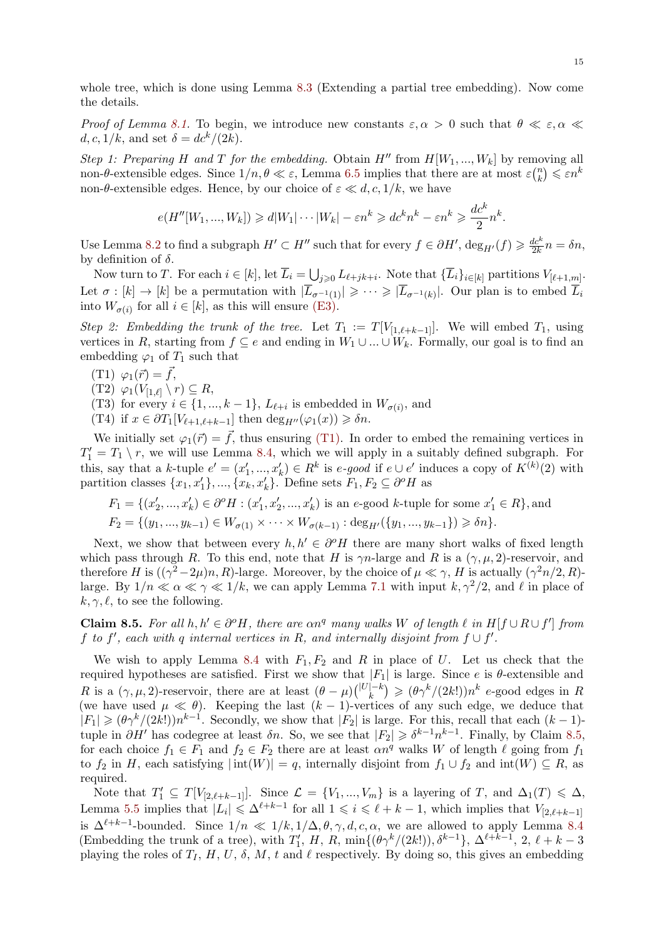whole tree, which is done using Lemma 8.3 (Extending a partial tree embedding). Now come the details.

*Proof of Lemma 8.1.* To begin, we introduce new constants  $\varepsilon, \alpha > 0$  such that  $\theta \ll \varepsilon, \alpha \ll 1$  $d, c, 1/k$ , and set  $\delta = \frac{dc^k}{2k}$ .

*Step 1: Preparing H* and *T for the embedding.* Obtain  $H''$  from  $H[W_1, ..., W_k]$  by removing all non- $\theta$ -extensible [edg](#page-11-0)es. Since  $1/n, \theta \ll \varepsilon$ , Lemma 6.5 implies that there are at most  $\varepsilon \binom{n}{k}$  $\binom{n}{k} \leqslant \varepsilon n^k$ non- $\theta$ -extensible edges. Hence, by our choice of  $\varepsilon \ll d, c, 1/k$ , we have

$$
e(H''[W_1, ..., W_k]) \ge d|W_1| \cdots |W_k| - \varepsilon n^k \ge dc^k n^k - \varepsilon n^k \ge \frac{dc^k}{2} n^k.
$$

Use Lemma 8.2 to find a subgraph  $H' \subset H''$  such that for every  $f \in \partial H'$ ,  $\deg_{H'}(f) \geq \frac{dc^k}{2k}$  $\frac{dc^{n}}{2k}n = \delta n,$ by definition of *δ*.

Now turn to T. For each  $i \in [k]$ , let  $\overline{L}_i = \bigcup_{j \geq 0} L_{\ell+jk+i}$ . Note that  $\{\overline{L}_i\}_{i \in [k]}$  partitions  $V_{[\ell+1,m]}$ . Let  $\sigma : [k] \to [k]$  be a permutation with  $|\overline{L}_{\sigma^{-1}(1)}| \geqslant \cdots \geqslant |\overline{L}_{\sigma^{-1}(k)}|$ . Our plan is to embed  $\overline{L}_i$ into  $W_{\sigma(i)}$  f[or a](#page-11-5)ll  $i \in [k]$ , as this will ensure (E3).

*Step 2: Embedding the trunk of the tree.* Let  $T_1 := T[V_{[1,\ell+k-1]}]$ . We will embed  $T_1$ , using vertices in *R*, starting from  $f \subseteq e$  and ending in  $W_1 \cup ... \cup W_k$ . Formally, our goal is to find an embedding  $\varphi_1$  of  $T_1$  such that

- $(T1) \varphi_1(\vec{r}) = \vec{f}$ ,
- $(T2)$   $\varphi_1(V_{[1,\ell]}\setminus r) \subseteq R$ ,
- (T3) for every  $i \in \{1, ..., k-1\}$ ,  $L_{\ell+i}$  is embedded in  $W_{\sigma(i)}$ , and
- $(T4)$  if  $x \in \partial T_1[V_{\ell+1,\ell+k-1}]$  then  $\deg_{H''}(\varphi_1(x)) \geq \delta n$ .

<span id="page-14-2"></span><span id="page-14-0"></span>We initially set  $\varphi_1(\vec{r}) = \vec{f}$ , thus ensuring (T1). In order to embed the remaining vertices in  $T'_1 = T_1 \setminus r$ , we will use Lemma 8.4, which we will apply in a suitably defined subgraph. For this, say that a k-tuple  $e' = (x'_1, ..., x'_k) \in R^k$  is e-good if  $e \cup e'$  induces a copy of  $K^{(k)}(2)$  with partition classes  $\{x_1, x'_1\}, \ldots, \{x_k, x'_k\}$ . Define sets  $F_1, F_2 \subseteq \partial^o H$  as

$$
F_1 = \{(x'_2, ..., x'_k) \in \partial^o H : (x'_1, x'_2, ..., x'_k) \text{ is an } e\text{-good } k\text{-tuple for some } x'_1 \in R\},\text{and}
$$
  

$$
F_2 = \{(y_1, ..., y_{k-1}) \in W_{\sigma(1)} \times \cdots \times W_{\sigma(k-1)} : \text{deg}_{H'}(\{y_1, ..., y_{k-1}\}) \geq \delta n\}.
$$

Next, we show that between every  $h, h' \in \partial^o H$  there are many short walks of fixed length which pass through *R*. To this end, note that *H* is  $\gamma n$ -large and *R* is a  $(\gamma, \mu, 2)$ -reservoir, and therefore *H* is  $((\gamma^2 - 2\mu)n, R)$ -large. Moreover, by the choice of  $\mu \ll \gamma$ , *H* is actually  $(\gamma^2 n/2, R)$ large. By  $1/n \ll \alpha \ll \gamma \ll 1/k$ , we can apply Lemma 7.1 with input  $k, \gamma^2/2$ , and  $\ell$  in place of  $k, \gamma, \ell$ , to see the following.

**Claim 8.5.** For all  $h, h' \in \partial^{\circ}H$ , there are  $\alpha n^q$  many walks W of length  $\ell$  in  $H[f \cup R \cup f']$  from *f* to  $f'$ , each with  $q$  internal vertices in  $R$ , and intern[ally](#page-10-0) disjoint from  $f \cup f'$ .

<span id="page-14-1"></span>We wish to apply Lemma 8.4 with  $F_1, F_2$  and  $R$  in place of  $U$ . Let us check that the required hypotheses are satisfied. First we show that  $|F_1|$  is large. Since *e* is  $\theta$ -extensible and R is a  $(\gamma, \mu, 2)$ -reservoir, there are at least  $(\theta - \mu) \binom{|U| - k}{k} \geq (\theta \gamma^k / (2k!) ) n^k$  e-good edges in R (we have used  $\mu \ll \theta$ ). Keeping the last  $(k-1)$ -vertices of any such edge, we deduce that  $|F_1| \geqslant (\theta \gamma^k/(2k!) ) n^{k-1}$ . Secon[dly,](#page-12-0) we show that  $|F_2|$  is large. For this, recall that each  $(k-1)$ tuple in  $\partial H'$  has codegree at least  $\delta n$ . So, we see that  $|F_2| \geqslant \delta^{k-1} n^{k-1}$ . Finally, by Claim 8.5, for each choice  $f_1 \in F_1$  and  $f_2 \in F_2$  there are at least  $\alpha n^q$  walks *W* of length  $\ell$  going from  $f_1$ to  $f_2$  in *H*, each satisfying  $|\text{int}(W)| = q$ , internally disjoint from  $f_1 \cup f_2$  and  $\text{int}(W) \subseteq R$ , as required.

Note that  $T'_1 \subseteq T[V_{[2,\ell+k-1]}].$  Since  $\mathcal{L} = \{V_1, ..., V_m\}$  is a layering of *T*, and  $\Delta_1(T) \leq \Delta$ , Lemma 5.5 implies that  $|L_i| \leq \Delta^{\ell+k-1}$  for all  $1 \leq i \leq \ell+k-1$ , which implies that  $V_{[2,\ell+k-1]}$ is  $\Delta^{\ell+k-1}$ -bounded. Since  $1/n \ll 1/k, 1/\Delta, \theta, \gamma, d, c, \alpha$ , we are allowed to apply Lemma 8.4 (Embedding the trunk of a tree), with  $T'_1$ , H, R, min $\{(\theta \gamma^k/(2k!)), \delta^{k-1}\}, \Delta^{\ell+k-1}, 2, \ell+k-3$ playing [the](#page-5-0) roles of  $T_I$ ,  $H$ ,  $U$ ,  $\delta$ ,  $M$ ,  $t$  and  $\ell$  respectively. By doing so, this gives an embedding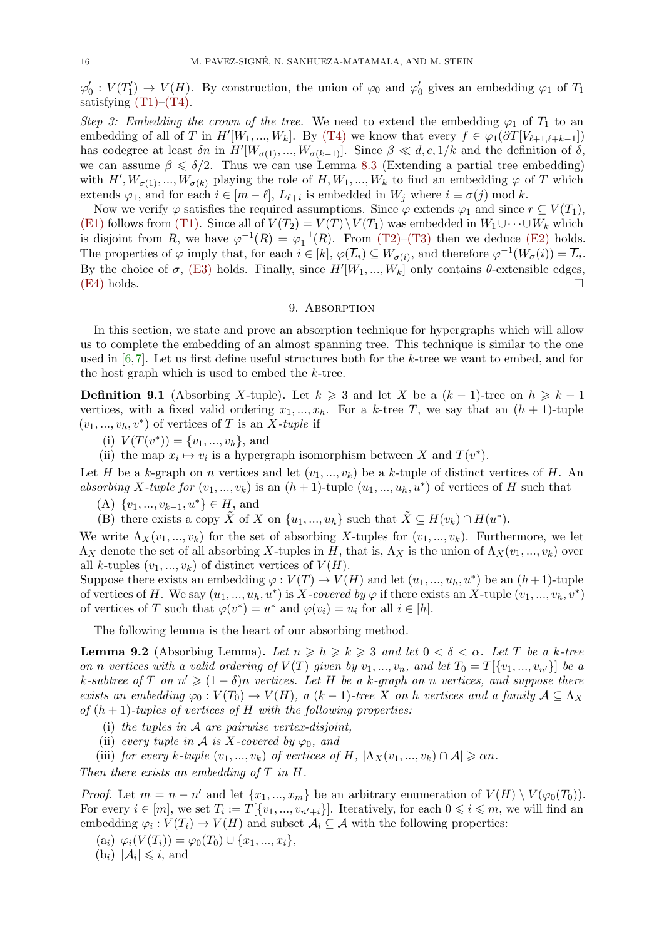$\varphi'_0: V(T'_1) \to V(H)$ . By construction, the union of  $\varphi_0$  and  $\varphi'_0$  gives an embedding  $\varphi_1$  of  $T_1$ satisfying  $(T1)$ – $(T4)$ .

<span id="page-15-8"></span>*Step 3: Embedding the crown of the tree.* We need to extend the embedding  $\varphi_1$  of  $T_1$  to an embedding of all of *T* in  $H'[W_1, ..., W_k]$ . By (T4) we know that every  $f \in \varphi_1(\partial T[V_{\ell+1,\ell+k-1}])$ has codegree at [least](#page-14-2)  $\delta n$  in  $H'[W_{\sigma(1)},...,W_{\sigma(k-1)}]$ . Since  $\beta \ll d, c, 1/k$  and the definition of  $\delta$ , we can as[sume](#page-14-0)  $\beta \leq \delta/2$ . Thus we can use Lemma 8.3 (Extending a partial tree embedding) with  $H', W_{\sigma(1)}, ..., W_{\sigma(k)}$  playing the role of  $H, W_1, ..., W_k$  to find an embedding  $\varphi$  of  $T$  which extends  $\varphi_1$ , and for each  $i \in [m - \ell], L_{\ell+i}$  is [embed](#page-14-2)ded in  $W_j$  where  $i \equiv \sigma(j) \mod k$ .

Now we verify  $\varphi$  satisfies the required assumptions. Since  $\varphi$  extends  $\varphi_1$  and since  $r \subseteq V(T_1)$ , (E1) follows from ([T](#page-12-3)1). Since all of  $V(T_2) = V(T) \setminus V(T_1)$  was embedded in  $W_1 \cup \cdots \cup W_k$  which is disjoint from *R*, we have  $\varphi^{-1}(R) = \varphi_1^{-1}(R)$ . From (T2)–(T3) then we deduce (E2) holds. The properties of  $\varphi$  imply that, for each  $i \in [k]$ ,  $\varphi(\overline{L}_i) \subseteq W_{\sigma(i)}$ , and therefore  $\varphi^{-1}(W_{\sigma}(i)) = \overline{L}_i$ . By the choice of  $\sigma$ , [\(E](#page-14-0)3) holds. Finally, since  $H'[W_1, ..., W_k]$  only contains  $\theta$ -extensible edges,  $(E4)$  holds.  $\square$ 

### 9. ABSORPTION

<span id="page-15-0"></span>In this section, w[e stat](#page-11-3)e and prove an absorption technique for hypergraphs which will allow [us to](#page-11-6) complete the embedding of an almost spanning tree. This technique is similar to the one used in [6,7]. Let us first define useful structures both for the *k*-tree we want to embed, and for the host graph which is used to embed the *k*-tree.

**Definition 9.1** (Absorbing *X*-tuple). Let  $k \geq 3$  and let *X* be a  $(k-1)$ -tree on  $h \geq k-1$ vertices, [w](#page-25-12)[it](#page-25-13)h a fixed valid ordering  $x_1, ..., x_h$ . For a *k*-tree *T*, we say that an  $(h + 1)$ -tuple  $(v_1, ..., v_h, v^*)$  of vertices of *T* is an *X-tuple* if

- (i)  $V(T(v^*)) = \{v_1, ..., v_h\}$ , and
- (ii) the map  $x_i \mapsto v_i$  is a hypergraph isomorphism between *X* and  $T(v^*)$ .

Let *H* be a *k*-graph on *n* vertices and let  $(v_1, ..., v_k)$  be a *k*-tuple of distinct vertices of *H*. An *absorbing X*-tuple for  $(v_1, ..., v_k)$  is an  $(h + 1)$ -tuple  $(u_1, ..., u_h, u^*)$  of vertices of *H* such that

 $(A) \ \{v_1, ..., v_{k-1}, u^*\} \in H$ , and

(B) there exists a copy  $\tilde{X}$  of *X* on  $\{u_1, ..., u_h\}$  such that  $\tilde{X} \subseteq H(v_k) \cap H(u^*)$ .

<span id="page-15-3"></span>We write  $\Lambda_X(v_1, ..., v_k)$  for the set of absorbing X-tuples for  $(v_1, ..., v_k)$ . Furthermore, we let  $\Lambda_X$  denote the set of all absorbing X-tuples in *H*, that is,  $\Lambda_X$  is the union of  $\Lambda_X(v_1, ..., v_k)$  over all *k*-tuples  $(v_1, ..., v_k)$  of distinct vertices of  $V(H)$ .

<span id="page-15-4"></span>Suppose there exists an embedding  $\varphi: V(T) \to V(H)$  and let  $(u_1, ..., u_h, u^*)$  be an  $(h+1)$ -tuple of vertices of *H*. We say  $(u_1, ..., u_h, u^*)$  is *X-covered by*  $\varphi$  if there exists an *X*-tuple  $(v_1, ..., v_h, v^*)$ of vertices of *T* such that  $\varphi(v^*) = u^*$  and  $\varphi(v_i) = u_i$  for all  $i \in [h]$ .

The following lemma is the heart of our absorbing method.

**Lemma 9.2** (Absorbing Lemma). Let  $n \geq h \geq k \geq 3$  and let  $0 < \delta < \alpha$ . Let T be a k-tree on n vertices with a valid ordering of  $V(T)$  given by  $v_1, ..., v_n$ , and let  $T_0 = T[\{v_1, ..., v_{n'}\}]$  be a  $k$ *-subtree of*  $T$  *on*  $n' \geq (1 - \delta)n$  *vertices.* Let  $H$  be a  $k$ *-graph on*  $n$  *vertices, and suppose there exists an embedding*  $\varphi_0: V(T_0) \to V(H)$ , a  $(k-1)$ *-tree X on h vertices and a family*  $\mathcal{A} \subseteq \Lambda_X$ *of* (*h* + 1)*-tuples of vertices of H with the following properties:*

- <span id="page-15-7"></span>(i) *the tuples in A are pairwise vertex-disjoint,*
- (ii) *every tuple in*  $\mathcal A$  *is*  $X$ *-covered by*  $\varphi_0$ *, and*
- (iii) *for every*  $k$ *-tuple*  $(v_1, ..., v_k)$  *of vertices of*  $H$ *,*  $|\Lambda_X(v_1, ..., v_k) \cap A| \ge \alpha n$ *.*

<span id="page-15-5"></span>*Then there exists an embedding of T in H.*

<span id="page-15-6"></span>*Proof.* Let  $m = n - n'$  and let  $\{x_1, ..., x_m\}$  be an arbitrary enumeration of  $V(H) \setminus V(\varphi_0(T_0))$ . For every  $i \in [m]$ , we set  $T_i := T[\{v_1, ..., v_{n'+i}\}]$ . Iteratively, for each  $0 \leq i \leq m$ , we will find an embedding  $\varphi_i: V(T_i) \to V(H)$  and subset  $\mathcal{A}_i \subseteq \mathcal{A}$  with the following properties:

 $(\mathbf{a}_i) \varphi_i(V(T_i)) = \varphi_0(T_0) \cup \{x_1, ..., x_i\},$ 

<span id="page-15-2"></span><span id="page-15-1"></span> $(b_i)$   $|\mathcal{A}_i| \leqslant i$ , and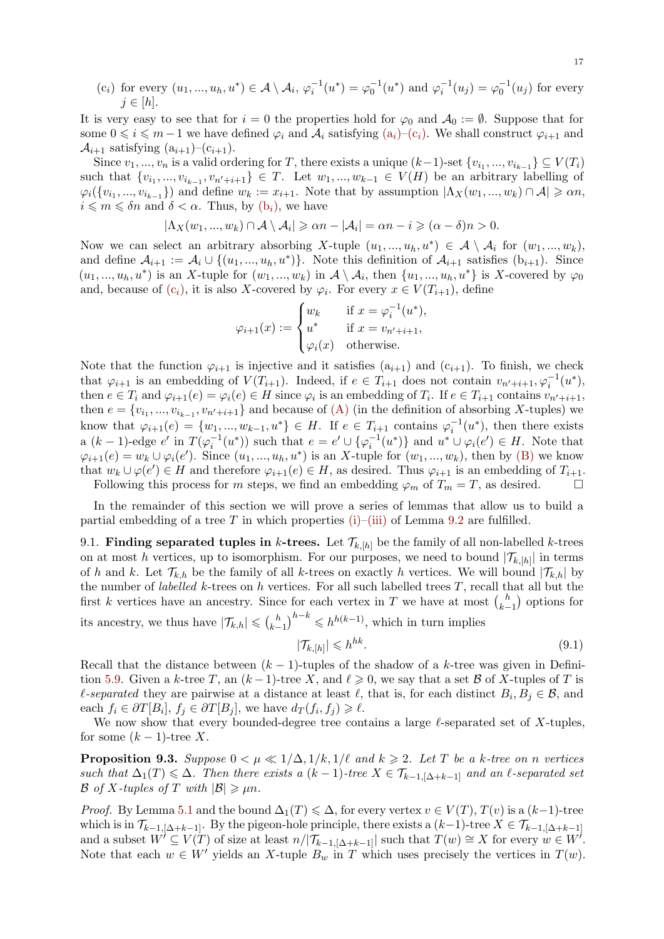(c<sub>i</sub>) for every 
$$
(u_1, ..., u_h, u^*) \in A \setminus A_i
$$
,  $\varphi_i^{-1}(u^*) = \varphi_0^{-1}(u^*)$  and  $\varphi_i^{-1}(u_j) = \varphi_0^{-1}(u_j)$  for every  $j \in [h]$ .

It is very easy to see that for  $i = 0$  the properties hold for  $\varphi_0$  and  $\mathcal{A}_0 := \emptyset$ . Suppose that for some  $0 \leq i \leq m-1$  we have defined  $\varphi_i$  and  $\mathcal{A}_i$  satisfying  $(a_i)$ – $(c_i)$ . We shall construct  $\varphi_{i+1}$  and  $\mathcal{A}_{i+1}$  satisfying  $(a_{i+1})-(c_{i+1})$ .

<span id="page-16-0"></span>Since  $v_1, ..., v_n$  is a valid ordering for *T*, there exists a unique  $(k-1)$ -set  $\{v_{i_1}, ..., v_{i_{k-1}}\} \subseteq V(T_i)$ such that  $\{v_{i_1},...,v_{i_{k-1}},v_{n'+i+1}\} \in T$ . Let  $w_1,...,w_{k-1} \in V(H)$  be an arbitrary labelling of  $\varphi_i(\{v_{i_1},...,v_{i_{k-1}}\})$  and define  $w_k := x_{i+1}$ . Note that by [assu](#page-15-1)[mptio](#page-16-0)n  $|\Lambda_X(w_1,...,w_k) \cap A| \geq \alpha n$ ,  $i \leq m \leq \delta n$  and  $\delta < \alpha$ . Thus, by  $(b_i)$ , we have

$$
|\Lambda_X(w_1,...,w_k)\cap\mathcal{A}\setminus\mathcal{A}_i|\geq \alpha n-|\mathcal{A}_i|=\alpha n-i\geqslant(\alpha-\delta)n>0.
$$

Now we can select an arbitrary absorbing *X*-tuple  $(u_1, ..., u_h, u^*) \in \mathcal{A} \setminus \mathcal{A}_i$  for  $(w_1, ..., w_k)$ , and define  $A_{i+1} := A_i \cup \{(u_1, ..., u_h, u^*)\}$  $A_{i+1} := A_i \cup \{(u_1, ..., u_h, u^*)\}$  $A_{i+1} := A_i \cup \{(u_1, ..., u_h, u^*)\}$ . Note this definition of  $A_{i+1}$  satisfies  $(b_{i+1})$ . Since  $(u_1, ..., u_h, u^*)$  is an X-tuple for  $(w_1, ..., w_k)$  in  $\mathcal{A} \setminus \mathcal{A}_i$ , then  $\{u_1, ..., u_h, u^*\}$  is X-covered by  $\varphi_0$ and, because of  $(c_i)$ , it is also *X*-covered by  $\varphi_i$ . For every  $x \in V(T_{i+1})$ , define

$$
\varphi_{i+1}(x) := \begin{cases} w_k & \text{if } x = \varphi_i^{-1}(u^*), \\ u^* & \text{if } x = v_{n'+i+1}, \\ \varphi_i(x) & \text{otherwise.} \end{cases}
$$

Note that the function  $\varphi_{i+1}$  is injective and it satisfies  $(a_{i+1})$  and  $(c_{i+1})$ . To finish, we check that  $\varphi_{i+1}$  is an embedding of  $V(T_{i+1})$ . Indeed, if  $e \in T_{i+1}$  does not contain  $v_{n'+i+1}, \varphi_i^{-1}(u^*),$ then  $e \in T_i$  and  $\varphi_{i+1}(e) = \varphi_i(e) \in H$  since  $\varphi_i$  is an embedding of  $T_i$ . If  $e \in T_{i+1}$  contains  $v_{n'+i+1}$ , then  $e = \{v_{i_1}, ..., v_{i_{k-1}}, v_{n'+i+1}\}\$ and because of (A) (in the definition of absorbing *X*-tuples) we know that  $\varphi_{i+1}(e) = \{w_1, ..., w_{k-1}, u^*\} \in H$ . If  $e \in T_{i+1}$  contains  $\varphi_i^{-1}(u^*)$ , then there exists a  $(k-1)$ -edge  $e'$  in  $T(\varphi_i^{-1}(u^*))$  such that  $e = e' \cup {\varphi_i^{-1}(u^*)}$  and  $u^* \cup \varphi_i(e') \in H$ . Note that  $\varphi_{i+1}(e) = w_k \cup \varphi_i(e')$ . Since  $(u_1, ..., u_h, u^*)$  is an X-tuple for  $(w_1, ..., w_k)$ , then by (B) we know that  $w_k \cup \varphi(e') \in H$  and therefore  $\varphi_{i+1}(e) \in H$ [, as](#page-15-3) desired. Thus  $\varphi_{i+1}$  is an embedding of  $T_{i+1}$ .

Following this process for *m* steps, we find an embedding  $\varphi_m$  of  $T_m = T$ , as desired. □

In the remainder of this section we will prove a series of lemmas that allow [us to](#page-15-4) build a partial embedding of a tree *T* in which properties (i)–(iii) of Lemma 9.2 are fulfilled.

9.1. **Finding separated tuples in** *k***-trees.** Let  $\mathcal{T}_{k,[h]}$  be the family of all non-labelled *k*-trees on at most *h* vertices, up to isomorphism. For our purposes, we need to bound  $|\mathcal{T}_{k,[h]}|$  in terms of *h* and *k*. Let  $\mathcal{T}_{k,h}$  be the family of all *k*-trees o[n ex](#page-15-5)[actly](#page-15-6) *h* vertice[s. W](#page-15-7)e will bound  $|\mathcal{T}_{k,h}|$  by the number of *labelled k*-trees on *h* vertices. For all such labelled trees *T*, recall that all but the first *k* vertices have an ancestry. Since for each vertex in *T* we have at most  $\binom{h}{k}$ *k−*1 ) options for its ancestry, we thus have  $|\mathcal{T}_{k,h}| \leqslant {h \choose k-1}$ *k−*1  $\sum$ <sup>*h*−*k*</sup> ≤ *h*<sup>*h*(*k*−1)</sup>, which in turn implies

<span id="page-16-1"></span>
$$
|\mathcal{T}_{k,[h]}| \leqslant h^{hk}.\tag{9.1}
$$

Recall that the distance between (*k −* 1)-tuples of the shadow of a *k*-tree was given in Definition 5.9. Given a *k*-tree *T*, an  $(k-1)$ -tree *X*, and  $\ell \geq 0$ , we say that a set *B* of *X*-tuples of *T* is *l*-separated they are pairwise at a distance at least  $\ell$ , that is, for each distinct  $B_i, B_j \in \mathcal{B}$ , and each  $f_i \in \partial T[B_i], f_j \in \partial T[B_j]$ , we have  $d_T(f_i, f_j) \geq \ell$ .

We now show that every bounded-degree tree contains a large *ℓ*-separated set of *X*-tuples, for s[ome](#page-5-3)  $(k-1)$ -tree X.

**Proposition 9.3.** *Suppose*  $0 < \mu \ll 1/\Delta$ ,  $1/k$ ,  $1/\ell$  *and*  $k \geq 2$ *. Let T be a k-tree on n vertices such that*  $\Delta_1(T) \leq \Delta$ *. Then there exists a*  $(k-1)$ *-tree*  $X \in \mathcal{T}_{k-1, [\Delta + k-1]}$  *and an ℓ-separated set B of X-tuples of T with*  $|B| \ge \mu n$ *.* 

<span id="page-16-2"></span>*Proof.* By Lemma 5.1 and the bound  $\Delta_1(T) \leq \Delta$ , for every vertex  $v \in V(T)$ ,  $T(v)$  is a  $(k-1)$ -tree which is in  $\mathcal{T}_{k-1, [\Delta+k-1]}$ . By the pigeon-hole principle, there exists a  $(k-1)$ -tree  $X \in \mathcal{T}_{k-1, [\Delta+k-1]}$ and a subset  $W' \subseteq V(T)$  of size at least  $n/|\mathcal{T}_{k-1,[\Delta+k-1]}|$  such that  $T(w) \cong X$  for every  $w \in W'$ . Note that each  $w \in W'$  yields an X-tuple  $B_w$  in T which uses precisely the vertices in  $T(w)$ .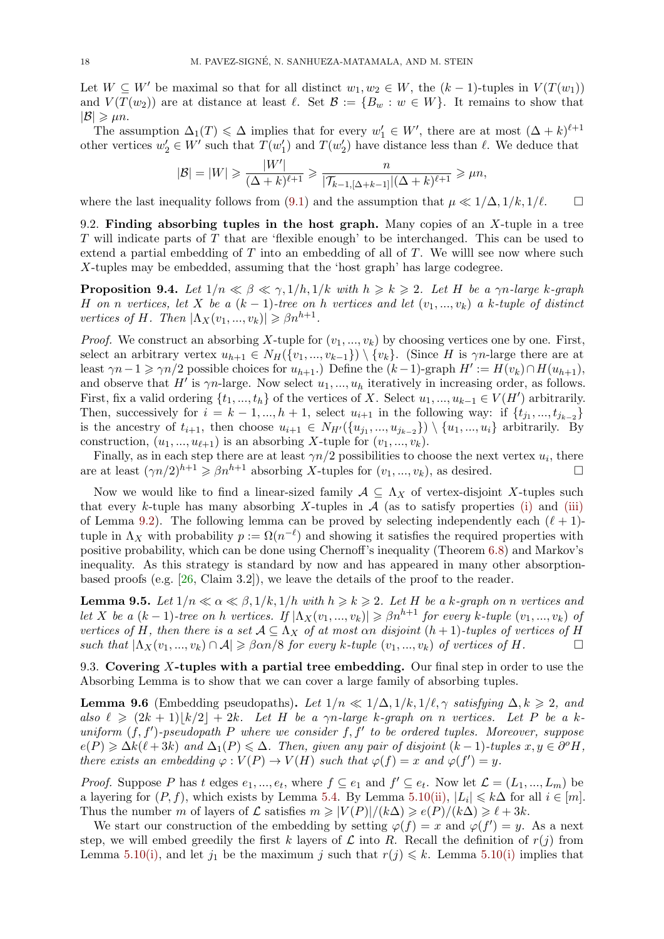Let  $W \subset W'$  be maximal so that for all distinct  $w_1, w_2 \in W$ , the  $(k-1)$ -tuples in  $V(T(w_1))$ and  $V(T(w_2))$  are at distance at least  $\ell$ . Set  $\mathcal{B} := \{B_w : w \in W\}$ . It remains to show that  $|\mathcal{B}| \geqslant \mu n$ .

<span id="page-17-3"></span>The assumption  $\Delta_1(T) \leq \Delta$  implies that for every  $w'_1 \in W'$ , there are at most  $(\Delta + k)^{\ell+1}$ other vertices  $w_2' \in W'$  such that  $T(w_1')$  and  $T(w_2')$  have distance less than  $\ell$ . We deduce that

$$
|\mathcal{B}| = |W| \geq \frac{|W'|}{(\Delta + k)^{\ell+1}} \geq \frac{n}{|\mathcal{T}_{k-1, [\Delta + k-1]}|(\Delta + k)^{\ell+1}} \geq \mu n,
$$

where the last inequality follows from (9.1) and the assumption that  $\mu \ll 1/\Delta, 1/k, 1/\ell$ . □

9.2. **Finding absorbing tuples in the host graph.** Many copies of an *X*-tuple in a tree *T* will indicate parts of *T* that are 'flexible enough' to be interchanged. This can be used to extend a partial embedding of *T* into [an e](#page-16-1)mbedding of all of *T*. We willl see now where such *X*-tuples may be embedded, assuming that the 'host graph' has large codegree.

**Proposition 9.4.** Let  $1/n \ll \beta \ll \gamma$ ,  $1/h$ ,  $1/k$  with  $h \geq k \geq 2$ . Let H be a  $\gamma n$ -large k-graph *H on n vertices, let X be a* ( $k-1$ )*-tree on h vertices and let*  $(v_1, ..., v_k)$  *a k-tuple of distinct vertices of H. Then*  $|\Lambda_X(v_1, ..., v_k)| \geq \beta n^{h+1}$ .

<span id="page-17-1"></span>*Proof.* We construct an absorbing X-tuple for  $(v_1, ..., v_k)$  by choosing vertices one by one. First, select an arbitrary vertex  $u_{h+1} \in N_H(\{v_1, ..., v_{k-1}\}) \setminus \{v_k\}.$  (Since *H* is  $\gamma n$ -large there are at least  $\gamma n - 1 \ge \gamma n/2$  possible choices for  $u_{h+1}$ .) Define the  $(k-1)$ -graph  $H' := H(v_k) \cap H(u_{h+1}),$ and observe that  $H'$  is  $\gamma n$ -large. Now select  $u_1, ..., u_h$  iteratively in increasing order, as follows. First, fix a valid ordering  $\{t_1, ..., t_h\}$  of the vertices of *X*. Select  $u_1, ..., u_{k-1} \in V(H')$  arbitrarily. Then, successively for  $i = k - 1, ..., h + 1$ , select  $u_{i+1}$  in the following way: if  $\{t_{j_1}, ..., t_{j_{k-2}}\}$ is the ancestry of  $t_{i+1}$ , then choose  $u_{i+1} \in N_{H'}(\{u_{j_1},...,u_{j_{k-2}}\}) \setminus \{u_1,...,u_i\}$  arbitrarily. By construction,  $(u_1, ..., u_{\ell+1})$  is an absorbing *X*-tuple for  $(v_1, ..., v_k)$ .

Finally, as in each step there are at least  $\gamma n/2$  possibilities to choose the next vertex  $u_i$ , there are at least  $(\gamma n/2)^{h+1} \geq \beta n^{h+1}$  absorbing *X*-tuples for  $(v_1, ..., v_k)$ , as desired.

Now we would like to find a linear-sized family  $A \subseteq \Lambda_X$  of vertex-disjoint X-tuples such that every *k*-tuple has many absorbing *X*-tuples in  $\mathcal A$  (as to satisfy properties (i) and (iii) of Lemma 9.2). The following lemma can be proved by selecting independently each  $(\ell + 1)$ tuple in  $\Lambda_X$  with probability  $p := \Omega(n^{-\ell})$  and showing it satisfies the required properties with positive probability, which can be done using Chernoff's inequality (Theorem 6.8) and Markov's inequality. As this strategy is standard by now and has appeared in many other [ab](#page-15-5)sorp[tion](#page-15-6)based proo[fs \(](#page-15-7)e.g.  $[26, \text{Claim } 3.2]$ ), we leave the details of the proof to the reader.

**Lemma 9.5.** Let  $1/n \ll \alpha \ll \beta, 1/k, 1/h$  with  $h \ge k \ge 2$ . Let H be a k-grap[h on](#page-9-4) n vertices and let X be a  $(k-1)$ -tree on h vertices. If  $|\Lambda_X(v_1,...,v_k)| \geq \beta n^{h+1}$  for every k-tuple  $(v_1,...,v_k)$  of *vertices of H*, [th](#page-25-3)en there is a set  $A \subseteq \Lambda_X$  *of at most*  $\alpha n$  *disjoint*  $(h+1)$ *-tuples of vertices of H such that*  $|Λ_X(v_1, ..., v_k) ∩ A| ≥ βαn/8$  *for every k*-tuple  $(v_1, ..., v_k)$  *of vertices of H*. □

<span id="page-17-2"></span>9.3. **Covering** *X***-tuples with a partial tree embedding.** Our final step in order to use the Absorbing Lemma is to show that we can cover a large family of absorbing tuples.

**Lemma 9.6** (Embedding pseudopaths). Let  $1/n \ll 1/\Delta, 1/k, 1/\ell, \gamma$  satisfying  $\Delta, k \geq 2$ , and also  $\ell \geq (2k+1)|k/2| + 2k$ . Let H be a  $\gamma n$ -large k-graph on n vertices. Let P be a k*uniform* (*f, f′* )*-pseudopath P where we consider f, f′ to be ordered tuples. Moreover, suppose*  $e(P) \ge \Delta k(\ell+3k)$  and  $\Delta_1(P) \le \Delta$ *. Then, given any pair of disjoint*  $(k-1)$ *-tuples*  $x, y \in \partial^o H$ *, there exists an embedding*  $\varphi : V(P) \to V(H)$  *such that*  $\varphi(f) = x$  *and*  $\varphi(f') = y$ *.* 

<span id="page-17-0"></span>*Proof.* Suppose P has t edges  $e_1, ..., e_t$ , where  $f \subseteq e_1$  and  $f' \subseteq e_t$ . Now let  $\mathcal{L} = (L_1, ..., L_m)$  be a layering for  $(P, f)$ , which exists by Lemma 5.4. By Lemma 5.10(ii),  $|L_i| \le k\Delta$  for all  $i \in [m]$ . Thus the number *m* of layers of  $\mathcal L$  satisfies  $m \geq |V(P)|/(k\Delta) \geq e(P)/(k\Delta) \geq \ell + 3k$ .

We start our construction of the embedding by setting  $\varphi(f) = x$  and  $\varphi(f') = y$ . As a next step, we will embed greedily the first *k* layers of  $\mathcal L$  into *R*. Recall the definition of  $r(j)$  from Lemma 5.10(i), and let  $j_1$  be the maximum *j* [su](#page-4-4)ch that  $r(j) \leq k$ [. Le](#page-5-2)mma 5.10(i) implies that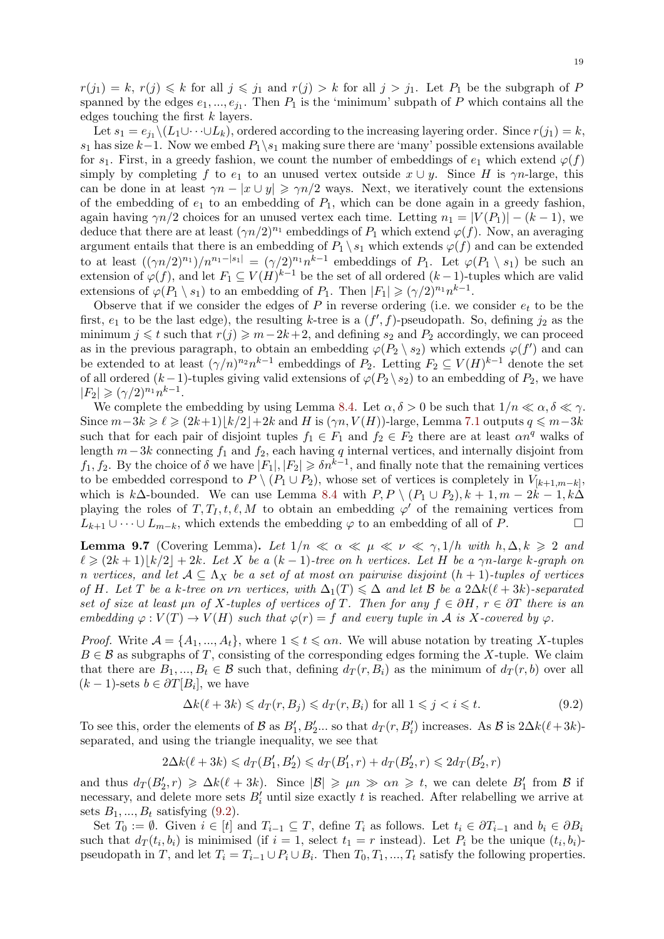$r(j_1) = k$ ,  $r(j) \leq k$  for all  $j \leq j_1$  and  $r(j) > k$  for all  $j > j_1$ . Let  $P_1$  be the subgraph of *P* spanned by the edges  $e_1, ..., e_{j_1}$ . Then  $P_1$  is the 'minimum' subpath of  $P$  which contains all the edges touching the first *k* layers.

Let  $s_1 = e_{j_1} \setminus (L_1 \cup \cdots \cup L_k)$ , ordered according to the increasing layering order. Since  $r(j_1) = k$ , *s*<sub>1</sub> has size  $k-1$ . Now we embed  $P_1 \ s_1$  making sure there are 'many' possible extensions available for  $s_1$ . First, in a greedy fashion, we count the number of embeddings of  $e_1$  which extend  $\varphi(f)$ simply by completing *f* to  $e_1$  to an unused vertex outside  $x \cup y$ . Since *H* is  $\gamma n$ -large, this can be done in at least  $\gamma n - |x \cup y| \geqslant \gamma n/2$  ways. Next, we iteratively count the extensions of the embedding of  $e_1$  to an embedding of  $P_1$ , which can be done again in a greedy fashion, again having  $\gamma n/2$  choices for an unused vertex each time. Letting  $n_1 = |V(P_1)| - (k-1)$ , we deduce that there are at least  $(\gamma n/2)^{n_1}$  embeddings of  $P_1$  which extend  $\varphi(f)$ . Now, an averaging argument entails that there is an embedding of  $P_1 \setminus s_1$  which extends  $\varphi(f)$  and can be extended to at least  $((\gamma n/2)^{n_1})/n^{n_1-\vert s_1\vert} = (\gamma/2)^{n_1}n^{k-1}$  embeddings of  $P_1$ . Let  $\varphi(P_1 \setminus s_1)$  be such an extension of  $\varphi(f)$ , and let  $F_1 \subseteq V(H)^{k-1}$  be the set of all ordered  $(k-1)$ -tuples which are valid extensions of  $\varphi(P_1 \setminus s_1)$  to an embedding of  $P_1$ . Then  $|F_1| \geqslant (\gamma/2)^{n_1} n^{k-1}$ .

Observe that if we consider the edges of *P* in reverse ordering (i.e. we consider *e<sup>t</sup>* to be the first,  $e_1$  to be the last edge), the resulting *k*-tree is a  $(f', f)$ -pseudopath. So, defining  $j_2$  as the minimum  $j \leq t$  such that  $r(j) \geq m-2k+2$ , and defining  $s_2$  and  $P_2$  accordingly, we can proceed as in the previous paragraph, to obtain an embedding  $\varphi(P_2 \setminus s_2)$  which extends  $\varphi(f')$  and can be extended to at least  $(\gamma/n)^{n_2} n^{k-1}$  embeddings of  $P_2$ . Letting  $F_2 \subseteq V(H)^{k-1}$  denote the set of all ordered  $(k-1)$ -tuples giving valid extensions of  $\varphi(P_2 \setminus s_2)$  to an embedding of  $P_2$ , we have  $|F_2| \geqslant (\gamma/2)^{n_1} n^{k-1}.$ 

We complete the embedding by using Lemma 8.4. Let  $\alpha, \delta > 0$  be such that  $1/n \ll \alpha, \delta \ll \gamma$ . Since  $m-3k \geq \ell \geq (2k+1)\lceil k/2 \rceil+2k$  and *H* is  $(\gamma n, V(H))$ -large, Lemma 7.1 outputs  $q \leq m-3k$ such that for each pair of disjoint tuples  $f_1 \in F_1$  and  $f_2 \in F_2$  there are at least  $\alpha n^q$  walks of length *m−*3*k* connecting *f*<sup>1</sup> and *f*2, each having *q* internal vertices, and internally disjoint from *f*<sub>1</sub>*[,](#page-12-0) f*<sub>2</sub>. By the choice of *δ* we have  $|F_1|, |F_2| \ge \delta n^{k-1}$ , and finally note that the remaining vertices to be embedded correspond to  $P \setminus (P_1 \cup P_2)$ , whose set of vertices is co[mpl](#page-10-0)etely in  $V_{[k+1,m-k]}$ , which is  $k\Delta$ -bounded. We can use Lemma 8.4 with  $P, P \setminus (P_1 \cup P_2), k+1, m-2k-1, k\Delta$ playing the roles of  $T, T_I, t, \ell, M$  to obtain an embedding  $\varphi'$  of the remaining vertices from  $L_{k+1} \cup \cdots \cup L_{m-k}$ , which extends the embedding  $\varphi$  to an embedding of all of *P*. □

**Lemma 9.7** (Covering Lemma). Let  $1/n \ll \alpha \ll \mu \ll \nu \ll \gamma, 1/h$  with  $h, \Delta, k \geqslant 2$  and  $\ell \geq (2k+1)|k/2| + 2k$ . Let X be a  $(k-1)$ -tree on h vertices. Let H be a  $\gamma n$ -large k-graph on *n* vertices, and let  $A \subseteq \Lambda_X$  be a set of at most  $\alpha n$  pairwise disjoint  $(h + 1)$ -tuples of vertices *of H.* Let *T* be a *k-tree on*  $\nu n$  *vertices, with*  $\Delta_1(T) \leq \Delta$  *and let B be a*  $2\Delta k(\ell+3k)$ *-separated set of size at least*  $\mu$ *n of*  $X$ *-tuples of vertices of*  $T$ *. Then for any*  $f \in \partial H$ *,*  $r \in \partial T$  *there is an embedding*  $\varphi: V(T) \to V(H)$  *such that*  $\varphi(r) = f$  *and every tuple in A is X*-*covered by*  $\varphi$ *.* 

<span id="page-18-1"></span>*Proof.* Write  $A = \{A_1, ..., A_t\}$ , where  $1 \leq t \leq \alpha n$ . We will abuse notation by treating *X*-tuples  $B \in \mathcal{B}$  as subgraphs of *T*, consisting of the corresponding edges forming the *X*-tuple. We claim that there are  $B_1, ..., B_t \in \mathcal{B}$  such that, defining  $d_T(r, B_i)$  as the minimum of  $d_T(r, b)$  over all  $(k-1)$ -sets  $b \in \partial T[B_i]$ , we have

<span id="page-18-0"></span>
$$
\Delta k(\ell + 3k) \leq d_T(r, B_j) \leq d_T(r, B_i) \text{ for all } 1 \leq j < i \leq t. \tag{9.2}
$$

To see this, order the elements of *B* as  $B'_{1}, B'_{2}...$  so that  $d_{T}(r, B'_{i})$  increases. As *B* is  $2\Delta k(\ell+3k)$ separated, and using the triangle inequality, we see that

$$
2\Delta k(\ell + 3k) \le d_T(B'_1, B'_2) \le d_T(B'_1, r) + d_T(B'_2, r) \le 2d_T(B'_2, r)
$$

and thus  $d_T(B'_2, r) \ge \Delta k(\ell + 3k)$ . Since  $|\mathcal{B}| \ge \mu n \gg \alpha n \ge t$ , we can delete  $B'_1$  from  $\mathcal B$  if necessary, and delete more sets  $B'_i$  until size exactly  $t$  is reached. After relabelling we arrive at sets  $B_1, ..., B_t$  satisfying  $(9.2)$ .

Set  $T_0 := \emptyset$ . Given  $i \in [t]$  and  $T_{i-1} \subseteq T$ , define  $T_i$  as follows. Let  $t_i \in \partial T_{i-1}$  and  $b_i \in \partial B_i$ such that  $d_T(t_i, b_i)$  is minimised (if  $i = 1$ , select  $t_1 = r$  instead). Let  $P_i$  be the unique  $(t_i, b_i)$ pseudopath in *T*, and let  $T_i = T_{i-1} \cup P_i \cup B_i$ . Then  $T_0, T_1, ..., T_t$  satisfy the following properties.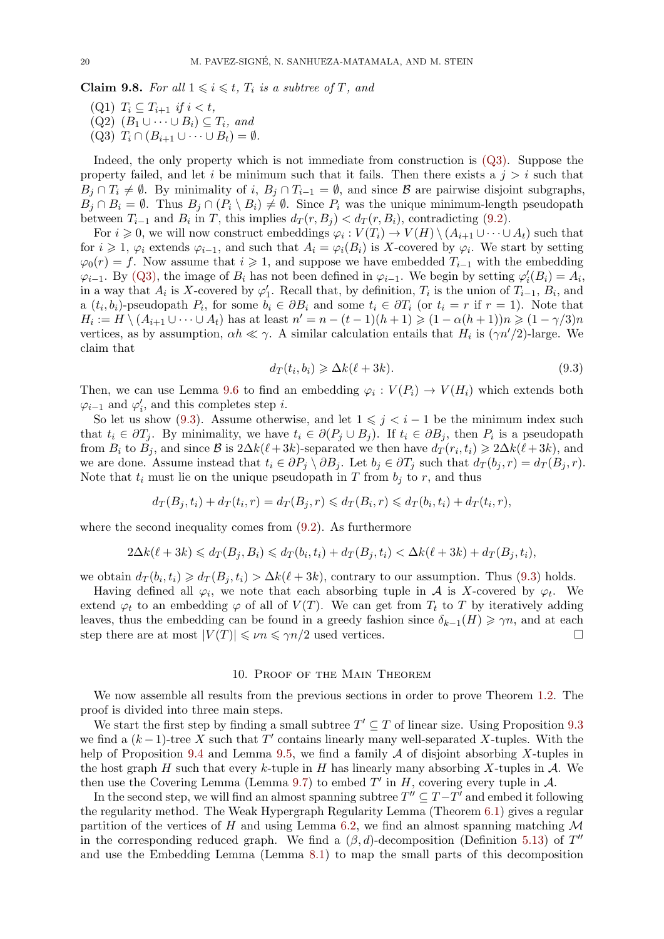**Claim 9.8.** For all  $1 \leq i \leq t$ ,  $T_i$  is a subtree of  $T$ , and

 $(T_i \subseteq T_{i+1} \text{ if } i < t,$  $(Q2)$   $(B_1 \cup \cdots \cup B_i) \subseteq T_i$ *, and*  $(Q3)$   $T_i \cap (B_{i+1} \cup \cdots \cup B_t) = \emptyset$ .

<span id="page-19-0"></span>Indeed, the only property which is not immediate from construction is (Q3). Suppose the property failed, and let *i* be minimum such that it fails. Then there exists a  $j > i$  such that  $B_j \cap T_i \neq \emptyset$ . By minimality of *i*,  $B_j \cap T_{i-1} = \emptyset$ , and since *B* are pairwise disjoint subgraphs,  $B_j \cap B_i = \emptyset$ . Thus  $B_j \cap (P_i \setminus B_i) \neq \emptyset$ . Since  $P_i$  was the unique minimum-length pseudopath between  $T_{i-1}$  and  $B_i$  in *T*, this implies  $d_T(r, B_j) < d_T(r, B_i)$ , contradicting [\(9.2\)](#page-19-0).

For  $i \geq 0$ , we will now construct embeddings  $\varphi_i : V(T_i) \to V(H) \setminus (A_{i+1} \cup \cdots \cup A_t)$  such that for  $i \geq 1$ ,  $\varphi_i$  extends  $\varphi_{i-1}$ , and such that  $A_i = \varphi_i(B_i)$  is *X*-covered by  $\varphi_i$ . We start by setting  $\varphi_0(r) = f$ . Now assume that  $i \geq 1$ , and suppose we have embedded  $T_{i-1}$  with the embedding  $\varphi_{i-1}$ . By (Q3), the image of *B*<sup>*i*</sup> has not been defined in  $\varphi_{i-1}$ . We begin by s[ettin](#page-18-0)g  $\varphi'_{i}(B_{i}) = A_{i}$ , in a way that  $A_i$  is *X*-covered by  $\varphi'_1$ . Recall that, by definition,  $T_i$  is the union of  $T_{i-1}$ ,  $B_i$ , and a  $(t_i, b_i)$ -pseudopath  $P_i$ , for some  $b_i \in \partial B_i$  and some  $t_i \in \partial T_i$  (or  $t_i = r$  if  $r = 1$ ). Note that  $H_i := H \setminus (A_{i+1} \cup \cdots \cup A_t)$  has at least  $n' = n - (t-1)(h+1) \geq (1 - \alpha(h+1))n \geq (1 - \gamma/3)n$ vertices, [as by](#page-19-0) assumption,  $\alpha h \ll \gamma$ . A similar calculation entails that  $H_i$  is  $(\gamma n'/2)$ -large. We claim that

<span id="page-19-1"></span>
$$
d_T(t_i, b_i) \geq \Delta k(\ell + 3k). \tag{9.3}
$$

Then, we can use Lemma 9.6 to find an embedding  $\varphi_i: V(P_i) \to V(H_i)$  which extends both  $\varphi_{i-1}$  and  $\varphi'_{i}$ , and this completes step *i*.

So let us show (9.3). Assume otherwise, and let  $1 \leq j \leq i-1$  be the minimum index such that  $t_i \in \partial T_j$ . By minimality, we have  $t_i \in \partial (P_j \cup B_j)$ . If  $t_i \in \partial B_j$ , then  $P_i$  is a pseudopath from  $B_i$  to  $B_j$ , and since  $\mathcal{B}$  is  $2\Delta k(\ell+3k)$ -separated we then have  $d_T(r_i, t_i) \geq 2\Delta k(\ell+3k)$ , and we are done. Assume instead that  $t_i \in \partial P_i \setminus \partial B_i$ . Let  $b_i \in \partial T_i$  such that  $d_T(b_i, r) = d_T(B_i, r)$ . Note that  $t_i$  must [lie o](#page-19-1)n the unique pseudopath in  $T$  from  $b_j$  to  $r$ , and thus

$$
d_T(B_j, t_i) + d_T(t_i, r) = d_T(B_j, r) \leq d_T(B_i, r) \leq d_T(b_i, t_i) + d_T(t_i, r),
$$

where the second inequality comes from  $(9.2)$ . As furthermore

$$
2\Delta k(\ell+3k) \leq d_T(B_j, B_i) \leq d_T(b_i, t_i) + d_T(B_j, t_i) < \Delta k(\ell+3k) + d_T(B_j, t_i),
$$

we obtain  $d_T(b_i, t_i) \geq d_T(B_j, t_i) > \Delta k(\ell + 3k)$  $d_T(b_i, t_i) \geq d_T(B_j, t_i) > \Delta k(\ell + 3k)$  $d_T(b_i, t_i) \geq d_T(B_j, t_i) > \Delta k(\ell + 3k)$ , contrary to our assumption. Thus (9.3) holds.

Having defined all  $\varphi_i$ , we note that each absorbing tuple in *A* is *X*-covered by  $\varphi_t$ . We extend  $\varphi_t$  to an embedding  $\varphi$  of all of  $V(T)$ . We can get from  $T_t$  to  $T$  by iteratively adding leaves, thus the embedding can be found in a greedy fashion since  $\delta_{k-1}(H) \geq \gamma n$ , and at each step there are at most  $|V(T)| \leq \nu n \leq \gamma n/2$  used vertices. step there are at most  $|V(T)| \le \nu n \le \gamma n/2$  used vertices.

### 10. Proof of the Main Theorem

We now assemble all results from the previous sections in order to prove Theorem 1.2. The proof is divided into three main steps.

We start the first step by finding a small subtree  $T' \subseteq T$  of linear size. Using Proposition 9.3 we find a  $(k-1)$ -tree X such that T' contains linearly many well-separated X-tuples. With the help of Proposition 9.4 and Lemma 9.5, we find a family *A* of disjoint absorbing *X*-[tup](#page-1-0)les in the host graph *H* such that every *k*-tuple in *H* has linearly many absorbing *X*-tuples in *A*. We then use the Covering Lemma (Lemma 9.7) to embed  $T'$  in  $H$ , covering every tuple in  $\mathcal{A}$ .

In the second step, we will find an almost spanning subtree  $T'' \subseteq T - T'$  and embed it following the regularity metho[d. T](#page-17-1)he Weak Hy[per](#page-17-2)graph Regularity Lemma (Theorem 6.1) gives a regular partition of the vertices of  $H$  and using Lemma 6.2, we find an almost spanning matching  $M$ in the corresponding reduced graph. [We](#page-18-1) find a  $(\beta, d)$ -decomposition (Definition 5.13) of  $T''$ and use the Embedding Lemma (Lemma 8.1) to map the small parts of this decomposition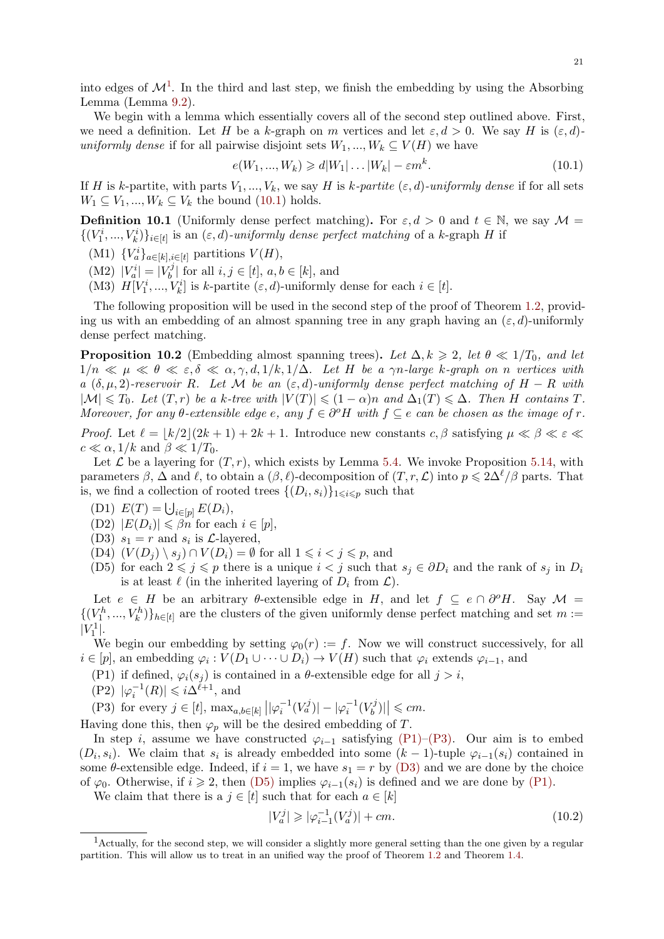into edges of  $\mathcal{M}^1$ . In the third and last step, we finish the embedding by using the Absorbing Lemma (Lemma 9.2).

We begin with a lemma which essentially covers all of the second step outlined above. First, we need a definition. Let *H* be a *k*-graph on *m* vertices and let  $\varepsilon, d > 0$ . We say *H* is  $(\varepsilon, d)$ *un[i](#page-20-0)formly dense* if for all pairwise disjoint sets  $W_1, ..., W_k \subseteq V(H)$  we have

<span id="page-20-1"></span>
$$
e(W_1, ..., W_k) \geq d|W_1| \dots |W_k| - \varepsilon m^k. \tag{10.1}
$$

If *H* is *k*-partite, with parts  $V_1, ..., V_k$ , we say *H* is *k*-partite  $(\varepsilon, d)$ -uniformly dense if for all sets  $W_1 \subseteq V_1, ..., W_k \subseteq V_k$  the bound (10.1) holds.

**Definition 10.1** (Uniformly dense perfect matching). For  $\varepsilon, d > 0$  and  $t \in \mathbb{N}$ , we say  $\mathcal{M} =$  $\{(V_1^i, ..., V_k^i)\}_{i \in [t]}$  is an  $(\varepsilon, d)$ *-uniformly dense perfect matching* of a *k*-graph *H* if

- (M1)  ${V_a^i}_{a}$ <sub> $a \in [k], i \in [t]}$ </sub> partitions  $V(H)$  $V(H)$  $V(H)$ ,
- $|V_a^i| = |V_b^j|$  $\mathbf{b}^{(j)}$  for all  $i, j \in [t]$ ,  $a, b \in [k]$ , and
- (M3)  $H[V_1^i, ..., V_k^i]$  is *k*-partite  $(\varepsilon, d)$ -uniformly dense for each  $i \in [t]$ .

The following proposition will be used in the second step of the proof of Theorem 1.2, providing us with an embedding of an almost spanning tree in any graph having an  $(\varepsilon, d)$ -uniformly dense perfect matching.

**Proposition 10.2** (Embedding almost spanning trees). Let  $\Delta, k \geq 2$ , let  $\theta \ll 1/T_0$  $\theta \ll 1/T_0$  $\theta \ll 1/T_0$ , and let  $1/n \ll \mu \ll \theta \ll \varepsilon, \delta \ll \alpha, \gamma, d, 1/k, 1/\Delta$ . Let H be a  $\gamma n$ -large k-graph on n vertices with  $a \ (\delta, \mu, 2)$ *-reservoir*  $R$ *. Let*  $M$  *be an*  $(\varepsilon, d)$ *-uniformly dense perfect matching of*  $H - R$  *with*  $|\mathcal{M}| \leq T_0$ . Let  $(T,r)$  be a k-tree with  $|V(T)| \leq (1-\alpha)n$  and  $\Delta_1(T) \leq \Delta$ . Then H contains T. *Moreover, for any*  $\theta$ -extensible edge  $e$ , any  $f \in \partial^{\circ}H$  with  $f \subseteq e$  can be chosen as the image of  $r$ .

<span id="page-20-9"></span>*Proof.* Let  $\ell = |k/2|(2k+1) + 2k + 1$ . Introduce new constants  $c, \beta$  satisfying  $\mu \ll \beta \ll \epsilon \ll$  $c \ll \alpha$ , 1/k and  $\beta \ll 1/T_0$ .

Let  $\mathcal L$  be a layering for  $(T, r)$ , which exists by Lemma 5.4. We invoke Proposition 5.14, with parameters  $\beta$ ,  $\Delta$  and  $\ell$ , to obtain a  $(\beta, \ell)$ -decomposition of  $(T, r, \mathcal{L})$  into  $p \leq 2\Delta^{\ell}/\beta$  parts. That is, we find a collection of rooted trees  $\{(D_i, s_i)\}_{1 \leq i \leq p}$  such that

- $E(T) = \bigcup_{i \in [p]} E(D_i),$
- $|D2|$   $|E(D_i)| \leq \beta n$  for each  $i \in [p],$
- (D3)  $s_1 = r$  and  $s_i$  is  $\mathcal{L}$ -layered,
- (D4)  $(V(D_j) \setminus s_j) ∩ V(D_i) = ∅$  for all  $1 ≤ i < j ≤ p$ , and
- (D5) for each  $2 \leq j \leq p$  there is a unique  $i < j$  such that  $s_j \in \partial D_i$  and the rank of  $s_j$  in  $D_i$ is at least  $\ell$  (in the inherited layering of  $D_i$  from  $\mathcal{L}$ ).

<span id="page-20-7"></span><span id="page-20-6"></span>Let  $e \in H$  be an arbitrary  $\theta$ -extensible edge in *H*, and let  $f \subseteq e \cap \partial^{\circ}H$ . Say  $\mathcal{M} =$  $\{(V_1^h, ..., V_k^h)\}_{h \in [t]}$  are the clusters of the given uniformly dense perfect matching and set  $m :=$  $|V_1^1|$ .

<span id="page-20-2"></span>We begin our embedding by setting  $\varphi_0(r) := f$ . Now we will construct successively, for all  $i \in [p]$ , an embedding  $\varphi_i : V(D_1 \cup \cdots \cup D_i) \to V(H)$  such that  $\varphi_i$  extends  $\varphi_{i-1}$ , and

- (P1) if defined,  $\varphi_i(s_i)$  is contained in a  $\theta$ -extensible edge for all  $j > i$ ,
- $(P2)$   $|\varphi_i^{-1}(R)| \leq i\Delta^{\ell+1}$ , and

(P3) for every  $j \in [t]$ ,  $\max_{a,b \in [k]} ||\varphi_i^{-1}(V_a^j)|| - |\varphi_i^{-1}(V_b^j)|$  $\left|\frac{f^j}{b}\right| \leqslant cm.$ 

<span id="page-20-3"></span>Having done this, then  $\varphi_p$  will be the desired embedding of *T*.

<span id="page-20-8"></span><span id="page-20-4"></span>In step *i*, assume we have constructed  $\varphi_{i-1}$  satisfying (P1)–(P3). Our aim is to embed  $(D_i, s_i)$ . We claim that  $s_i$  is already embedded into some  $(k-1)$ -tuple  $\varphi_{i-1}(s_i)$  contained in some  $\theta$ -extensible edge. Indeed, if  $i = 1$ , we have  $s_1 = r$  by (D3) and we are done by the choice of  $\varphi_0$ . Otherwise, if  $i \geq 2$ , then (D5) implies  $\varphi_{i-1}(s_i)$  is defined and we are done by (P1).

We claim that there is a  $j \in [t]$  such that for each  $a \in [k]$ 

<span id="page-20-5"></span>
$$
|V_a^j| \ge |\varphi_{i-1}^{-1}(V_a^j)| + cm.
$$
\n(10.2)

<span id="page-20-0"></span><sup>&</sup>lt;sup>1</sup>Actually, for the second step, we [will co](#page-20-2)nsider a slightly more general setting than the one given [by a r](#page-20-3)egular partition. This will allow us to treat in an unified way the proof of Theorem 1.2 and Theorem 1.4.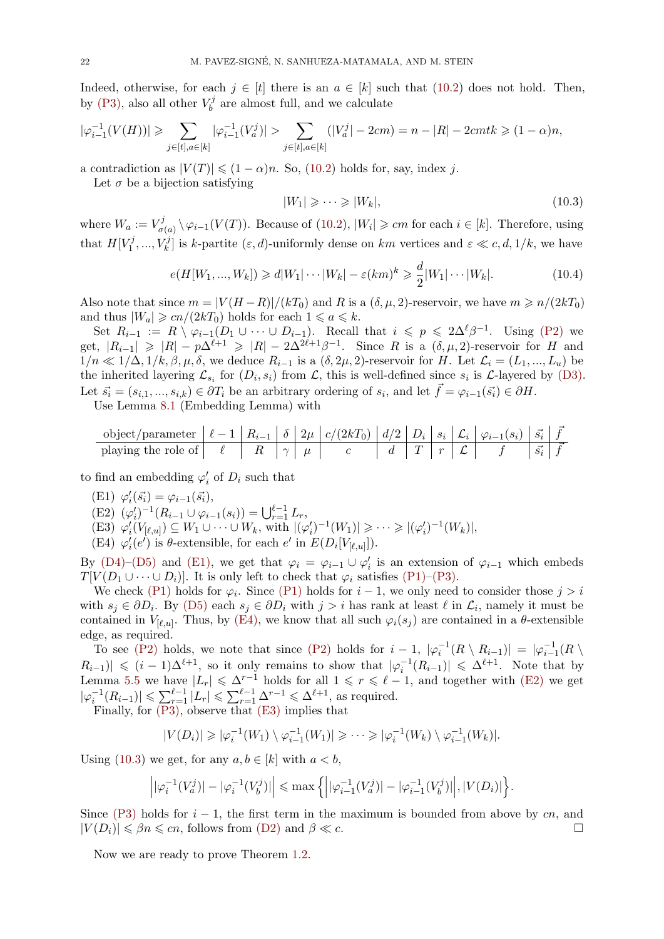Indeed, otherwise, for each  $j \in [t]$  there is an  $a \in [k]$  such that (10.2) does not hold. Then, by (P3), also all other  $V_b^j$  $b_b^{\prime\prime}$  are almost full, and we calculate

$$
|\varphi_{i-1}^{-1}(V(H))| \ge \sum_{j \in [t], a \in [k]} |\varphi_{i-1}^{-1}(V_a^j)| > \sum_{j \in [t], a \in [k]} (|V_a^j| - 2cm) = n - |R| - 2cmtk \ge (1 - \alpha)n,
$$

a c[ontra](#page-20-4)diction as  $|V(T)| \leq (1 - \alpha)n$ . So, (10.2) holds for, say, index *j*.

Let  $\sigma$  be a bijection satisfying

<span id="page-21-3"></span>
$$
|W_1| \geqslant \cdots \geqslant |W_k|,\tag{10.3}
$$

where  $W_a := V^j_\sigma$  $\sigma_{\sigma(a)}^{(j)} \setminus \varphi_{i-1}(V(T))$ . Because o[f \(10](#page-20-5).2),  $|W_i| \geqslant cm$  for each  $i \in [k]$ . Therefore, using that  $H[V_1^j]$  $\{r_1^j, ..., V_k^j\}$  is *k*-partite  $(\varepsilon, d)$ -uniformly dense on *km* vertices and  $\varepsilon \ll c, d, 1/k$ , we have

$$
e(H[W_1, ..., W_k]) \ge d|W_1| \cdots |W_k| - \varepsilon (km)^k \ge \frac{d}{2}|W_1| \cdots |W_k|.
$$
\n(10.4)

Also note that since  $m = |V(H - R)|/(kT_0)$  and R is a  $(\delta, \mu, 2)$ -reservoir, we have  $m \ge n/(2kT_0)$ and thus  $|W_a| \geqslant cn/(2kT_0)$  holds for each  $1 \leqslant a \leqslant k$ .

Set  $R_{i-1} := R \setminus \varphi_{i-1}(D_1 \cup \cdots \cup D_{i-1})$ . Recall that  $i \leqslant p \leqslant 2\Delta^{\ell} \beta^{-1}$ . Using (P2) we  $|\text{get}, |R_{i-1}| \geq |R| - p\Delta^{\ell+1} \geq |R| - 2\Delta^{2\ell+1}\beta^{-1}$ . Since *R* is a  $(\delta, \mu, 2)$ -reservoir for *H* and 1/*n* ≪ 1/Δ, 1/*k*, β, μ, δ, we deduce  $R_{i-1}$  is a (δ, 2μ, 2)-reservoir for *H*. Let  $\mathcal{L}_i = (L_1, ..., L_u)$  be the inherited layering  $\mathcal{L}_{s_i}$  for  $(D_i, s_i)$  from  $\mathcal{L}$ , this is well-defined since  $s_i$  is  $\mathcal{L}$ -layered by  $(D3)$ . Let  $\vec{s_i} = (s_{i,1},...,s_{i,k}) \in \partial T_i$  be an arbitrary ordering of  $s_i$ , and let  $\vec{f} = \varphi_{i-1}(\vec{s_i}) \in \partial H$ .

Use Lemma 8.1 (Embedding Lemma) with

*[⃗f](#page-20-6)* object/parameter *ℓ −* 1 *Ri−*<sup>1</sup> *δ* 2*µ c/*(2*kT*0) *d/*2 *D<sup>i</sup> s<sup>i</sup> L<sup>i</sup> φi−*1(*si*) *⃗s<sup>i</sup> ⃗f* playing the role of *ℓ R γ µ c d T r L f ⃗s<sup>i</sup>*

to find an embedding  $\varphi'_{i}$  of  $D_{i}$  such that

- $(\text{E1}) \; \varphi'_{i}(\vec{s_{i}}) = \varphi_{i-1}(\vec{s_{i}}),$
- $(\mathbf{E2}) \ (\varphi_i')^{-1} (R_{i-1} \cup \varphi_{i-1}(s_i)) = \bigcup_{r=1}^{\ell-1} L_r,$
- (E3)  $\varphi'_i(V_{[\ell,u]}) \subseteq W_1 \cup \cdots \cup W_k$ , with  $|(\varphi'_i)^{-1}(W_1)| \geq \cdots \geq |(\varphi'_i)^{-1}(W_k)|$ ,
- (E4)  $\varphi'_{i}(e')$  is  $\theta$ -extensible, for each  $e'$  in  $E(D_i[V_{[\ell,u]}])$ .

<span id="page-21-0"></span>By (D4)–(D5) and (E1), we get that  $\varphi_i = \varphi_{i-1} \cup \varphi'_i$  is an extension of  $\varphi_{i-1}$  which embeds *T*[*V*( $D_1 \cup \cdots \cup D_i$ ]. It is only left to check that  $\varphi_i$  satisfies (P1)–(P3).

<span id="page-21-2"></span><span id="page-21-1"></span>We check (P1) holds for  $\varphi_i$ . Since (P1) holds for  $i-1$ , we only need to consider those  $j > i$ with  $s_j \in \partial D_i$ . By (D5) each  $s_j \in \partial D_i$  with  $j > i$  has rank at least  $\ell$  in  $\mathcal{L}_i$ , namely it must be con[tained](#page-20-7) [in](#page-20-2)  $V_{\lbrack \ell,u \rbrack}$ . [Thus,](#page-21-0) by (E4), we know that all such  $\varphi_i(s_j)$  $\varphi_i(s_j)$  $\varphi_i(s_j)$  are contained in a  $\theta$ -extensible edge, as required.

To see (P[2\)](#page-20-3) holds, we note that [since](#page-20-3) (P2) holds for  $i-1$ ,  $|\varphi_i^{-1}(R \setminus R_{i-1})| = |\varphi_{i-1}^{-1}(R \setminus R_{i-1})|$  $R_{i-1}$ )*|* ≤  $(i-1)\Delta^{\ell+1}$  $(i-1)\Delta^{\ell+1}$  $(i-1)\Delta^{\ell+1}$ , so it only remains to show that  $|\varphi_i^{-1}(R_{i-1})| \leq \Delta^{\ell+1}$ . Note that by Lemma 5.5 we have  $|L_r| \leq \Delta^{r-1}$  holds for all  $1 \leq r \leq \ell-1$ , and together with (E2) we get  $|\varphi_i^{-1}(R_{i-1})| \leq \sum_{r=1}^{\ell-1} |L_r| \leq \sum_{r=1}^{\ell-1} \Delta^{r-1} \leq \Delta^{\ell+1}$ , as required.

Finally, [for](#page-20-8) (P3), observe that (E3) imp[lies th](#page-20-8)at

$$
|V(D_i)| \geqslant |\varphi_i^{-1}(W_1) \setminus \varphi_{i-1}^{-1}(W_1)| \geqslant \cdots \geqslant |\varphi_i^{-1}(W_k) \setminus \varphi_{i-1}^{-1}(W_k)|.
$$

Using (10.3) [we get](#page-20-4), for any  $a, b \in [k]$  $a, b \in [k]$  $a, b \in [k]$  with  $a < b$ ,

$$
\left| |\varphi_i^{-1}(V_a^j)| - |\varphi_i^{-1}(V_b^j)| \right| \le \max \left\{ \left| |\varphi_{i-1}^{-1}(V_a^j)| - |\varphi_{i-1}^{-1}(V_b^j)| \right|, |V(D_i)| \right\}.
$$

Since ([P3\)](#page-21-3) holds for *i −* 1, the first term in the maximum is bounded from above by *cn*, and  $|V(D_i)| \leq \beta n \leq cn$ , follows from (D2) and  $\beta \ll c$ . □

Now we are ready to prove Theorem 1.2.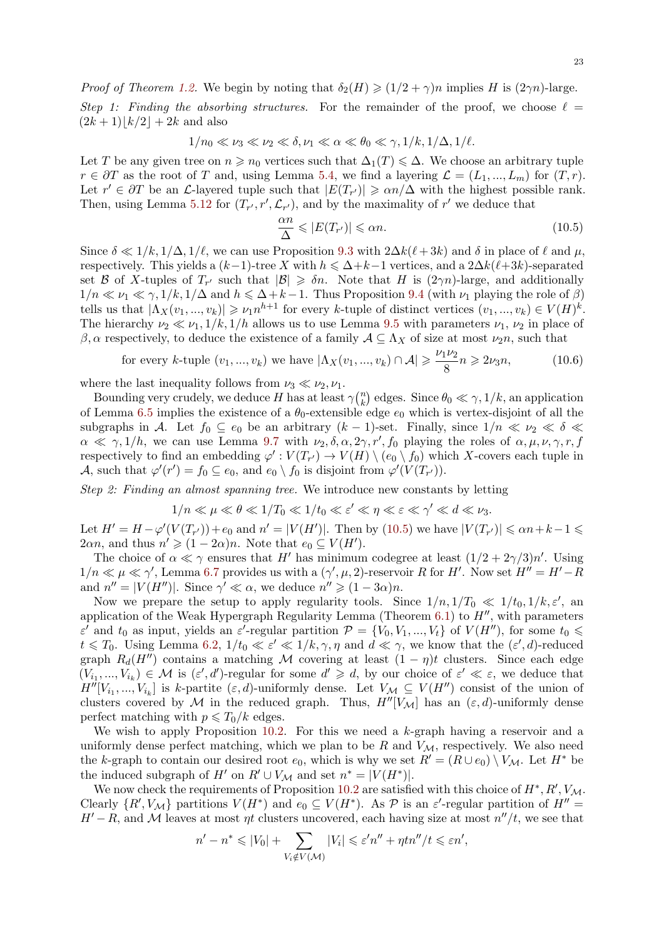*Proof of Theorem 1.2.* We begin by noting that  $\delta_2(H) \geq (1/2 + \gamma)n$  implies *H* is  $(2\gamma n)$ -large. *Step 1: Finding the absorbing structures.* For the remainder of the proof, we choose  $\ell =$  $(2k+1)|k/2| + 2k$  and also

$$
1/n_0 \ll \nu_3 \ll \nu_2 \ll \delta, \nu_1 \ll \alpha \ll \theta_0 \ll \gamma, 1/k, 1/\Delta, 1/\ell.
$$

Let *T* be any given tree on  $n \geq n_0$  vertices such that  $\Delta_1(T) \leq \Delta$ . We choose an arbitrary tuple *r* ∈  $\partial T$  as the root of *T* and, using Lemma 5.4, we find a layering  $\mathcal{L} = (L_1, ..., L_m)$  for  $(T, r)$ . Let  $r' \in \partial T$  be an *L*-layered tuple such that  $|E(T_{r'})| \geq \alpha n/\Delta$  with the highest possible rank. Then, using Lemma 5.12 for  $(T_{r'}, r', \mathcal{L}_{r'})$ , and by the maximality of  $r'$  we deduce that

<span id="page-22-1"></span><span id="page-22-0"></span>
$$
\frac{\alpha n}{\Delta} \leqslant |E(T_{r'})| \leqslant \alpha n. \tag{10.5}
$$

Since  $\delta \ll 1/k, 1/\Delta, 1/\ell$ , we can use Proposition 9.3 with  $2\Delta k(\ell+3k)$  and  $\delta$  in place of  $\ell$  and  $\mu$ , respectively. This yi[elds a](#page-6-4)  $(k-1)$ -tree X with  $h \leq \Delta + k-1$  vertices, and a  $2\Delta k(\ell+3k)$ -separated set *B* of *X*-tuples of  $T_{r'}$  such that  $|\mathcal{B}| \geq \delta n$ . Note that *H* is  $(2\gamma n)$ -large, and additionally  $1/n \ll \nu_1 \ll \gamma$ ,  $1/k$ ,  $1/\Delta$  and  $h \leq \Delta + k - 1$ . Thus Proposition 9.4 (with  $\nu_1$  playing the role of  $\beta$ ) tells us that  $|\Lambda_X(v_1,...,v_k)| \geq \nu_1 n^{h+1}$  for every k[-tu](#page-16-2)ple of distinct vertices  $(v_1,...,v_k) \in V(H)^k$ . The hierarchy  $\nu_2 \ll \nu_1, 1/k, 1/h$  allows us to use Lemma 9.5 with parameters  $\nu_1, \nu_2$  in place of *β*, *α* respectively, to deduce the existence of a family  $A \subseteq \Lambda_X$  of size at most  $\nu_2 n$ , such that

for every k-tuple 
$$
(v_1, ..., v_k)
$$
 we have  $|\Lambda_X(v_1, ..., v_k) \cap \mathcal{A}| \ge \frac{\nu_1 \nu_2}{8} n \ge 2\nu_3 n,$  (10.6)

where the last inequality follows from  $\nu_3 \ll \nu_2, \nu_1$ .

Bounding very crudely, we deduce *H* has at least  $\gamma^{(n)}_k$  $k_k$  edges. Since  $\theta_0 \ll \gamma$ ,  $1/k$ , an application of Lemma 6.5 implies the existence of a *θ*0-extensible edge *e*<sup>0</sup> which is vertex-disjoint of all the subgraphs in *A*. Let  $f_0 \subseteq e_0$  be an arbitrary  $(k-1)$ -set. Finally, since  $1/n \ll \nu_2 \ll \delta \ll$  $\alpha \ll \gamma, 1/h$ , we can use Lemma 9.7 with  $\nu_2, \delta, \alpha, 2\gamma, r', f_0$  playing the roles of  $\alpha, \mu, \nu, \gamma, r, f$ respectively to find an embedding  $\varphi': V(T_{r'}) \to V(H) \setminus (e_0 \setminus f_0)$  which *X*-covers each tuple in *A*, such th[at](#page-8-1)  $\varphi'(r') = f_0 \subseteq e_0$ , and  $e_0 \setminus f_0$  is disjoint from  $\varphi'(V(T_{r'}))$ .

*Step 2: Finding an almost spanni[ng tr](#page-18-1)ee.* We introduce new constants by letting

$$
1/n \ll \mu \ll \theta \ll 1/T_0 \ll 1/t_0 \ll \varepsilon' \ll \eta \ll \varepsilon \ll \gamma' \ll d \ll \nu_3.
$$

Let  $H' = H - \varphi'(V(T_{r'})) + e_0$  and  $n' = |V(H')|$ . Then by (10.5) we have  $|V(T_{r'})| \leq \alpha n + k - 1 \leq$  $2\alpha n$ , and thus  $n' \geq (1 - 2\alpha)n$ . Note that  $e_0 \subseteq V(H')$ .

The choice of  $\alpha \ll \gamma$  ensures that *H'* has minimum codegree at least  $(1/2 + 2\gamma/3)n'$ . Using  $1/n \ll \mu \ll \gamma'$ , Lemma 6.7 provides us with a  $(\gamma', \mu, 2)$ -reservoir R for H'. Now set  $H'' = H' - R$ a[n](#page-22-0)d  $n'' = |V(H'')|$ . Since  $\gamma' \ll \alpha$ , we deduce  $n'' \geq (1 - 3\alpha)n$ .

Now we prepare the setup to apply regularity tools. Since  $1/n$ ,  $1/T_0 \ll 1/t_0$ ,  $1/k$ ,  $\varepsilon'$ , and application of the Weak Hypergraph Regularity Lemma (Theorem 6.1) to *H′′*, with parameters  $\epsilon'$  and  $t_0$  as input, yiel[ds a](#page-9-1)n  $\epsilon'$ -regular partition  $\mathcal{P} = \{V_0, V_1, ..., V_t\}$  of  $V(H'')$ , for some  $t_0 \leq$  $t \leq T_0$ . Using Lemma 6.2,  $1/t_0 \ll \varepsilon' \ll 1/k, \gamma, \eta$  and  $d \ll \gamma$ , we know that the  $(\varepsilon', d)$ -reduced graph  $R_d(H'')$  contains a matching M covering at least  $(1 - \eta)t$  clusters. Since each edge  $(V_{i_1},...,V_{i_k}) \in \mathcal{M}$  is  $(\varepsilon',d')$ -regular for some  $d' \geq d$ , by our choic[e of](#page-7-7)  $\varepsilon' \ll \varepsilon$ , we deduce that  $H''[V_{i_1},...,V_{i_k}]$  is *k*-partite  $(\varepsilon, d)$ -uniformly dense. Let  $V_M \subseteq V(H'')$  consist of the union of clusters covered by  $M$  [in](#page-8-2) the reduced graph. Thus,  $H''[V_M]$  has an  $(\varepsilon, d)$ -uniformly dense perfect matching with  $p \leq T_0/k$  edges.

We wish to apply Proposition 10.2. For this we need a *k*-graph having a reservoir and a uniformly dense perfect matching, which we plan to be  $R$  and  $V_M$ , respectively. We also need the *k*-graph to contain our desired root  $e_0$ , which is why we set  $R' = (R \cup e_0) \setminus V_{\mathcal{M}}$ . Let  $H^*$  be the induced subgraph of  $H'$  on  $R' \cup V_M$  and set  $n^* = |V(H^*)|$ .

We now check the requirements [of Pr](#page-20-9)oposition 10.2 are satisfied with this choice of  $H^*$ ,  $R'$ ,  $V_M$ . Clearly  $\{R', V_{\mathcal{M}}\}$  partitions  $V(H^*)$  and  $e_0 \subseteq V(H^*)$ . As  $\mathcal P$  is an  $\varepsilon'$ -regular partition of  $H'' =$ *H'*  $-$ *R*, and *M* leaves at most *ηt* clusters uncovered, each having size at most  $n''/t$ , we see that

$$
n'-n^* \leq |V_0| + \sum_{V_i \notin V(\mathcal{M})} |V_i| \leq \varepsilon' n'' + \eta t n''/t \leq \varepsilon n',
$$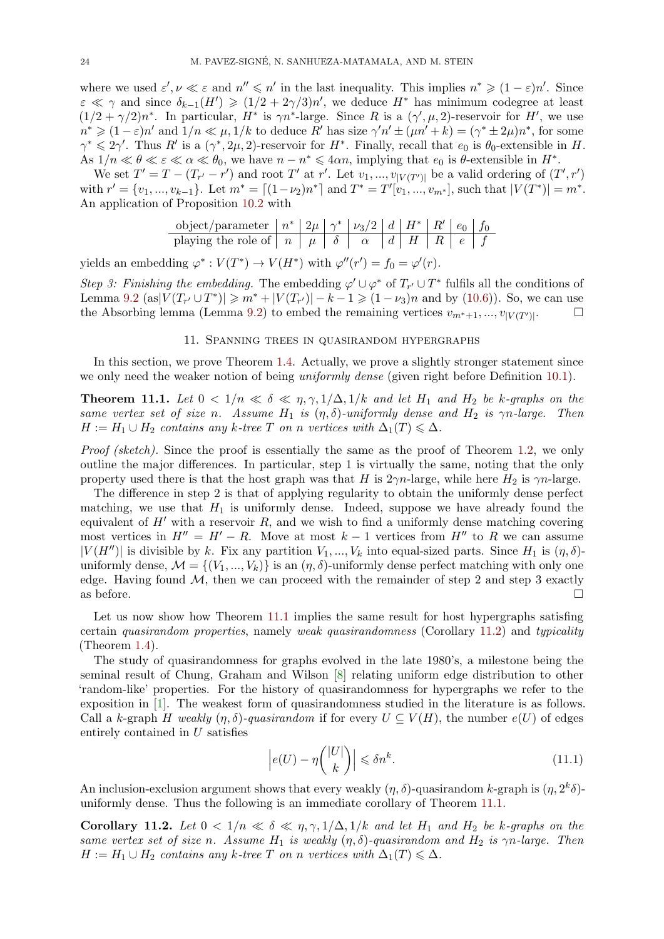<span id="page-23-3"></span>where we used  $\varepsilon', \nu \ll \varepsilon$  and  $n'' \leq n'$  in the last inequality. This implies  $n^* \geq (1 - \varepsilon)n'$ . Since  $\varepsilon \ll \gamma$  and since  $\delta_{k-1}(H') \geq (1/2 + 2\gamma/3)n'$ , we deduce  $H^*$  has minimum codegree at least  $(1/2 + \gamma/2)n^*$ . In particular,  $H^*$  is  $\gamma n^*$ -large. Since R is a  $(\gamma', \mu, 2)$ -reservoir for H', we use  $n^* \geqslant (1-\varepsilon)n'$  and  $1/n \ll \mu, 1/k$  to deduce R' has size  $\gamma'n' \pm (\mu n' + k) = (\gamma^* \pm 2\mu)n^*$ , for some  $\gamma^* \leq 2\gamma'$ . Thus *R'* is a  $(\gamma^*, 2\mu, 2)$ -reservoir for *H<sup>\*</sup>*. Finally, recall that *e*<sub>0</sub> is  $\theta_0$ -extensible in *H*. As  $1/n \ll \theta \ll \varepsilon \ll \alpha \ll \theta_0$ , we have  $n - n^* \leq 4\alpha n$ , implying that  $e_0$  is  $\theta$ -extensible in  $H^*$ .

We set  $T' = T - (T_{r'} - r')$  and root T' at r'. Let  $v_1, ..., v_{|V(T')|}$  be a valid ordering of  $(T', r')$ with  $r' = \{v_1, ..., v_{k-1}\}\.$  Let  $m^* = \lfloor (1 - \nu_2)n^* \rfloor$  and  $T^* = T'[v_1, ..., v_{m^*}],$  such that  $|V(T^*)| = m^*$ . An application of Proposition 10.2 with

object/parameter 
$$
n^*
$$
  $2\mu$   $\gamma^*$   $\nu_3/2$   $d$   $H^*$   $R'$   $e_0$   $f_0$  playing the role of  $n$   $\mu$   $\delta$   $\alpha$   $d$   $H$   $R$   $e$   $f$ 

yields an embedding  $\varphi^* : V(T^*) \to V(H^*)$  with  $\varphi''(r') = f_0 = \varphi'(r)$ .

*Step 3: Finishing the embedding.* The embedding  $\varphi' \cup \varphi^*$  of  $T_{r'} \cup T^*$  fulfils all the conditions of Lemma 9.2 (as  $|V(T_{r'} \cup T^*)| \geq m^* + |V(T_{r'})| - k - 1 \geq (1 - \nu_3)n$  and by (10.6)). So, we can use the Absorbing lemma (Lemma 9.2) to embed the remaining vertices  $v_{m^*+1},...,v_{|V(T')|}$ . . □

#### 11. Spanning trees in quasirandom hypergraphs

In thi[s se](#page-15-7)ction, we prove The[orem](#page-15-7) 1.4. Actually, we prove a slightly st[ronge](#page-22-1)r statement since we only need the weaker notion of being *uniformly dense* (given right before Definition 10.1).

<span id="page-23-0"></span>**Theorem 11.1.** Let  $0 < 1/n \ll \delta \ll \eta, \gamma, 1/\Delta, 1/k$  and let  $H_1$  and  $H_2$  be k-graphs on the *same vertex set of size n.* Assume  $H_1$  $H_1$  *is*  $(\eta, \delta)$ *-uniformly dense and*  $H_2$  *is*  $\gamma n$ *-large. Then*  $H := H_1 \cup H_2$  *contains any*  $k$ *-tree*  $T$  *on*  $n$  *vertices with*  $\Delta_1(T) \leq \Delta$ *.* 

<span id="page-23-1"></span>*Proof (sketch)*. Since the proof is essentially the same as the proof of Theorem 1.2, we only outline the major differences. In particular, step 1 is virtually the same, noting that the only property used there is that the host graph was that *H* is  $2\gamma n$ -large, while here  $H_2$  is  $\gamma n$ -large.

The difference in step 2 is that of applying regularity to obtain the uniformly dense perfect matching, we use that  $H_1$  is uniformly dense. Indeed, suppose we have alrea[dy f](#page-1-0)ound the equivalent of  $H'$  with a reservoir  $R$ , and we wish to find a uniformly dense matching covering most vertices in  $H'' = H' - R$ . Move at most  $k - 1$  vertices from  $H''$  to R we can assume  $|V(H'')|$  is divisible by *k*. Fix any partition  $V_1, ..., V_k$  into equal-sized parts. Since  $H_1$  is  $(\eta, \delta)$ uniformly dense,  $\mathcal{M} = \{(V_1, ..., V_k)\}\$ is an  $(\eta, \delta)$ -uniformly dense perfect matching with only one edge. Having found  $M$ , then we can proceed with the remainder of step 2 and step 3 exactly as before.  $\Box$ 

Let us now show how Theorem 11.1 implies the same result for host hypergraphs satisfing certain *quasirandom properties*, namely *weak quasirandomness* (Corollary 11.2) and *typicality* (Theorem 1.4).

The study of quasirandomness for graphs evolved in the late 1980's, a milestone being the seminal result of Chung, Graham [and](#page-23-1) Wilson [8] relating uniform edge distribution to other 'random-like' properties. For the history of quasirandomness for hypergr[aphs](#page-23-2) we refer to the exposition [in](#page-1-1) [1]. The weakest form of quasirandomness studied in the literature is as follows. Call a *k*-graph *H* weakly  $(\eta, \delta)$ -quasirandom if for every  $U \subseteq V(H)$ , the number  $e(U)$  of edges entirely contained in *U* satisfies

$$
\left| e(U) - \eta \binom{|U|}{k} \right| \leq \delta n^k. \tag{11.1}
$$

An inclusion-exclusion argument shows that every weakly  $(\eta, \delta)$ -quasirandom *k*-graph is  $(\eta, 2^k\delta)$ uniformly dense. Thus the following is an immediate corollary of Theorem 11.1.

<span id="page-23-2"></span>**Corollary 11.2.** Let  $0 < 1/n \ll \delta \ll \eta, \gamma, 1/\Delta, 1/k$  and let  $H_1$  and  $H_2$  be *k*-graphs on the *same vertex set of size n.* Assume  $H_1$  *is weakly*  $(\eta, \delta)$ -quasirandom and  $H_2$  *is*  $\gamma n$ -large. Then  $H := H_1 \cup H_2$  *contains any*  $k$ *-tree*  $T$  *on*  $n$  *vertices with*  $\Delta_1(T) \leq \Delta$ *.*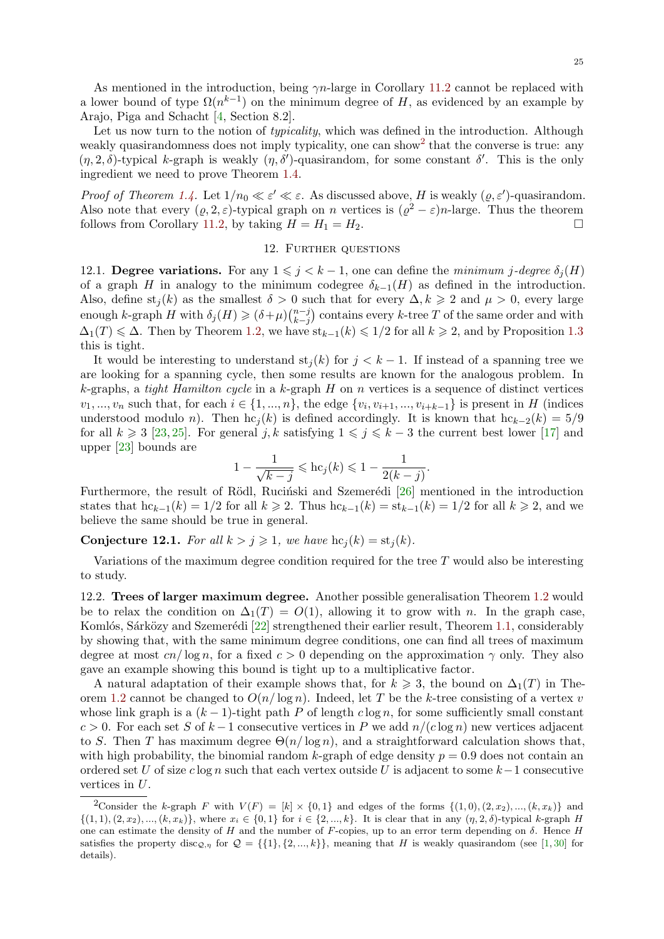<span id="page-24-2"></span>Let us now turn to the notion of *typicality*, which was defined in the introduction. Although weakly quasirandomness does not imply typicality, one can show<sup>2</sup> [that](#page-23-2) the converse is true: any  $(\eta, 2, \delta)$ -typical *k*-graph is weakly  $(\eta, \delta')$ -quasirandom, for some constant  $\delta'$ . This is the only ingredient we need to pro[ve](#page-25-10) Theorem 1.4.

*Proof of Theorem 1.4.* Let  $1/n_0 \ll \varepsilon' \ll \varepsilon$ . As discussed above, *[H](#page-24-1)* is weakly  $(\varrho, \varepsilon')$ -quasirandom. Also note that every  $(\varrho, 2, \varepsilon)$ -typical graph on *n* vertices is  $(\varrho^2 - \varepsilon)n$ -large. Thus the theorem follows from Corollary 11.2, by taking  $H = H_1 = H_2$  $H = H_1 = H_2$ .

### 12. Further questions

<span id="page-24-0"></span>12.1. **Degree variations.** For any  $1 \leq j \leq k-1$ , one can define the *minimum j*-degree  $\delta_j(H)$ of a graph *H* in anal[ogy t](#page-23-2)o the minimum codegree  $\delta_{k-1}(H)$  as defined in the introduction. Also, define  $st_j(k)$  as the smallest  $\delta > 0$  such that for every  $\Delta, k \geq 2$  and  $\mu > 0$ , every large enough *k*-graph *H* with  $\delta_j(H) \geq (\delta + \mu) \binom{n-j}{k-j}$ *k−j* ) contains every *k*-tree *T* of the same order and with  $\Delta_1(T) \leq \Delta$ . Then by Theorem 1.2, we have  $\text{st}_{k-1}(k) \leq 1/2$  for all  $k \geq 2$ , and by Proposition 1.3 this is tight.

It would be interesting to understand  $st<sub>i</sub>(k)$  for  $j < k-1$ . If instead of a spanning tree we are looking for a spanning cycle, then some results are known for the analogous problem. In *k*-graphs, a *tight Hamilton cyc[le](#page-1-0)* in a *k*-graph *H* on *n* vertices is a sequence of distinct vert[ices](#page-1-3)  $v_1, ..., v_n$  such that, for each  $i \in \{1, ..., n\}$ , the edge  $\{v_i, v_{i+1}, ..., v_{i+k-1}\}$  is present in H (indices understood modulo *n*). Then  $hc_j(k)$  is defined accordingly. It is known that  $hc_{k-2}(k) = 5/9$ for all  $k \geq 3$  [23, 25]. For general *j, k* satisfying  $1 \leq j \leq k-3$  the current best lower [17] and upper [23] bounds are

$$
1 - \frac{1}{\sqrt{k-j}} \leqslant \mathrm{hc}_j(k) \leqslant 1 - \frac{1}{2(k-j)}.
$$

Furthermore, [th](#page-25-16)[e re](#page-25-17)sult of Rödl, Rucinski and Szemerédi [26] mentioned in the intro[du](#page-25-18)ction states [tha](#page-25-16)t  $hc_{k-1}(k) = 1/2$  for all  $k \ge 2$ . Thus  $hc_{k-1}(k) = st_{k-1}(k) = 1/2$  for all  $k \ge 2$ , and we believe the same should be true in general.

**Conjecture 12.1.** For all  $k > j \ge 1$  $k > j \ge 1$ , we have  $hc_j(k) = st_j(k)$ .

Variations of the maximum degree condition required for the tree *T* would also be interesting to study.

12.2. **Trees of larger maximum degree.** Another possible generalisation Theorem 1.2 would be to relax the condition on  $\Delta_1(T) = O(1)$ , allowing it to grow with *n*. In the graph case, Komlós, Sárközy and Szemerédi  $[22]$  strengthened their earlier result, Theorem 1.1, considerably by showing that, with the same minimum degree conditions, one can find all trees of maximum degree at most  $cn/\log n$ , for a fixed  $c > 0$  depending on the approximation  $\gamma$  only. [The](#page-1-0)y also gave an example showing this bound is tight up to a multiplicative factor.

A natural adaptation of their [ex](#page-25-19)ample shows that, for  $k \geq 3$ , the bound on  $\Delta_1(T)$  in Theorem 1.2 cannot be changed to  $O(n/\log n)$ . Indeed, let T be the *k*-tree consisting of a vertex *v* whose link graph is a  $(k-1)$ -tight path *P* of length  $c \log n$ , for some sufficiently small constant *c* > 0. For each set *S* of  $k-1$  consecutive vertices in *P* we add  $n/(c \log n)$  new vertices adjacent to *S*. Then *T* has maximum degree  $\Theta(n/\log n)$ , and a straightforward calculation shows that, with [high](#page-1-0) probability, the binomial random  $k$ -graph of edge density  $p = 0.9$  does not contain an ordered set *U* of size *c* log *n* such that each vertex outside *U* is adjacent to some *k−*1 consecutive vertices in *U*.

<span id="page-24-1"></span><sup>&</sup>lt;sup>2</sup>Consider the *k*-graph *F* with  $V(F) = [k] \times \{0,1\}$  and edges of the forms  $\{(1,0),(2,x_2),...,(k,x_k)\}$  and  $\{(1,1),(2,x_2),...,(k,x_k)\}\$ , where  $x_i \in \{0,1\}$  for  $i \in \{2,...,k\}\$ . It is clear that in any  $(\eta,2,\delta)$ -typical k-graph H one can estimate the density of *H* and the number of *F*-copies, up to an error term depending on  $\delta$ . Hence *H* satisfies the property disc<sub>*Q*</sub>,*n* for  $Q = \{\{1\}, \{2, ..., k\}\}\$ , meaning that *H* is weakly quasirandom (see [1, 30] for details).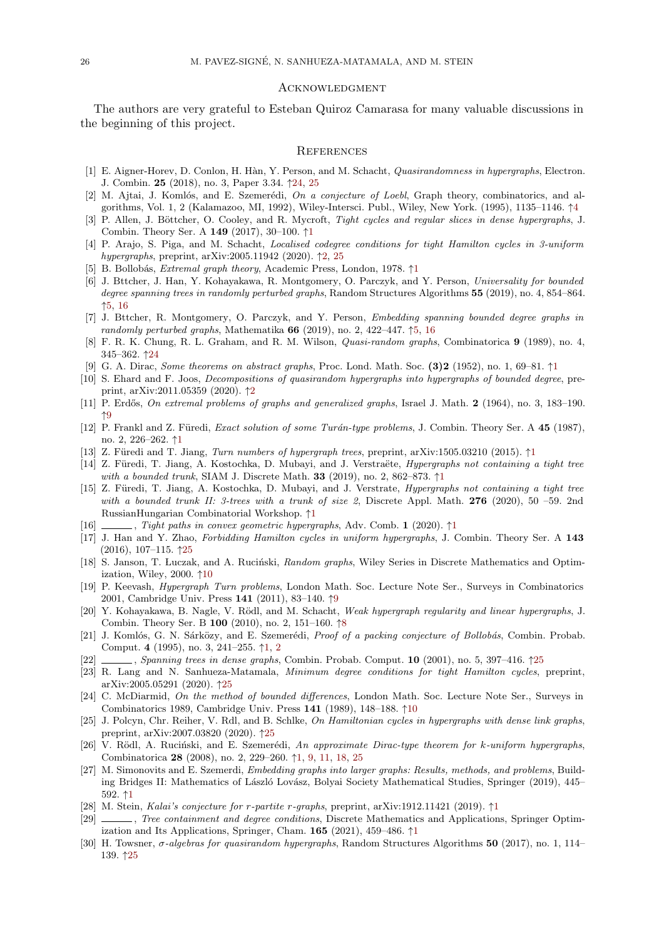### **ACKNOWLEDGMENT**

The authors are very grateful to Esteban Quiroz Camarasa for many valuable discussions in the beginning of this project.

#### **REFERENCES**

- [1] E. Aigner-Horev, D. Conlon, H. H`an, Y. Person, and M. Schacht, *Quasirandomness in hypergraphs*, Electron. J. Combin. **25** (2018), no. 3, Paper 3.34. *↑*24, 25
- [2] M. Ajtai, J. Komlós, and E. Szemerédi, *On a conjecture of Loebl*, Graph theory, combinatorics, and algorithms, Vol. 1, 2 (Kalamazoo, MI, 1992), Wiley-Intersci. Publ., Wiley, New York. (1995), 1135–1146. *↑*4
- [3] P. Allen, J. Böttcher, O. Cooley, and R. Mycroft, *Tight cycles and regular slices in dense hypergraphs*, J. Combin. Theory Ser. A **149** (2017), 30–100. *↑*1
- <span id="page-25-11"></span>[4] P. Arajo, S. Piga, and M. Schacht, *Loca[lise](#page-23-3)[d co](#page-24-2)degree conditions for tight Hamilton cycles in 3-uniform hypergraphs*, preprint, arXiv:2005.11942 (2020). *↑*2, 25
- <span id="page-25-7"></span>[5] B. Bollob´as, *Extremal graph theory*, Academic Press, London, 1978. *↑*1
- <span id="page-25-10"></span>[6] J. Bttcher, J. Han, Y. Kohayakawa, R. Montgomery, O. Parczyk, and Y. Person, *Universality for bounded degree spanning trees in randomly perturbed gr[ap](#page-0-0)hs*, Random Structures Algorithms **55** (2019), no. 4, 854–864. *↑*5, 16
- <span id="page-25-1"></span>[7] J. Bttcher, R. Montgomery, O. Parczyk, and [Y.](#page-1-6) [Pe](#page-24-2)rson, *Embedding spanning bounded degree graphs in randomly perturbed graphs*, Mathematika **66** (2019), no. 2, 422–447. *↑*[5,](#page-0-0) 16
- <span id="page-25-12"></span>[8] F. R. K. Chung, R. L. Graham, and R. M. Wilson, *Quasi-random graphs*, Combinatorica **9** (1989), no. 4, 345–362. *↑*24
- <span id="page-25-13"></span>[9] [G.](#page-4-5) [A.](#page-15-8) Dirac, *Some theorems on abstract graphs*, Proc. Lond. Math. Soc. **(3)2** (1952), no. 1, 69–81. *↑*1
- [10] S. Ehard and F. Joos, *Decompositions of quasirandom hypergraphs i[nto](#page-4-5) [hy](#page-15-8)pergraphs of bounded degree*, preprint, arXiv:2011.05359 (2020). *↑*2
- [11] P. Erd˝os, *[On](#page-23-3) extremal problems of graphs and generalized graphs*, Israel J. Math. **2** (1964), no. 3, 183–190. *↑*9
- <span id="page-25-9"></span><span id="page-25-0"></span>[12] P. Frankl and Z. Füredi, *Exact solution of some Turán-type problems*, J. Combin. Theory Ser. A 45 [\(1](#page-0-0)987), no. 2, 226–262. *↑*1
- [13] Z. F¨uredi and T. Jiang, *Turn nu[m](#page-1-6)bers of hypergraph trees*, preprint, arXiv:1505.03210 (2015). *↑*1
- [14] Z. Füredi, T. Jiang, A. Kostochka, D. Mubayi, and J. Verstraëte, *Hypergraphs not containing a tight tree [wit](#page-8-3)h a bounded trunk*, SIAM J. Discrete Math. **33** (2019), no. 2, 862–873. *↑*1
- <span id="page-25-5"></span>[15] Z. Füredi, T. Jiang, A. Kostochka, D. Mubayi, and J. Verstrate, *Hypergraphs not containing a tight tree with a bounded [tr](#page-0-0)unk II: 3-trees with a trunk of size 2*, Discrete Appl. Math. **276** (2020), [50](#page-0-0) –59. 2nd RussianHungarian Combinatorial Workshop. *↑*1
- [16] , *Tight paths in convex geometric hypergraphs*, Adv. Comb. **1** (2020). *↑*1
- [17] J. Han and Y. Zhao, *Forbidding Hamilton cycles in uniform hypergraphs*, [J](#page-0-0). Combin. Theory Ser. A **143** (2016), 107–115. *↑*25
- [18] S. Janson, T. Luczak, and A. Ruciński, *Rand[om](#page-0-0) graphs*, Wiley Series in Discrete Mathematics and Optimization, Wiley, 2000. *↑*10
- <span id="page-25-18"></span><span id="page-25-6"></span>[19] P. Keevash, *Hypergraph Turn problems*, London Math. Soc. Lecture Note S[er.](#page-0-0), Surveys in Combinatorics 2001, Cambridge Univ. Press **141** (2011), 83–140. *↑*9
- <span id="page-25-15"></span>[20] Y. Kohayakawa, [B. N](#page-24-2)agle, V. R¨odl, and M. Schacht, *Weak hypergraph regularity and linear hypergraphs*, J. Combin. Theory Ser. B **100** (2010), no. 2, 151–160. *↑*8
- <span id="page-25-14"></span>[21] J. Komlós, G. N. Sárközy, and E. Szemerédi, *Proof of a packing conjecture of Bollobás*, Combin. Probab. Comput. **4** (1995), no. 3, 241–255. *↑*1, 2
- [22] , *Spanning trees in dense graphs*, Combin. P[ro](#page-8-3)bab. Comput. **10** (2001), no. 5, 397–416. *↑*25
- [23] R. Lang and N. Sanhueza-Matamala, *Minimum d[eg](#page-7-8)ree conditions for tight Hamilton cycles*, preprint, arXiv:2005.05291 (2020). *↑*25
- <span id="page-25-2"></span>[24] C. McDiarmid, *On the method of bounded differences*, London Math. Soc. Lecture Note Ser., Surveys in Combinatorics 1989, Cambridge Un[iv](#page-0-0). [P](#page-1-6)ress **141** (1989), 148–188. *↑*10
- <span id="page-25-19"></span><span id="page-25-16"></span>[25] J. Polcyn, Chr. Reiher, V. Rdl, and B. Schlke, *On Hamiltonian cycles in hypergraphs with dense [lin](#page-24-2)k graphs*, preprint, arXiv:2007.03820 (2020). *↑*25
- [26] V. Rödl, A. Ruciński, an[d E](#page-24-2). Szemerédi, *An approximate Dirac-type theorem for k-uniform hypergraphs*, Combinatorica **28** (2008), no. 2, 229–260. *↑*1, 9, 11, 18, 25
- <span id="page-25-17"></span>[27] M. Simonovits and E. Szemerdi, *Embedding graphs into larger graphs[: R](#page-9-7)esults, methods, and problems*, Building Bridges II: Mathematics of László Lovász, Bolyai Society Mathematical Studies, Springer (2019), 445– 592. *↑*1
- <span id="page-25-3"></span>[28] M. Stein, *Kalai's conjecture for r-partite r-graphs*, preprint, arXiv:1912.11421 (2019). *↑*1
- <span id="page-25-4"></span>[29] , *Tree containment and degree cond[iti](#page-0-0)[on](#page-8-3)s*[, D](#page-10-2)[iscr](#page-17-3)[ete](#page-24-2) Mathematics and Applications, Springer Optimization and Its Applications, Springer, Cham. **165** (2021), 459–486. *↑*1
- <span id="page-25-8"></span>[30] H. Towsner, *σ-algebras for quasirandom hypergraphs*, Random Structures Algorithms **50** (2017), no. 1, 114– 139. *↑*[25](#page-0-0)